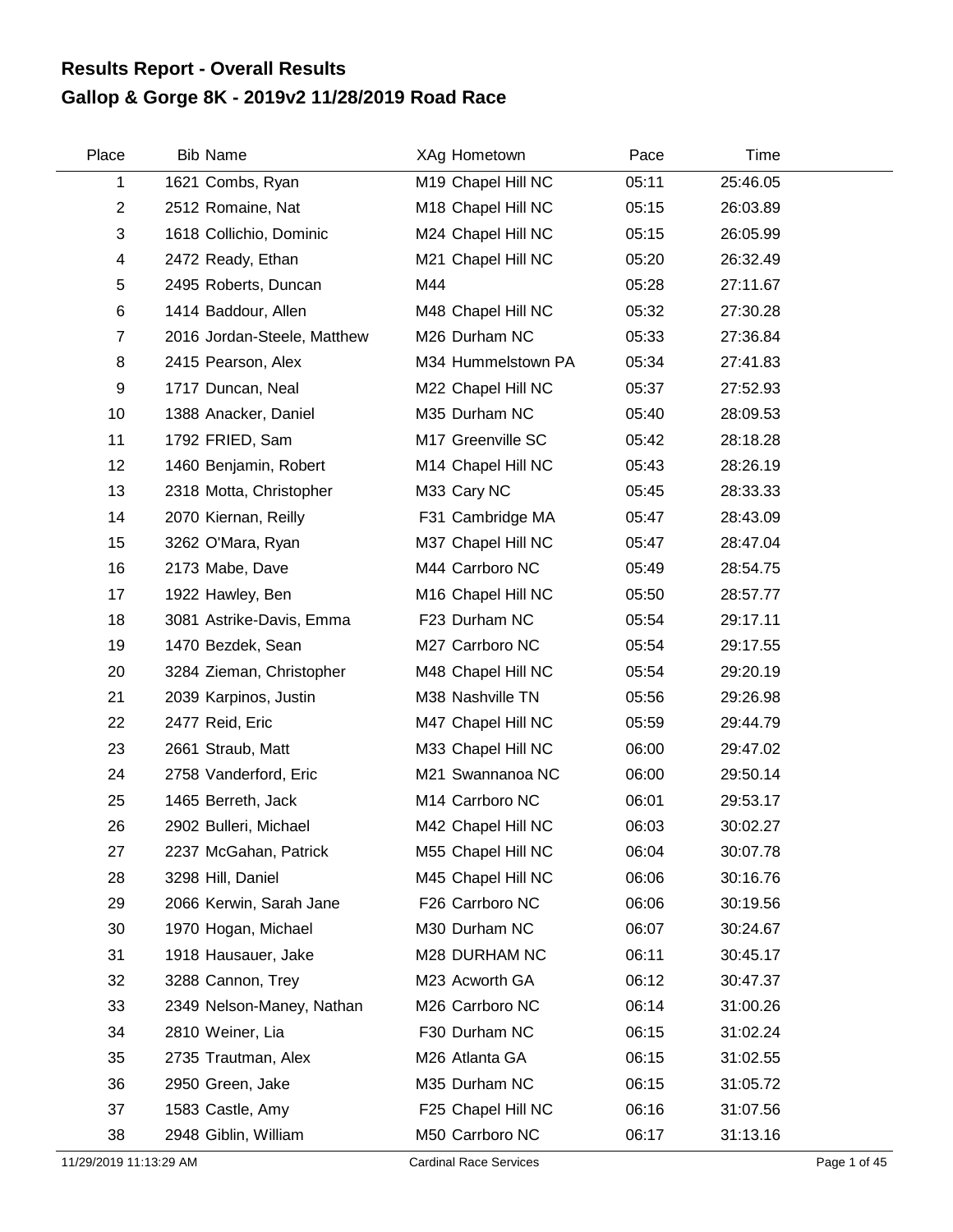## **Gallop & Gorge 8K - 2019v2 11/28/2019 Road Race Results Report - Overall Results**

| Place          | <b>Bib Name</b>             | XAg Hometown                   | Pace  | Time     |  |
|----------------|-----------------------------|--------------------------------|-------|----------|--|
| 1              | 1621 Combs, Ryan            | M19 Chapel Hill NC             | 05:11 | 25:46.05 |  |
| $\overline{2}$ | 2512 Romaine, Nat           | M18 Chapel Hill NC             | 05:15 | 26:03.89 |  |
| 3              | 1618 Collichio, Dominic     | M24 Chapel Hill NC             | 05:15 | 26:05.99 |  |
| 4              | 2472 Ready, Ethan           | M21 Chapel Hill NC             | 05:20 | 26:32.49 |  |
| 5              | 2495 Roberts, Duncan        | M44                            | 05:28 | 27:11.67 |  |
| $\,6$          | 1414 Baddour, Allen         | M48 Chapel Hill NC             | 05:32 | 27:30.28 |  |
| $\overline{7}$ | 2016 Jordan-Steele, Matthew | M26 Durham NC                  | 05:33 | 27:36.84 |  |
| 8              | 2415 Pearson, Alex          | M34 Hummelstown PA             | 05:34 | 27:41.83 |  |
| 9              | 1717 Duncan, Neal           | M22 Chapel Hill NC             | 05:37 | 27:52.93 |  |
| 10             | 1388 Anacker, Daniel        | M35 Durham NC                  | 05:40 | 28:09.53 |  |
| 11             | 1792 FRIED, Sam             | M17 Greenville SC              | 05:42 | 28:18.28 |  |
| 12             | 1460 Benjamin, Robert       | M14 Chapel Hill NC             | 05:43 | 28:26.19 |  |
| 13             | 2318 Motta, Christopher     | M33 Cary NC                    | 05:45 | 28:33.33 |  |
| 14             | 2070 Kiernan, Reilly        | F31 Cambridge MA               | 05:47 | 28:43.09 |  |
| 15             | 3262 O'Mara, Ryan           | M37 Chapel Hill NC             | 05:47 | 28:47.04 |  |
| 16             | 2173 Mabe, Dave             | M44 Carrboro NC                | 05:49 | 28:54.75 |  |
| 17             | 1922 Hawley, Ben            | M <sub>16</sub> Chapel Hill NC | 05:50 | 28:57.77 |  |
| 18             | 3081 Astrike-Davis, Emma    | F23 Durham NC                  | 05:54 | 29:17.11 |  |
| 19             | 1470 Bezdek, Sean           | M27 Carrboro NC                | 05:54 | 29:17.55 |  |
| 20             | 3284 Zieman, Christopher    | M48 Chapel Hill NC             | 05:54 | 29:20.19 |  |
| 21             | 2039 Karpinos, Justin       | M38 Nashville TN               | 05:56 | 29:26.98 |  |
| 22             | 2477 Reid, Eric             | M47 Chapel Hill NC             | 05:59 | 29:44.79 |  |
| 23             | 2661 Straub, Matt           | M33 Chapel Hill NC             | 06:00 | 29:47.02 |  |
| 24             | 2758 Vanderford, Eric       | M21 Swannanoa NC               | 06:00 | 29:50.14 |  |
| 25             | 1465 Berreth, Jack          | M14 Carrboro NC                | 06:01 | 29:53.17 |  |
| 26             | 2902 Bulleri, Michael       | M42 Chapel Hill NC             | 06:03 | 30:02.27 |  |
| 27             | 2237 McGahan, Patrick       | M55 Chapel Hill NC             | 06:04 | 30:07.78 |  |
| 28             | 3298 Hill, Daniel           | M45 Chapel Hill NC             | 06:06 | 30:16.76 |  |
| 29             | 2066 Kerwin, Sarah Jane     | F26 Carrboro NC                | 06:06 | 30:19.56 |  |
| 30             | 1970 Hogan, Michael         | M30 Durham NC                  | 06:07 | 30:24.67 |  |
| 31             | 1918 Hausauer, Jake         | M28 DURHAM NC                  | 06:11 | 30:45.17 |  |
| 32             | 3288 Cannon, Trey           | M23 Acworth GA                 | 06:12 | 30:47.37 |  |
| 33             | 2349 Nelson-Maney, Nathan   | M26 Carrboro NC                | 06:14 | 31:00.26 |  |
| 34             | 2810 Weiner, Lia            | F30 Durham NC                  | 06:15 | 31:02.24 |  |
| 35             | 2735 Trautman, Alex         | M26 Atlanta GA                 | 06:15 | 31:02.55 |  |
| 36             | 2950 Green, Jake            | M35 Durham NC                  | 06:15 | 31:05.72 |  |
| 37             | 1583 Castle, Amy            | F25 Chapel Hill NC             | 06:16 | 31:07.56 |  |
| 38             | 2948 Giblin, William        | M50 Carrboro NC                | 06:17 | 31:13.16 |  |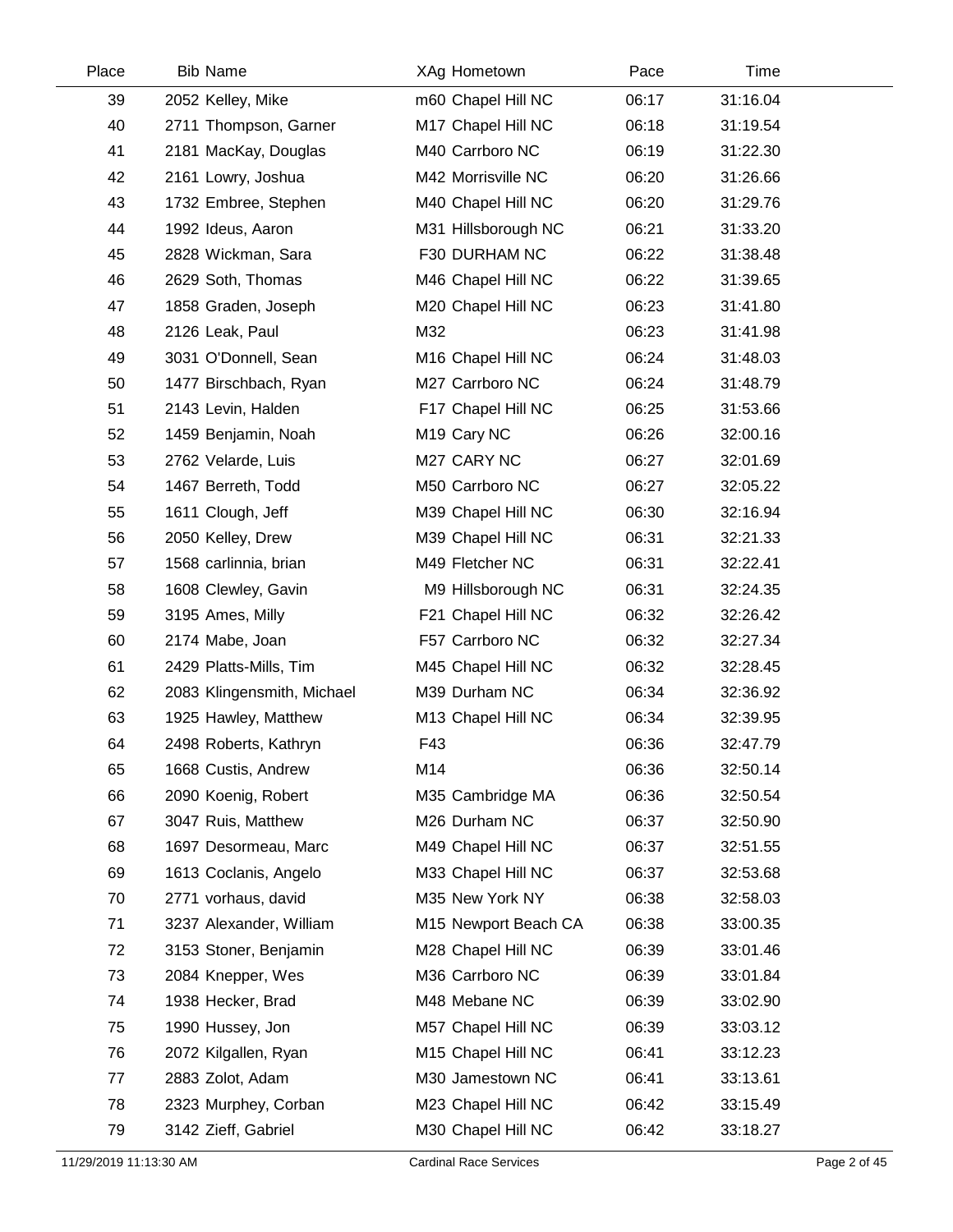| Place | <b>Bib Name</b>            |     | XAg Hometown            | Pace  | Time     |  |
|-------|----------------------------|-----|-------------------------|-------|----------|--|
| 39    | 2052 Kelley, Mike          |     | m60 Chapel Hill NC      | 06:17 | 31:16.04 |  |
| 40    | 2711 Thompson, Garner      |     | M17 Chapel Hill NC      | 06:18 | 31:19.54 |  |
| 41    | 2181 MacKay, Douglas       |     | M40 Carrboro NC         | 06:19 | 31:22.30 |  |
| 42    | 2161 Lowry, Joshua         |     | M42 Morrisville NC      | 06:20 | 31:26.66 |  |
| 43    | 1732 Embree, Stephen       |     | M40 Chapel Hill NC      | 06:20 | 31:29.76 |  |
| 44    | 1992 Ideus, Aaron          |     | M31 Hillsborough NC     | 06:21 | 31:33.20 |  |
| 45    | 2828 Wickman, Sara         |     | F30 DURHAM NC           | 06:22 | 31:38.48 |  |
| 46    | 2629 Soth, Thomas          |     | M46 Chapel Hill NC      | 06:22 | 31:39.65 |  |
| 47    | 1858 Graden, Joseph        |     | M20 Chapel Hill NC      | 06:23 | 31:41.80 |  |
| 48    | 2126 Leak, Paul            | M32 |                         | 06:23 | 31:41.98 |  |
| 49    | 3031 O'Donnell, Sean       |     | M16 Chapel Hill NC      | 06:24 | 31:48.03 |  |
| 50    | 1477 Birschbach, Ryan      |     | M27 Carrboro NC         | 06:24 | 31:48.79 |  |
| 51    | 2143 Levin, Halden         |     | F17 Chapel Hill NC      | 06:25 | 31:53.66 |  |
| 52    | 1459 Benjamin, Noah        |     | M <sub>19</sub> Cary NC | 06:26 | 32:00.16 |  |
| 53    | 2762 Velarde, Luis         |     | M27 CARY NC             | 06:27 | 32:01.69 |  |
| 54    | 1467 Berreth, Todd         |     | M50 Carrboro NC         | 06:27 | 32:05.22 |  |
| 55    | 1611 Clough, Jeff          |     | M39 Chapel Hill NC      | 06:30 | 32:16.94 |  |
| 56    | 2050 Kelley, Drew          |     | M39 Chapel Hill NC      | 06:31 | 32:21.33 |  |
| 57    | 1568 carlinnia, brian      |     | M49 Fletcher NC         | 06:31 | 32:22.41 |  |
| 58    | 1608 Clewley, Gavin        |     | M9 Hillsborough NC      | 06:31 | 32:24.35 |  |
| 59    | 3195 Ames, Milly           |     | F21 Chapel Hill NC      | 06:32 | 32:26.42 |  |
| 60    | 2174 Mabe, Joan            |     | F57 Carrboro NC         | 06:32 | 32:27.34 |  |
| 61    | 2429 Platts-Mills, Tim     |     | M45 Chapel Hill NC      | 06:32 | 32:28.45 |  |
| 62    | 2083 Klingensmith, Michael |     | M39 Durham NC           | 06:34 | 32:36.92 |  |
| 63    | 1925 Hawley, Matthew       |     | M13 Chapel Hill NC      | 06:34 | 32:39.95 |  |
| 64    | 2498 Roberts, Kathryn      | F43 |                         | 06:36 | 32:47.79 |  |
| 65    | 1668 Custis, Andrew        | M14 |                         | 06:36 | 32:50.14 |  |
| 66    | 2090 Koenig, Robert        |     | M35 Cambridge MA        | 06:36 | 32:50.54 |  |
| 67    | 3047 Ruis, Matthew         |     | M26 Durham NC           | 06:37 | 32:50.90 |  |
| 68    | 1697 Desormeau, Marc       |     | M49 Chapel Hill NC      | 06:37 | 32:51.55 |  |
| 69    | 1613 Coclanis, Angelo      |     | M33 Chapel Hill NC      | 06:37 | 32:53.68 |  |
| 70    | 2771 vorhaus, david        |     | M35 New York NY         | 06:38 | 32:58.03 |  |
| 71    | 3237 Alexander, William    |     | M15 Newport Beach CA    | 06:38 | 33:00.35 |  |
| 72    | 3153 Stoner, Benjamin      |     | M28 Chapel Hill NC      | 06:39 | 33:01.46 |  |
| 73    | 2084 Knepper, Wes          |     | M36 Carrboro NC         | 06:39 | 33:01.84 |  |
| 74    | 1938 Hecker, Brad          |     | M48 Mebane NC           | 06:39 | 33:02.90 |  |
| 75    | 1990 Hussey, Jon           |     | M57 Chapel Hill NC      | 06:39 | 33:03.12 |  |
| 76    | 2072 Kilgallen, Ryan       |     | M15 Chapel Hill NC      | 06:41 | 33:12.23 |  |
| 77    | 2883 Zolot, Adam           |     | M30 Jamestown NC        | 06:41 | 33:13.61 |  |
| 78    | 2323 Murphey, Corban       |     | M23 Chapel Hill NC      | 06:42 | 33:15.49 |  |
| 79    | 3142 Zieff, Gabriel        |     | M30 Chapel Hill NC      | 06:42 | 33:18.27 |  |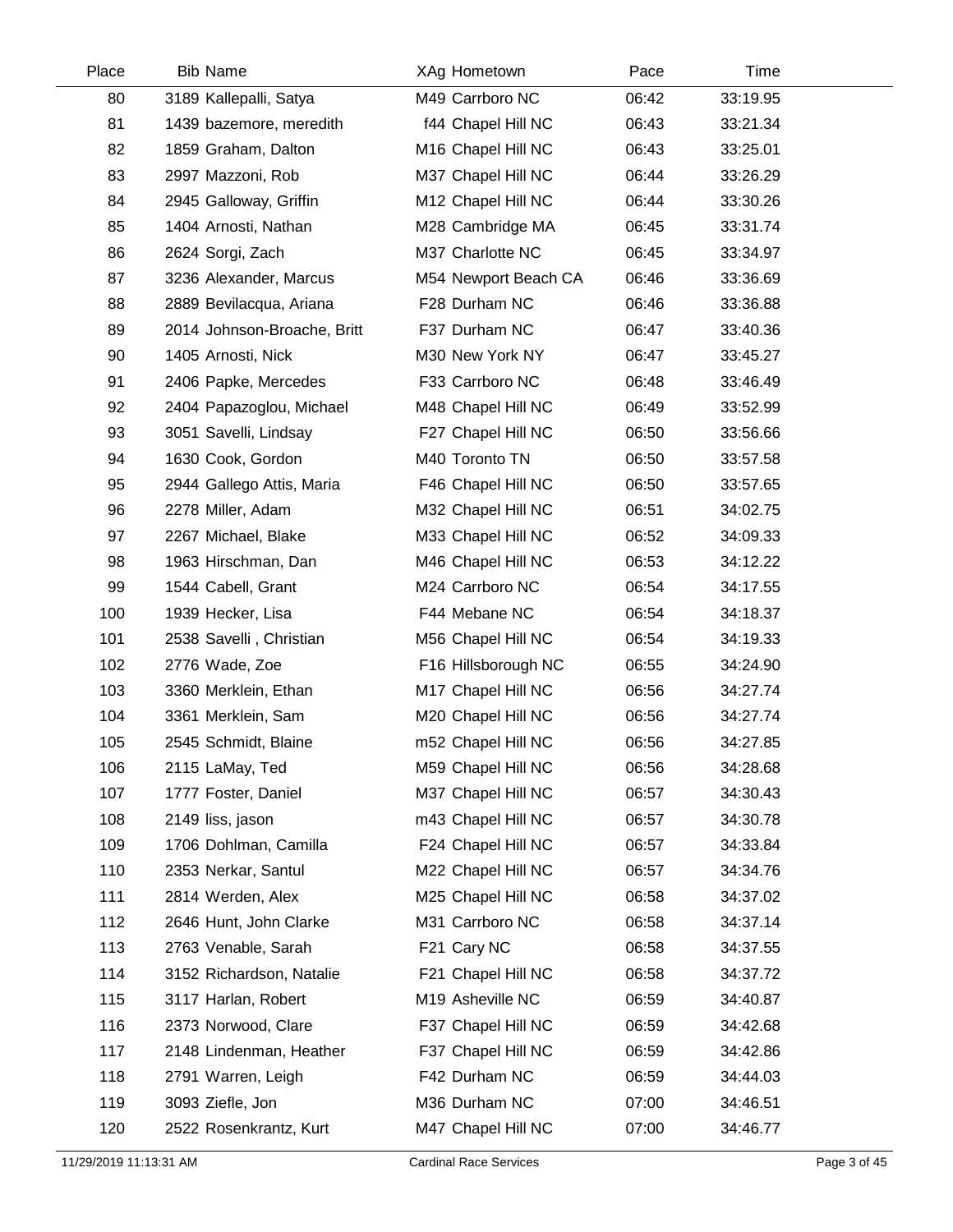| Place | <b>Bib Name</b>             | XAg Hometown         | Pace  | Time     |  |
|-------|-----------------------------|----------------------|-------|----------|--|
| 80    | 3189 Kallepalli, Satya      | M49 Carrboro NC      | 06:42 | 33:19.95 |  |
| 81    | 1439 bazemore, meredith     | f44 Chapel Hill NC   | 06:43 | 33:21.34 |  |
| 82    | 1859 Graham, Dalton         | M16 Chapel Hill NC   | 06:43 | 33:25.01 |  |
| 83    | 2997 Mazzoni, Rob           | M37 Chapel Hill NC   | 06:44 | 33:26.29 |  |
| 84    | 2945 Galloway, Griffin      | M12 Chapel Hill NC   | 06:44 | 33:30.26 |  |
| 85    | 1404 Arnosti, Nathan        | M28 Cambridge MA     | 06:45 | 33:31.74 |  |
| 86    | 2624 Sorgi, Zach            | M37 Charlotte NC     | 06:45 | 33:34.97 |  |
| 87    | 3236 Alexander, Marcus      | M54 Newport Beach CA | 06:46 | 33:36.69 |  |
| 88    | 2889 Bevilacqua, Ariana     | F28 Durham NC        | 06:46 | 33:36.88 |  |
| 89    | 2014 Johnson-Broache, Britt | F37 Durham NC        | 06:47 | 33:40.36 |  |
| 90    | 1405 Arnosti, Nick          | M30 New York NY      | 06:47 | 33:45.27 |  |
| 91    | 2406 Papke, Mercedes        | F33 Carrboro NC      | 06:48 | 33:46.49 |  |
| 92    | 2404 Papazoglou, Michael    | M48 Chapel Hill NC   | 06:49 | 33:52.99 |  |
| 93    | 3051 Savelli, Lindsay       | F27 Chapel Hill NC   | 06:50 | 33:56.66 |  |
| 94    | 1630 Cook, Gordon           | M40 Toronto TN       | 06:50 | 33:57.58 |  |
| 95    | 2944 Gallego Attis, Maria   | F46 Chapel Hill NC   | 06:50 | 33:57.65 |  |
| 96    | 2278 Miller, Adam           | M32 Chapel Hill NC   | 06:51 | 34:02.75 |  |
| 97    | 2267 Michael, Blake         | M33 Chapel Hill NC   | 06:52 | 34:09.33 |  |
| 98    | 1963 Hirschman, Dan         | M46 Chapel Hill NC   | 06:53 | 34:12.22 |  |
| 99    | 1544 Cabell, Grant          | M24 Carrboro NC      | 06:54 | 34:17.55 |  |
| 100   | 1939 Hecker, Lisa           | F44 Mebane NC        | 06:54 | 34:18.37 |  |
| 101   | 2538 Savelli, Christian     | M56 Chapel Hill NC   | 06:54 | 34:19.33 |  |
| 102   | 2776 Wade, Zoe              | F16 Hillsborough NC  | 06:55 | 34:24.90 |  |
| 103   | 3360 Merklein, Ethan        | M17 Chapel Hill NC   | 06:56 | 34:27.74 |  |
| 104   | 3361 Merklein, Sam          | M20 Chapel Hill NC   | 06:56 | 34:27.74 |  |
| 105   | 2545 Schmidt, Blaine        | m52 Chapel Hill NC   | 06:56 | 34:27.85 |  |
| 106   | 2115 LaMay, Ted             | M59 Chapel Hill NC   | 06:56 | 34:28.68 |  |
| 107   | 1777 Foster, Daniel         | M37 Chapel Hill NC   | 06:57 | 34:30.43 |  |
| 108   | 2149 liss, jason            | m43 Chapel Hill NC   | 06:57 | 34:30.78 |  |
| 109   | 1706 Dohlman, Camilla       | F24 Chapel Hill NC   | 06:57 | 34:33.84 |  |
| 110   | 2353 Nerkar, Santul         | M22 Chapel Hill NC   | 06:57 | 34:34.76 |  |
| 111   | 2814 Werden, Alex           | M25 Chapel Hill NC   | 06:58 | 34:37.02 |  |
| 112   | 2646 Hunt, John Clarke      | M31 Carrboro NC      | 06:58 | 34:37.14 |  |
| 113   | 2763 Venable, Sarah         | F21 Cary NC          | 06:58 | 34:37.55 |  |
| 114   | 3152 Richardson, Natalie    | F21 Chapel Hill NC   | 06:58 | 34:37.72 |  |
| 115   | 3117 Harlan, Robert         | M19 Asheville NC     | 06:59 | 34:40.87 |  |
| 116   | 2373 Norwood, Clare         | F37 Chapel Hill NC   | 06:59 | 34:42.68 |  |
| 117   | 2148 Lindenman, Heather     | F37 Chapel Hill NC   | 06:59 | 34:42.86 |  |
| 118   | 2791 Warren, Leigh          | F42 Durham NC        | 06:59 | 34:44.03 |  |
| 119   | 3093 Ziefle, Jon            | M36 Durham NC        | 07:00 | 34:46.51 |  |
| 120   | 2522 Rosenkrantz, Kurt      | M47 Chapel Hill NC   | 07:00 | 34:46.77 |  |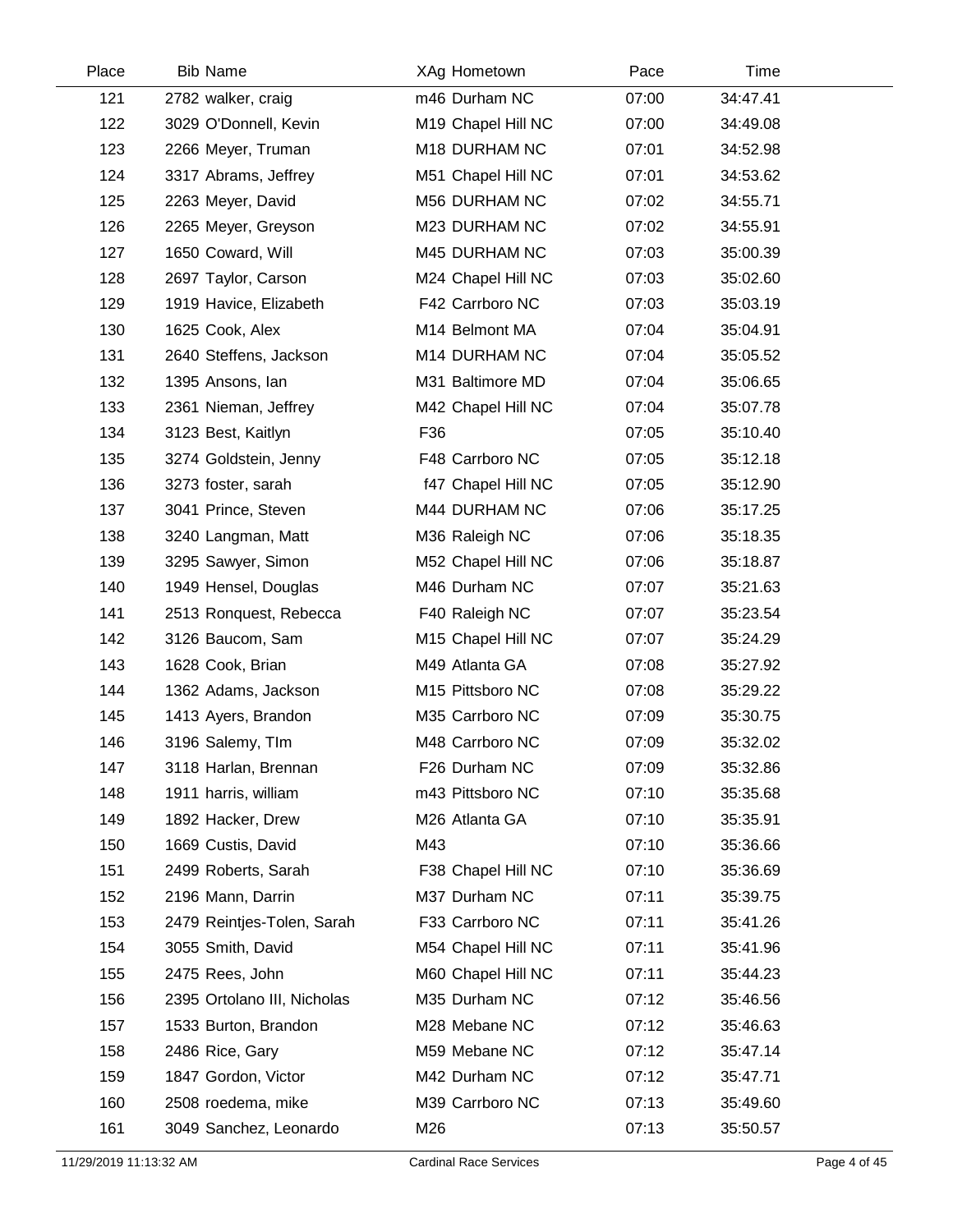| Place | <b>Bib Name</b>             |     | XAg Hometown       | Pace  | Time     |
|-------|-----------------------------|-----|--------------------|-------|----------|
| 121   | 2782 walker, craig          |     | m46 Durham NC      | 07:00 | 34:47.41 |
| 122   | 3029 O'Donnell, Kevin       |     | M19 Chapel Hill NC | 07:00 | 34:49.08 |
| 123   | 2266 Meyer, Truman          |     | M18 DURHAM NC      | 07:01 | 34:52.98 |
| 124   | 3317 Abrams, Jeffrey        |     | M51 Chapel Hill NC | 07:01 | 34:53.62 |
| 125   | 2263 Meyer, David           |     | M56 DURHAM NC      | 07:02 | 34:55.71 |
| 126   | 2265 Meyer, Greyson         |     | M23 DURHAM NC      | 07:02 | 34:55.91 |
| 127   | 1650 Coward, Will           |     | M45 DURHAM NC      | 07:03 | 35:00.39 |
| 128   | 2697 Taylor, Carson         |     | M24 Chapel Hill NC | 07:03 | 35:02.60 |
| 129   | 1919 Havice, Elizabeth      |     | F42 Carrboro NC    | 07:03 | 35:03.19 |
| 130   | 1625 Cook, Alex             |     | M14 Belmont MA     | 07:04 | 35:04.91 |
| 131   | 2640 Steffens, Jackson      |     | M14 DURHAM NC      | 07:04 | 35:05.52 |
| 132   | 1395 Ansons, lan            |     | M31 Baltimore MD   | 07:04 | 35:06.65 |
| 133   | 2361 Nieman, Jeffrey        |     | M42 Chapel Hill NC | 07:04 | 35:07.78 |
| 134   | 3123 Best, Kaitlyn          | F36 |                    | 07:05 | 35:10.40 |
| 135   | 3274 Goldstein, Jenny       |     | F48 Carrboro NC    | 07:05 | 35:12.18 |
| 136   | 3273 foster, sarah          |     | f47 Chapel Hill NC | 07:05 | 35:12.90 |
| 137   | 3041 Prince, Steven         |     | M44 DURHAM NC      | 07:06 | 35:17.25 |
| 138   | 3240 Langman, Matt          |     | M36 Raleigh NC     | 07:06 | 35:18.35 |
| 139   | 3295 Sawyer, Simon          |     | M52 Chapel Hill NC | 07:06 | 35:18.87 |
| 140   | 1949 Hensel, Douglas        |     | M46 Durham NC      | 07:07 | 35:21.63 |
| 141   | 2513 Ronquest, Rebecca      |     | F40 Raleigh NC     | 07:07 | 35:23.54 |
| 142   | 3126 Baucom, Sam            |     | M15 Chapel Hill NC | 07:07 | 35:24.29 |
| 143   | 1628 Cook, Brian            |     | M49 Atlanta GA     | 07:08 | 35:27.92 |
| 144   | 1362 Adams, Jackson         |     | M15 Pittsboro NC   | 07:08 | 35:29.22 |
| 145   | 1413 Ayers, Brandon         |     | M35 Carrboro NC    | 07:09 | 35:30.75 |
| 146   | 3196 Salemy, TIm            |     | M48 Carrboro NC    | 07:09 | 35:32.02 |
| 147   | 3118 Harlan, Brennan        |     | F26 Durham NC      | 07:09 | 35:32.86 |
| 148   | 1911 harris, william        |     | m43 Pittsboro NC   | 07:10 | 35:35.68 |
| 149   | 1892 Hacker, Drew           |     | M26 Atlanta GA     | 07:10 | 35:35.91 |
| 150   | 1669 Custis, David          | M43 |                    | 07:10 | 35:36.66 |
| 151   | 2499 Roberts, Sarah         |     | F38 Chapel Hill NC | 07:10 | 35:36.69 |
| 152   | 2196 Mann, Darrin           |     | M37 Durham NC      | 07:11 | 35:39.75 |
| 153   | 2479 Reintjes-Tolen, Sarah  |     | F33 Carrboro NC    | 07:11 | 35:41.26 |
| 154   | 3055 Smith, David           |     | M54 Chapel Hill NC | 07:11 | 35:41.96 |
| 155   | 2475 Rees, John             |     | M60 Chapel Hill NC | 07:11 | 35:44.23 |
| 156   | 2395 Ortolano III, Nicholas |     | M35 Durham NC      | 07:12 | 35:46.56 |
| 157   | 1533 Burton, Brandon        |     | M28 Mebane NC      | 07:12 | 35:46.63 |
| 158   | 2486 Rice, Gary             |     | M59 Mebane NC      | 07:12 | 35:47.14 |
| 159   | 1847 Gordon, Victor         |     | M42 Durham NC      | 07:12 | 35:47.71 |
| 160   | 2508 roedema, mike          |     | M39 Carrboro NC    | 07:13 | 35:49.60 |
| 161   | 3049 Sanchez, Leonardo      | M26 |                    | 07:13 | 35:50.57 |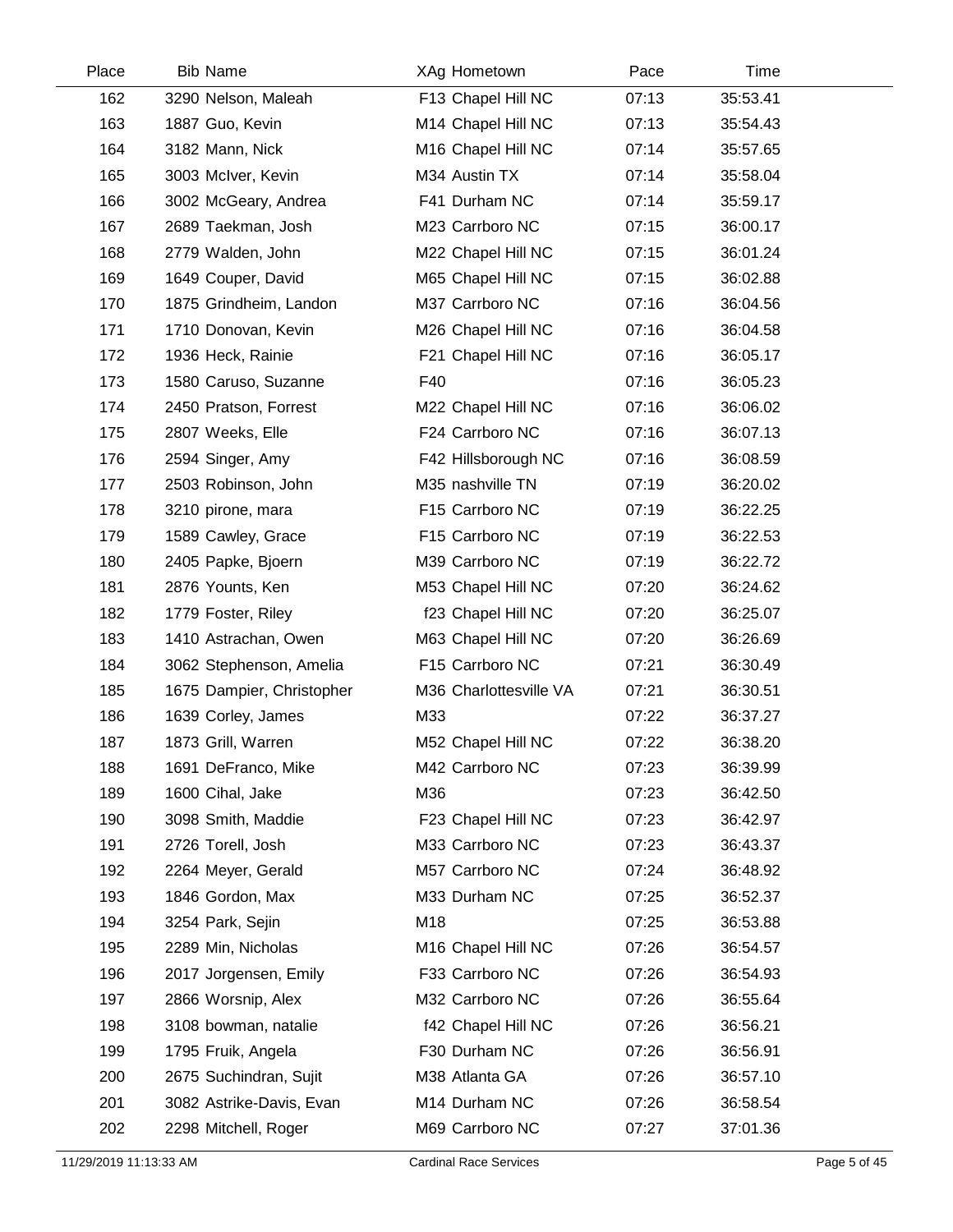| Place | <b>Bib Name</b>           | XAg Hometown           | Pace  | Time     |  |
|-------|---------------------------|------------------------|-------|----------|--|
| 162   | 3290 Nelson, Maleah       | F13 Chapel Hill NC     | 07:13 | 35:53.41 |  |
| 163   | 1887 Guo, Kevin           | M14 Chapel Hill NC     | 07:13 | 35:54.43 |  |
| 164   | 3182 Mann, Nick           | M16 Chapel Hill NC     | 07:14 | 35:57.65 |  |
| 165   | 3003 McIver, Kevin        | M34 Austin TX          | 07:14 | 35:58.04 |  |
| 166   | 3002 McGeary, Andrea      | F41 Durham NC          | 07:14 | 35:59.17 |  |
| 167   | 2689 Taekman, Josh        | M23 Carrboro NC        | 07:15 | 36:00.17 |  |
| 168   | 2779 Walden, John         | M22 Chapel Hill NC     | 07:15 | 36:01.24 |  |
| 169   | 1649 Couper, David        | M65 Chapel Hill NC     | 07:15 | 36:02.88 |  |
| 170   | 1875 Grindheim, Landon    | M37 Carrboro NC        | 07:16 | 36:04.56 |  |
| 171   | 1710 Donovan, Kevin       | M26 Chapel Hill NC     | 07:16 | 36:04.58 |  |
| 172   | 1936 Heck, Rainie         | F21 Chapel Hill NC     | 07:16 | 36:05.17 |  |
| 173   | 1580 Caruso, Suzanne      | F40                    | 07:16 | 36:05.23 |  |
| 174   | 2450 Pratson, Forrest     | M22 Chapel Hill NC     | 07:16 | 36:06.02 |  |
| 175   | 2807 Weeks, Elle          | F24 Carrboro NC        | 07:16 | 36:07.13 |  |
| 176   | 2594 Singer, Amy          | F42 Hillsborough NC    | 07:16 | 36:08.59 |  |
| 177   | 2503 Robinson, John       | M35 nashville TN       | 07:19 | 36:20.02 |  |
| 178   | 3210 pirone, mara         | F15 Carrboro NC        | 07:19 | 36:22.25 |  |
| 179   | 1589 Cawley, Grace        | F15 Carrboro NC        | 07:19 | 36:22.53 |  |
| 180   | 2405 Papke, Bjoern        | M39 Carrboro NC        | 07:19 | 36:22.72 |  |
| 181   | 2876 Younts, Ken          | M53 Chapel Hill NC     | 07:20 | 36:24.62 |  |
| 182   | 1779 Foster, Riley        | f23 Chapel Hill NC     | 07:20 | 36:25.07 |  |
| 183   | 1410 Astrachan, Owen      | M63 Chapel Hill NC     | 07:20 | 36:26.69 |  |
| 184   | 3062 Stephenson, Amelia   | F15 Carrboro NC        | 07:21 | 36:30.49 |  |
| 185   | 1675 Dampier, Christopher | M36 Charlottesville VA | 07:21 | 36:30.51 |  |
| 186   | 1639 Corley, James        | M33                    | 07:22 | 36:37.27 |  |
| 187   | 1873 Grill, Warren        | M52 Chapel Hill NC     | 07:22 | 36:38.20 |  |
| 188   | 1691 DeFranco, Mike       | M42 Carrboro NC        | 07:23 | 36:39.99 |  |
| 189   | 1600 Cihal, Jake          | M36                    | 07:23 | 36:42.50 |  |
| 190   | 3098 Smith, Maddie        | F23 Chapel Hill NC     | 07:23 | 36:42.97 |  |
| 191   | 2726 Torell, Josh         | M33 Carrboro NC        | 07:23 | 36:43.37 |  |
| 192   | 2264 Meyer, Gerald        | M57 Carrboro NC        | 07:24 | 36:48.92 |  |
| 193   | 1846 Gordon, Max          | M33 Durham NC          | 07:25 | 36:52.37 |  |
| 194   | 3254 Park, Sejin          | M18                    | 07:25 | 36:53.88 |  |
| 195   | 2289 Min, Nicholas        | M16 Chapel Hill NC     | 07:26 | 36:54.57 |  |
| 196   | 2017 Jorgensen, Emily     | F33 Carrboro NC        | 07:26 | 36:54.93 |  |
| 197   | 2866 Worsnip, Alex        | M32 Carrboro NC        | 07:26 | 36:55.64 |  |
| 198   | 3108 bowman, natalie      | f42 Chapel Hill NC     | 07:26 | 36:56.21 |  |
| 199   | 1795 Fruik, Angela        | F30 Durham NC          | 07:26 | 36:56.91 |  |
| 200   | 2675 Suchindran, Sujit    | M38 Atlanta GA         | 07:26 | 36:57.10 |  |
| 201   | 3082 Astrike-Davis, Evan  | M14 Durham NC          | 07:26 | 36:58.54 |  |
| 202   | 2298 Mitchell, Roger      | M69 Carrboro NC        | 07:27 | 37:01.36 |  |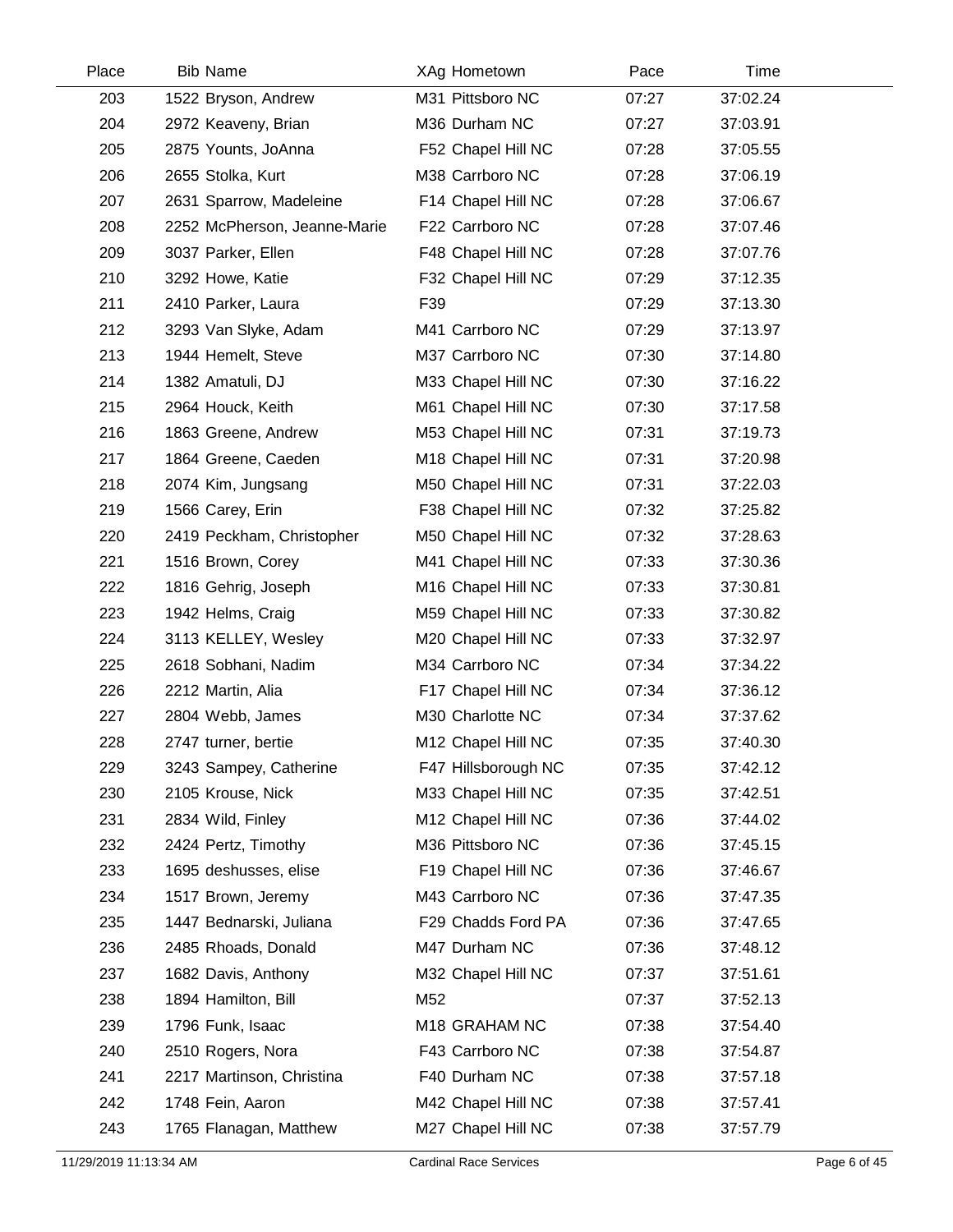| Place | <b>Bib Name</b>              | XAg Hometown              | Pace  | Time     |  |
|-------|------------------------------|---------------------------|-------|----------|--|
| 203   | 1522 Bryson, Andrew          | M31 Pittsboro NC          | 07:27 | 37:02.24 |  |
| 204   | 2972 Keaveny, Brian          | M36 Durham NC             | 07:27 | 37:03.91 |  |
| 205   | 2875 Younts, JoAnna          | F52 Chapel Hill NC        | 07:28 | 37:05.55 |  |
| 206   | 2655 Stolka, Kurt            | M38 Carrboro NC           | 07:28 | 37:06.19 |  |
| 207   | 2631 Sparrow, Madeleine      | F14 Chapel Hill NC        | 07:28 | 37:06.67 |  |
| 208   | 2252 McPherson, Jeanne-Marie | F22 Carrboro NC           | 07:28 | 37:07.46 |  |
| 209   | 3037 Parker, Ellen           | F48 Chapel Hill NC        | 07:28 | 37:07.76 |  |
| 210   | 3292 Howe, Katie             | F32 Chapel Hill NC        | 07:29 | 37:12.35 |  |
| 211   | 2410 Parker, Laura           | F39                       | 07:29 | 37:13.30 |  |
| 212   | 3293 Van Slyke, Adam         | M41 Carrboro NC           | 07:29 | 37:13.97 |  |
| 213   | 1944 Hemelt, Steve           | M37 Carrboro NC           | 07:30 | 37:14.80 |  |
| 214   | 1382 Amatuli, DJ             | M33 Chapel Hill NC        | 07:30 | 37:16.22 |  |
| 215   | 2964 Houck, Keith            | M61 Chapel Hill NC        | 07:30 | 37:17.58 |  |
| 216   | 1863 Greene, Andrew          | M53 Chapel Hill NC        | 07:31 | 37:19.73 |  |
| 217   | 1864 Greene, Caeden          | M18 Chapel Hill NC        | 07:31 | 37:20.98 |  |
| 218   | 2074 Kim, Jungsang           | M50 Chapel Hill NC        | 07:31 | 37:22.03 |  |
| 219   | 1566 Carey, Erin             | F38 Chapel Hill NC        | 07:32 | 37:25.82 |  |
| 220   | 2419 Peckham, Christopher    | M50 Chapel Hill NC        | 07:32 | 37:28.63 |  |
| 221   | 1516 Brown, Corey            | M41 Chapel Hill NC        | 07:33 | 37:30.36 |  |
| 222   | 1816 Gehrig, Joseph          | M16 Chapel Hill NC        | 07:33 | 37:30.81 |  |
| 223   | 1942 Helms, Craig            | M59 Chapel Hill NC        | 07:33 | 37:30.82 |  |
| 224   | 3113 KELLEY, Wesley          | M20 Chapel Hill NC        | 07:33 | 37:32.97 |  |
| 225   | 2618 Sobhani, Nadim          | M34 Carrboro NC           | 07:34 | 37:34.22 |  |
| 226   | 2212 Martin, Alia            | F17 Chapel Hill NC        | 07:34 | 37:36.12 |  |
| 227   | 2804 Webb, James             | M30 Charlotte NC          | 07:34 | 37:37.62 |  |
| 228   | 2747 turner, bertie          | M12 Chapel Hill NC        | 07:35 | 37:40.30 |  |
| 229   | 3243 Sampey, Catherine       | F47 Hillsborough NC       | 07:35 | 37:42.12 |  |
| 230   | 2105 Krouse, Nick            | M33 Chapel Hill NC        | 07:35 | 37:42.51 |  |
| 231   | 2834 Wild, Finley            | M12 Chapel Hill NC        | 07:36 | 37:44.02 |  |
| 232   | 2424 Pertz, Timothy          | M36 Pittsboro NC          | 07:36 | 37:45.15 |  |
| 233   | 1695 deshusses, elise        | F19 Chapel Hill NC        | 07:36 | 37:46.67 |  |
| 234   | 1517 Brown, Jeremy           | M43 Carrboro NC           | 07:36 | 37:47.35 |  |
| 235   | 1447 Bednarski, Juliana      | F29 Chadds Ford PA        | 07:36 | 37:47.65 |  |
| 236   | 2485 Rhoads, Donald          | M47 Durham NC             | 07:36 | 37:48.12 |  |
| 237   | 1682 Davis, Anthony          | M32 Chapel Hill NC        | 07:37 | 37:51.61 |  |
| 238   | 1894 Hamilton, Bill          | M52                       | 07:37 | 37:52.13 |  |
| 239   | 1796 Funk, Isaac             | M <sub>18</sub> GRAHAM NC | 07:38 | 37:54.40 |  |
| 240   | 2510 Rogers, Nora            | F43 Carrboro NC           | 07:38 | 37:54.87 |  |
| 241   | 2217 Martinson, Christina    | F40 Durham NC             | 07:38 | 37:57.18 |  |
| 242   | 1748 Fein, Aaron             | M42 Chapel Hill NC        | 07:38 | 37:57.41 |  |
| 243   | 1765 Flanagan, Matthew       | M27 Chapel Hill NC        | 07:38 | 37:57.79 |  |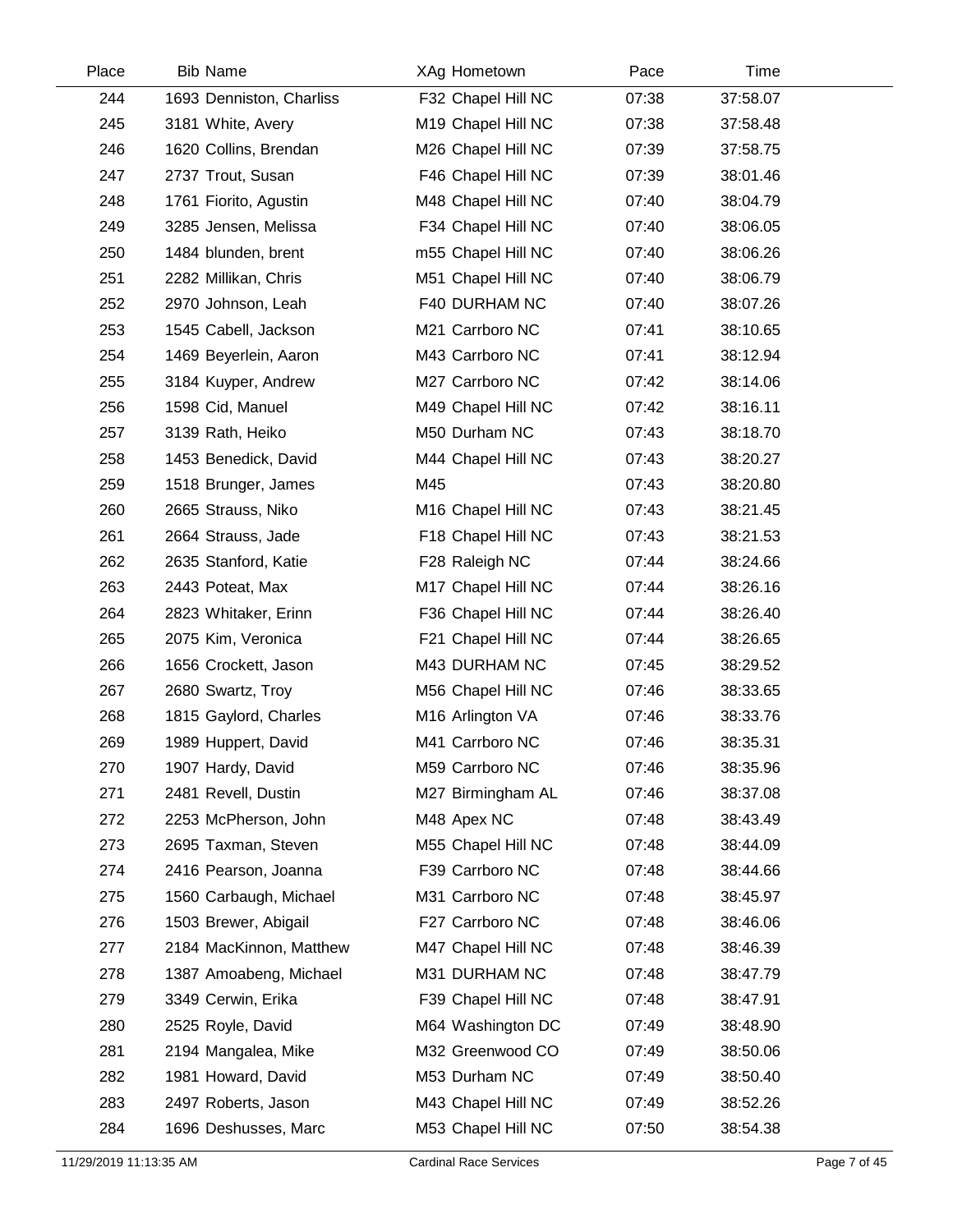| Place | <b>Bib Name</b>          | XAg Hometown                   | Pace  | Time     |  |
|-------|--------------------------|--------------------------------|-------|----------|--|
| 244   | 1693 Denniston, Charliss | F32 Chapel Hill NC             | 07:38 | 37:58.07 |  |
| 245   | 3181 White, Avery        | M19 Chapel Hill NC             | 07:38 | 37:58.48 |  |
| 246   | 1620 Collins, Brendan    | M26 Chapel Hill NC             | 07:39 | 37:58.75 |  |
| 247   | 2737 Trout, Susan        | F46 Chapel Hill NC             | 07:39 | 38:01.46 |  |
| 248   | 1761 Fiorito, Agustin    | M48 Chapel Hill NC             | 07:40 | 38:04.79 |  |
| 249   | 3285 Jensen, Melissa     | F34 Chapel Hill NC             | 07:40 | 38:06.05 |  |
| 250   | 1484 blunden, brent      | m55 Chapel Hill NC             | 07:40 | 38:06.26 |  |
| 251   | 2282 Millikan, Chris     | M51 Chapel Hill NC             | 07:40 | 38:06.79 |  |
| 252   | 2970 Johnson, Leah       | F40 DURHAM NC                  | 07:40 | 38:07.26 |  |
| 253   | 1545 Cabell, Jackson     | M21 Carrboro NC                | 07:41 | 38:10.65 |  |
| 254   | 1469 Beyerlein, Aaron    | M43 Carrboro NC                | 07:41 | 38:12.94 |  |
| 255   | 3184 Kuyper, Andrew      | M27 Carrboro NC                | 07:42 | 38:14.06 |  |
| 256   | 1598 Cid, Manuel         | M49 Chapel Hill NC             | 07:42 | 38:16.11 |  |
| 257   | 3139 Rath, Heiko         | M50 Durham NC                  | 07:43 | 38:18.70 |  |
| 258   | 1453 Benedick, David     | M44 Chapel Hill NC             | 07:43 | 38:20.27 |  |
| 259   | 1518 Brunger, James      | M45                            | 07:43 | 38:20.80 |  |
| 260   | 2665 Strauss, Niko       | M <sub>16</sub> Chapel Hill NC | 07:43 | 38:21.45 |  |
| 261   | 2664 Strauss, Jade       | F18 Chapel Hill NC             | 07:43 | 38:21.53 |  |
| 262   | 2635 Stanford, Katie     | F28 Raleigh NC                 | 07:44 | 38:24.66 |  |
| 263   | 2443 Poteat, Max         | M17 Chapel Hill NC             | 07:44 | 38:26.16 |  |
| 264   | 2823 Whitaker, Erinn     | F36 Chapel Hill NC             | 07:44 | 38:26.40 |  |
| 265   | 2075 Kim, Veronica       | F21 Chapel Hill NC             | 07:44 | 38:26.65 |  |
| 266   | 1656 Crockett, Jason     | M43 DURHAM NC                  | 07:45 | 38:29.52 |  |
| 267   | 2680 Swartz, Troy        | M56 Chapel Hill NC             | 07:46 | 38:33.65 |  |
| 268   | 1815 Gaylord, Charles    | M16 Arlington VA               | 07:46 | 38:33.76 |  |
| 269   | 1989 Huppert, David      | M41 Carrboro NC                | 07:46 | 38:35.31 |  |
| 270   | 1907 Hardy, David        | M59 Carrboro NC                | 07:46 | 38:35.96 |  |
| 271   | 2481 Revell, Dustin      | M27 Birmingham AL              | 07:46 | 38:37.08 |  |
| 272   | 2253 McPherson, John     | M48 Apex NC                    | 07:48 | 38:43.49 |  |
| 273   | 2695 Taxman, Steven      | M55 Chapel Hill NC             | 07:48 | 38:44.09 |  |
| 274   | 2416 Pearson, Joanna     | F39 Carrboro NC                | 07:48 | 38:44.66 |  |
| 275   | 1560 Carbaugh, Michael   | M31 Carrboro NC                | 07:48 | 38:45.97 |  |
| 276   | 1503 Brewer, Abigail     | F27 Carrboro NC                | 07:48 | 38:46.06 |  |
| 277   | 2184 MacKinnon, Matthew  | M47 Chapel Hill NC             | 07:48 | 38:46.39 |  |
| 278   | 1387 Amoabeng, Michael   | M31 DURHAM NC                  | 07:48 | 38:47.79 |  |
| 279   | 3349 Cerwin, Erika       | F39 Chapel Hill NC             | 07:48 | 38:47.91 |  |
| 280   | 2525 Royle, David        | M64 Washington DC              | 07:49 | 38:48.90 |  |
| 281   | 2194 Mangalea, Mike      | M32 Greenwood CO               | 07:49 | 38:50.06 |  |
| 282   | 1981 Howard, David       | M53 Durham NC                  | 07:49 | 38:50.40 |  |
| 283   | 2497 Roberts, Jason      | M43 Chapel Hill NC             | 07:49 | 38:52.26 |  |
| 284   | 1696 Deshusses, Marc     | M53 Chapel Hill NC             | 07:50 | 38:54.38 |  |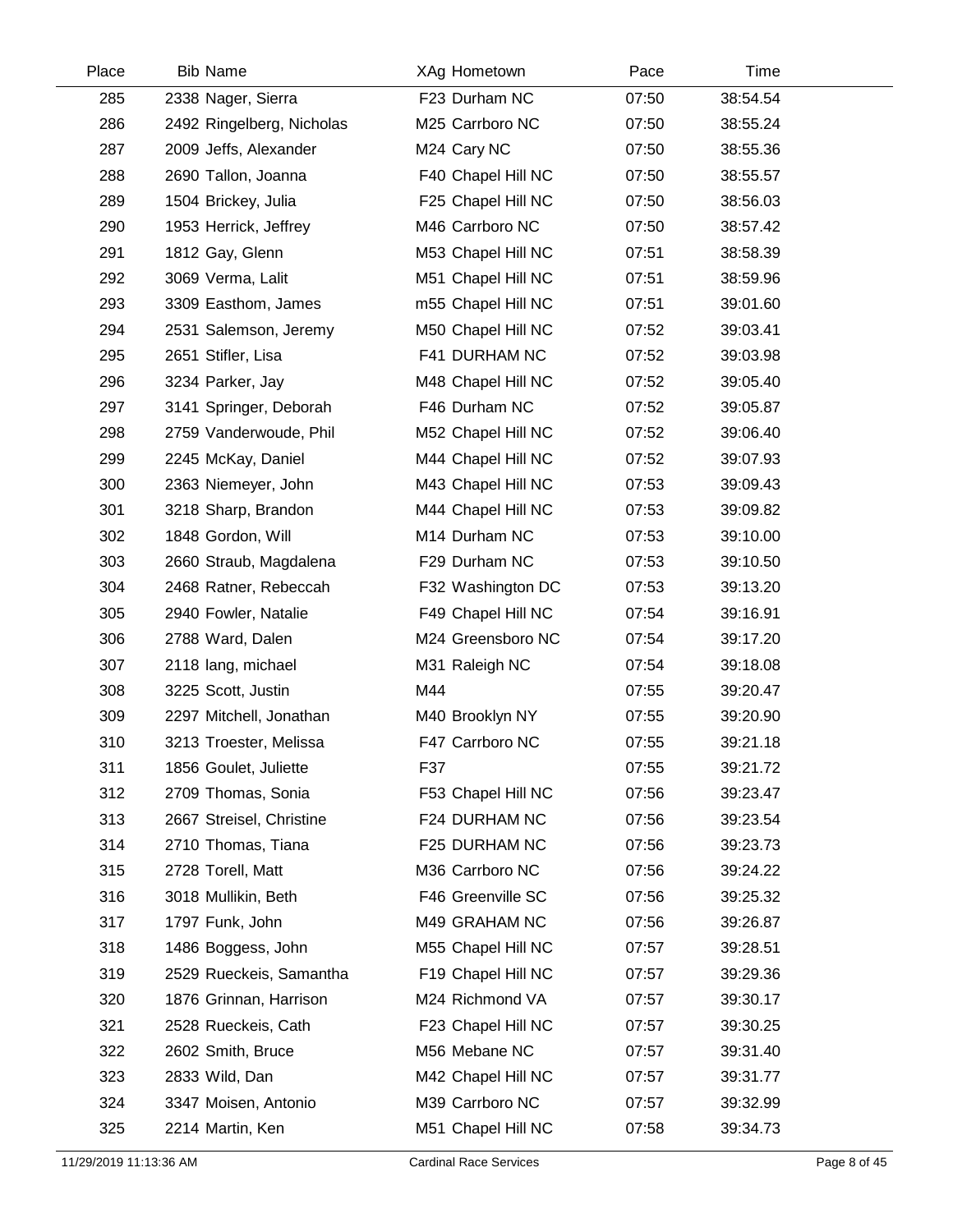| Place | <b>Bib Name</b>           | XAg Hometown       | Pace  | Time     |  |
|-------|---------------------------|--------------------|-------|----------|--|
| 285   | 2338 Nager, Sierra        | F23 Durham NC      | 07:50 | 38:54.54 |  |
| 286   | 2492 Ringelberg, Nicholas | M25 Carrboro NC    | 07:50 | 38:55.24 |  |
| 287   | 2009 Jeffs, Alexander     | M24 Cary NC        | 07:50 | 38:55.36 |  |
| 288   | 2690 Tallon, Joanna       | F40 Chapel Hill NC | 07:50 | 38:55.57 |  |
| 289   | 1504 Brickey, Julia       | F25 Chapel Hill NC | 07:50 | 38:56.03 |  |
| 290   | 1953 Herrick, Jeffrey     | M46 Carrboro NC    | 07:50 | 38:57.42 |  |
| 291   | 1812 Gay, Glenn           | M53 Chapel Hill NC | 07:51 | 38:58.39 |  |
| 292   | 3069 Verma, Lalit         | M51 Chapel Hill NC | 07:51 | 38:59.96 |  |
| 293   | 3309 Easthom, James       | m55 Chapel Hill NC | 07:51 | 39:01.60 |  |
| 294   | 2531 Salemson, Jeremy     | M50 Chapel Hill NC | 07:52 | 39:03.41 |  |
| 295   | 2651 Stifler, Lisa        | F41 DURHAM NC      | 07:52 | 39:03.98 |  |
| 296   | 3234 Parker, Jay          | M48 Chapel Hill NC | 07:52 | 39:05.40 |  |
| 297   | 3141 Springer, Deborah    | F46 Durham NC      | 07:52 | 39:05.87 |  |
| 298   | 2759 Vanderwoude, Phil    | M52 Chapel Hill NC | 07:52 | 39:06.40 |  |
| 299   | 2245 McKay, Daniel        | M44 Chapel Hill NC | 07:52 | 39:07.93 |  |
| 300   | 2363 Niemeyer, John       | M43 Chapel Hill NC | 07:53 | 39:09.43 |  |
| 301   | 3218 Sharp, Brandon       | M44 Chapel Hill NC | 07:53 | 39:09.82 |  |
| 302   | 1848 Gordon, Will         | M14 Durham NC      | 07:53 | 39:10.00 |  |
| 303   | 2660 Straub, Magdalena    | F29 Durham NC      | 07:53 | 39:10.50 |  |
| 304   | 2468 Ratner, Rebeccah     | F32 Washington DC  | 07:53 | 39:13.20 |  |
| 305   | 2940 Fowler, Natalie      | F49 Chapel Hill NC | 07:54 | 39:16.91 |  |
| 306   | 2788 Ward, Dalen          | M24 Greensboro NC  | 07:54 | 39:17.20 |  |
| 307   | 2118 lang, michael        | M31 Raleigh NC     | 07:54 | 39:18.08 |  |
| 308   | 3225 Scott, Justin        | M44                | 07:55 | 39:20.47 |  |
| 309   | 2297 Mitchell, Jonathan   | M40 Brooklyn NY    | 07:55 | 39:20.90 |  |
| 310   | 3213 Troester, Melissa    | F47 Carrboro NC    | 07:55 | 39:21.18 |  |
| 311   | 1856 Goulet, Juliette     | F37                | 07:55 | 39:21.72 |  |
| 312   | 2709 Thomas, Sonia        | F53 Chapel Hill NC | 07:56 | 39:23.47 |  |
| 313   | 2667 Streisel, Christine  | F24 DURHAM NC      | 07:56 | 39:23.54 |  |
| 314   | 2710 Thomas, Tiana        | F25 DURHAM NC      | 07:56 | 39:23.73 |  |
| 315   | 2728 Torell, Matt         | M36 Carrboro NC    | 07:56 | 39:24.22 |  |
| 316   | 3018 Mullikin, Beth       | F46 Greenville SC  | 07:56 | 39:25.32 |  |
| 317   | 1797 Funk, John           | M49 GRAHAM NC      | 07:56 | 39:26.87 |  |
| 318   | 1486 Boggess, John        | M55 Chapel Hill NC | 07:57 | 39:28.51 |  |
| 319   | 2529 Rueckeis, Samantha   | F19 Chapel Hill NC | 07:57 | 39:29.36 |  |
| 320   | 1876 Grinnan, Harrison    | M24 Richmond VA    | 07:57 | 39:30.17 |  |
| 321   | 2528 Rueckeis, Cath       | F23 Chapel Hill NC | 07:57 | 39:30.25 |  |
| 322   | 2602 Smith, Bruce         | M56 Mebane NC      | 07:57 | 39:31.40 |  |
| 323   | 2833 Wild, Dan            | M42 Chapel Hill NC | 07:57 | 39:31.77 |  |
| 324   | 3347 Moisen, Antonio      | M39 Carrboro NC    | 07:57 | 39:32.99 |  |
| 325   | 2214 Martin, Ken          | M51 Chapel Hill NC | 07:58 | 39:34.73 |  |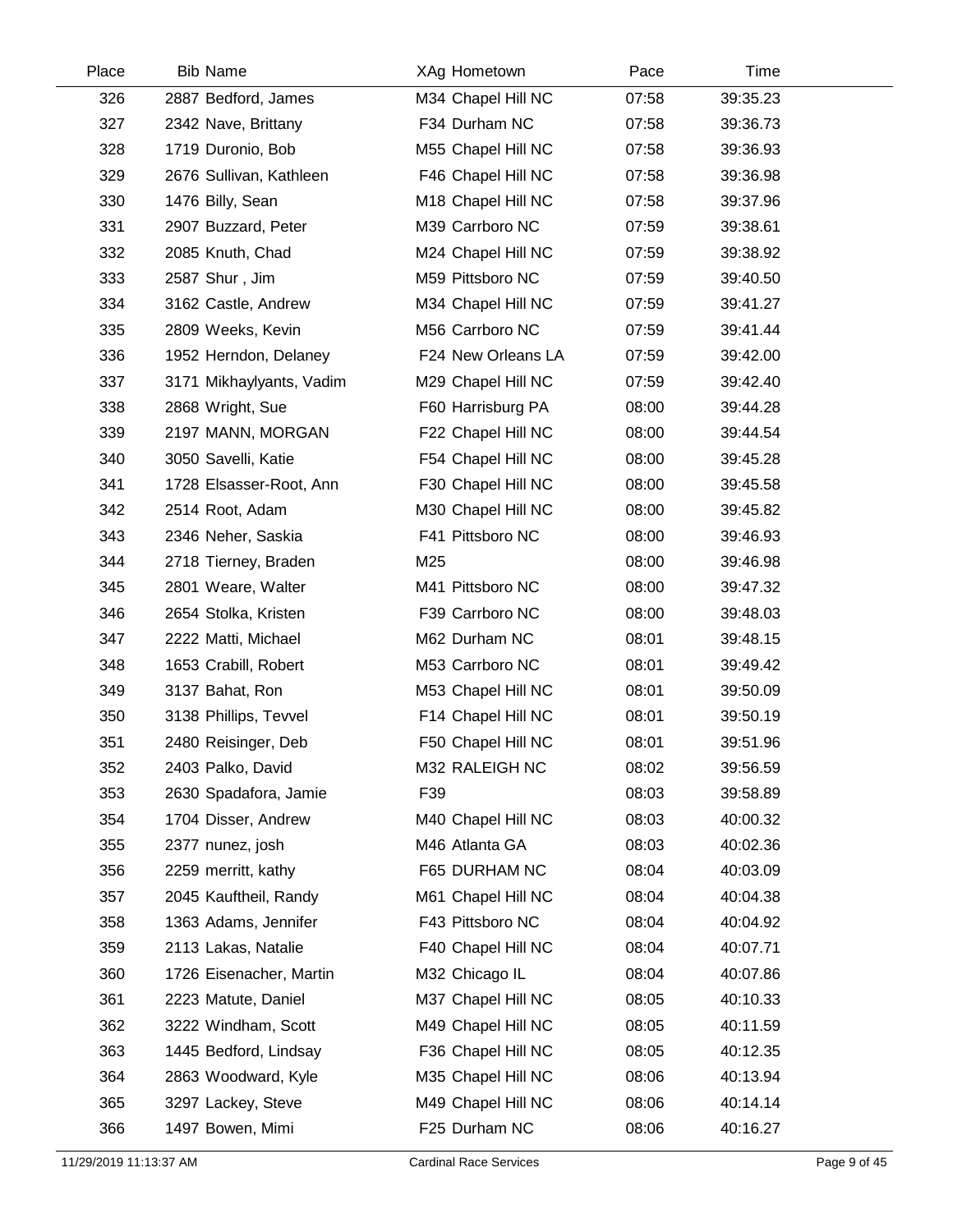| Place | <b>Bib Name</b>          |     | XAg Hometown       | Pace  |          | Time |  |
|-------|--------------------------|-----|--------------------|-------|----------|------|--|
| 326   | 2887 Bedford, James      |     | M34 Chapel Hill NC | 07:58 | 39:35.23 |      |  |
| 327   | 2342 Nave, Brittany      |     | F34 Durham NC      | 07:58 | 39:36.73 |      |  |
| 328   | 1719 Duronio, Bob        |     | M55 Chapel Hill NC | 07:58 | 39:36.93 |      |  |
| 329   | 2676 Sullivan, Kathleen  |     | F46 Chapel Hill NC | 07:58 | 39:36.98 |      |  |
| 330   | 1476 Billy, Sean         |     | M18 Chapel Hill NC | 07:58 | 39:37.96 |      |  |
| 331   | 2907 Buzzard, Peter      |     | M39 Carrboro NC    | 07:59 | 39:38.61 |      |  |
| 332   | 2085 Knuth, Chad         |     | M24 Chapel Hill NC | 07:59 | 39:38.92 |      |  |
| 333   | 2587 Shur, Jim           |     | M59 Pittsboro NC   | 07:59 | 39:40.50 |      |  |
| 334   | 3162 Castle, Andrew      |     | M34 Chapel Hill NC | 07:59 | 39:41.27 |      |  |
| 335   | 2809 Weeks, Kevin        |     | M56 Carrboro NC    | 07:59 | 39:41.44 |      |  |
| 336   | 1952 Herndon, Delaney    |     | F24 New Orleans LA | 07:59 | 39:42.00 |      |  |
| 337   | 3171 Mikhaylyants, Vadim |     | M29 Chapel Hill NC | 07:59 | 39:42.40 |      |  |
| 338   | 2868 Wright, Sue         |     | F60 Harrisburg PA  | 08:00 | 39:44.28 |      |  |
| 339   | 2197 MANN, MORGAN        |     | F22 Chapel Hill NC | 08:00 | 39:44.54 |      |  |
| 340   | 3050 Savelli, Katie      |     | F54 Chapel Hill NC | 08:00 | 39:45.28 |      |  |
| 341   | 1728 Elsasser-Root, Ann  |     | F30 Chapel Hill NC | 08:00 | 39:45.58 |      |  |
| 342   | 2514 Root, Adam          |     | M30 Chapel Hill NC | 08:00 | 39:45.82 |      |  |
| 343   | 2346 Neher, Saskia       |     | F41 Pittsboro NC   | 08:00 | 39:46.93 |      |  |
| 344   | 2718 Tierney, Braden     | M25 |                    | 08:00 | 39:46.98 |      |  |
| 345   | 2801 Weare, Walter       |     | M41 Pittsboro NC   | 08:00 | 39:47.32 |      |  |
| 346   | 2654 Stolka, Kristen     |     | F39 Carrboro NC    | 08:00 | 39:48.03 |      |  |
| 347   | 2222 Matti, Michael      |     | M62 Durham NC      | 08:01 | 39:48.15 |      |  |
| 348   | 1653 Crabill, Robert     |     | M53 Carrboro NC    | 08:01 | 39:49.42 |      |  |
| 349   | 3137 Bahat, Ron          |     | M53 Chapel Hill NC | 08:01 | 39:50.09 |      |  |
| 350   | 3138 Phillips, Tevvel    |     | F14 Chapel Hill NC | 08:01 | 39:50.19 |      |  |
| 351   | 2480 Reisinger, Deb      |     | F50 Chapel Hill NC | 08:01 | 39:51.96 |      |  |
| 352   | 2403 Palko, David        |     | M32 RALEIGH NC     | 08:02 | 39:56.59 |      |  |
| 353   | 2630 Spadafora, Jamie    | F39 |                    | 08:03 | 39:58.89 |      |  |
| 354   | 1704 Disser, Andrew      |     | M40 Chapel Hill NC | 08:03 | 40:00.32 |      |  |
| 355   | 2377 nunez, josh         |     | M46 Atlanta GA     | 08:03 | 40:02.36 |      |  |
| 356   | 2259 merritt, kathy      |     | F65 DURHAM NC      | 08:04 | 40:03.09 |      |  |
| 357   | 2045 Kauftheil, Randy    |     | M61 Chapel Hill NC | 08:04 | 40:04.38 |      |  |
| 358   | 1363 Adams, Jennifer     |     | F43 Pittsboro NC   | 08:04 | 40:04.92 |      |  |
| 359   | 2113 Lakas, Natalie      |     | F40 Chapel Hill NC | 08:04 | 40:07.71 |      |  |
| 360   | 1726 Eisenacher, Martin  |     | M32 Chicago IL     | 08:04 | 40:07.86 |      |  |
| 361   | 2223 Matute, Daniel      |     | M37 Chapel Hill NC | 08:05 | 40:10.33 |      |  |
| 362   | 3222 Windham, Scott      |     | M49 Chapel Hill NC | 08:05 | 40:11.59 |      |  |
| 363   | 1445 Bedford, Lindsay    |     | F36 Chapel Hill NC | 08:05 | 40:12.35 |      |  |
| 364   | 2863 Woodward, Kyle      |     | M35 Chapel Hill NC | 08:06 | 40:13.94 |      |  |
| 365   | 3297 Lackey, Steve       |     | M49 Chapel Hill NC | 08:06 | 40:14.14 |      |  |
| 366   | 1497 Bowen, Mimi         |     | F25 Durham NC      | 08:06 | 40:16.27 |      |  |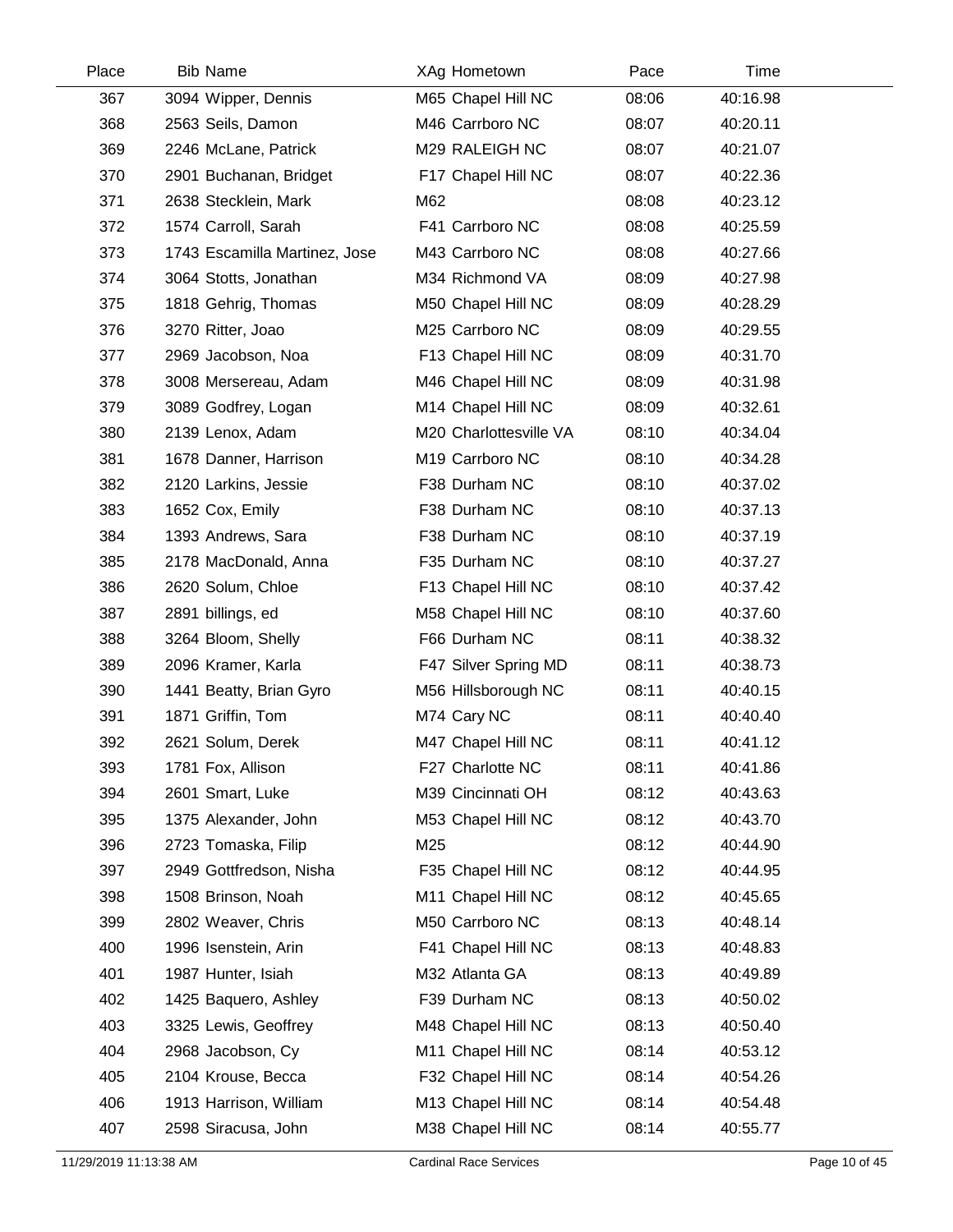| Place | <b>Bib Name</b>               | XAg Hometown           | Pace  | Time     |  |
|-------|-------------------------------|------------------------|-------|----------|--|
| 367   | 3094 Wipper, Dennis           | M65 Chapel Hill NC     | 08:06 | 40:16.98 |  |
| 368   | 2563 Seils, Damon             | M46 Carrboro NC        | 08:07 | 40:20.11 |  |
| 369   | 2246 McLane, Patrick          | M29 RALEIGH NC         | 08:07 | 40:21.07 |  |
| 370   | 2901 Buchanan, Bridget        | F17 Chapel Hill NC     | 08:07 | 40:22.36 |  |
| 371   | 2638 Stecklein, Mark          | M62                    | 08:08 | 40:23.12 |  |
| 372   | 1574 Carroll, Sarah           | F41 Carrboro NC        | 08:08 | 40:25.59 |  |
| 373   | 1743 Escamilla Martinez, Jose | M43 Carrboro NC        | 08:08 | 40:27.66 |  |
| 374   | 3064 Stotts, Jonathan         | M34 Richmond VA        | 08:09 | 40:27.98 |  |
| 375   | 1818 Gehrig, Thomas           | M50 Chapel Hill NC     | 08:09 | 40:28.29 |  |
| 376   | 3270 Ritter, Joao             | M25 Carrboro NC        | 08:09 | 40:29.55 |  |
| 377   | 2969 Jacobson, Noa            | F13 Chapel Hill NC     | 08:09 | 40:31.70 |  |
| 378   | 3008 Mersereau, Adam          | M46 Chapel Hill NC     | 08:09 | 40:31.98 |  |
| 379   | 3089 Godfrey, Logan           | M14 Chapel Hill NC     | 08:09 | 40:32.61 |  |
| 380   | 2139 Lenox, Adam              | M20 Charlottesville VA | 08:10 | 40:34.04 |  |
| 381   | 1678 Danner, Harrison         | M19 Carrboro NC        | 08:10 | 40:34.28 |  |
| 382   | 2120 Larkins, Jessie          | F38 Durham NC          | 08:10 | 40:37.02 |  |
| 383   | 1652 Cox, Emily               | F38 Durham NC          | 08:10 | 40:37.13 |  |
| 384   | 1393 Andrews, Sara            | F38 Durham NC          | 08:10 | 40:37.19 |  |
| 385   | 2178 MacDonald, Anna          | F35 Durham NC          | 08:10 | 40:37.27 |  |
| 386   | 2620 Solum, Chloe             | F13 Chapel Hill NC     | 08:10 | 40:37.42 |  |
| 387   | 2891 billings, ed             | M58 Chapel Hill NC     | 08:10 | 40:37.60 |  |
| 388   | 3264 Bloom, Shelly            | F66 Durham NC          | 08:11 | 40:38.32 |  |
| 389   | 2096 Kramer, Karla            | F47 Silver Spring MD   | 08:11 | 40:38.73 |  |
| 390   | 1441 Beatty, Brian Gyro       | M56 Hillsborough NC    | 08:11 | 40:40.15 |  |
| 391   | 1871 Griffin, Tom             | M74 Cary NC            | 08:11 | 40:40.40 |  |
| 392   | 2621 Solum, Derek             | M47 Chapel Hill NC     | 08:11 | 40:41.12 |  |
| 393   | 1781 Fox, Allison             | F27 Charlotte NC       | 08:11 | 40:41.86 |  |
| 394   | 2601 Smart, Luke              | M39 Cincinnati OH      | 08:12 | 40:43.63 |  |
| 395   | 1375 Alexander, John          | M53 Chapel Hill NC     | 08:12 | 40:43.70 |  |
| 396   | 2723 Tomaska, Filip           | M25                    | 08:12 | 40:44.90 |  |
| 397   | 2949 Gottfredson, Nisha       | F35 Chapel Hill NC     | 08:12 | 40:44.95 |  |
| 398   | 1508 Brinson, Noah            | M11 Chapel Hill NC     | 08:12 | 40:45.65 |  |
| 399   | 2802 Weaver, Chris            | M50 Carrboro NC        | 08:13 | 40:48.14 |  |
| 400   | 1996 Isenstein, Arin          | F41 Chapel Hill NC     | 08:13 | 40:48.83 |  |
| 401   | 1987 Hunter, Isiah            | M32 Atlanta GA         | 08:13 | 40:49.89 |  |
| 402   | 1425 Baquero, Ashley          | F39 Durham NC          | 08:13 | 40:50.02 |  |
| 403   | 3325 Lewis, Geoffrey          | M48 Chapel Hill NC     | 08:13 | 40:50.40 |  |
| 404   | 2968 Jacobson, Cy             | M11 Chapel Hill NC     | 08:14 | 40:53.12 |  |
| 405   | 2104 Krouse, Becca            | F32 Chapel Hill NC     | 08:14 | 40:54.26 |  |
| 406   | 1913 Harrison, William        | M13 Chapel Hill NC     | 08:14 | 40:54.48 |  |
| 407   | 2598 Siracusa, John           | M38 Chapel Hill NC     | 08:14 | 40:55.77 |  |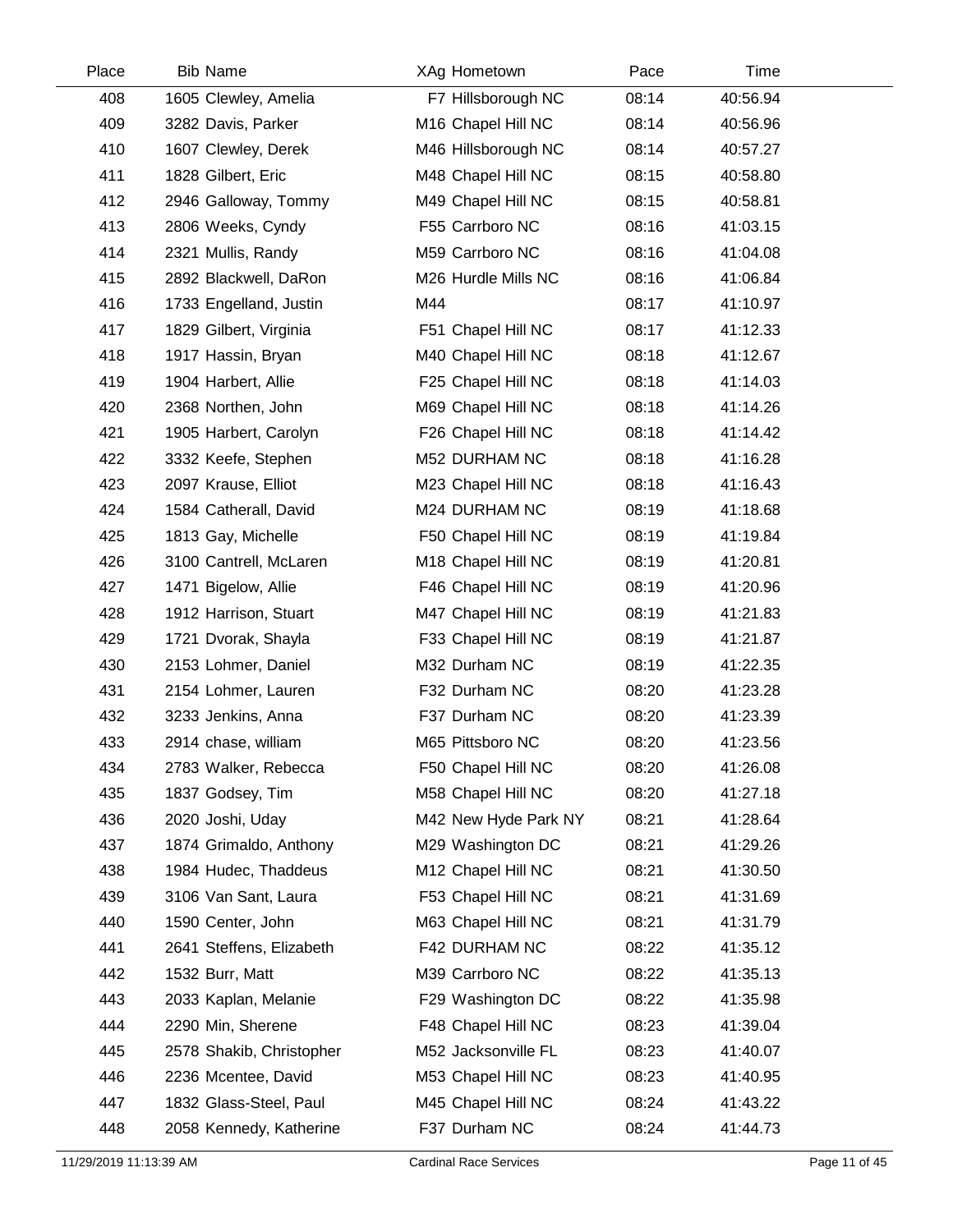| Place | <b>Bib Name</b>          | XAg Hometown         | Pace  | Time     |  |
|-------|--------------------------|----------------------|-------|----------|--|
| 408   | 1605 Clewley, Amelia     | F7 Hillsborough NC   | 08:14 | 40:56.94 |  |
| 409   | 3282 Davis, Parker       | M16 Chapel Hill NC   | 08:14 | 40:56.96 |  |
| 410   | 1607 Clewley, Derek      | M46 Hillsborough NC  | 08:14 | 40:57.27 |  |
| 411   | 1828 Gilbert, Eric       | M48 Chapel Hill NC   | 08:15 | 40:58.80 |  |
| 412   | 2946 Galloway, Tommy     | M49 Chapel Hill NC   | 08:15 | 40:58.81 |  |
| 413   | 2806 Weeks, Cyndy        | F55 Carrboro NC      | 08:16 | 41:03.15 |  |
| 414   | 2321 Mullis, Randy       | M59 Carrboro NC      | 08:16 | 41:04.08 |  |
| 415   | 2892 Blackwell, DaRon    | M26 Hurdle Mills NC  | 08:16 | 41:06.84 |  |
| 416   | 1733 Engelland, Justin   | M44                  | 08:17 | 41:10.97 |  |
| 417   | 1829 Gilbert, Virginia   | F51 Chapel Hill NC   | 08:17 | 41:12.33 |  |
| 418   | 1917 Hassin, Bryan       | M40 Chapel Hill NC   | 08:18 | 41:12.67 |  |
| 419   | 1904 Harbert, Allie      | F25 Chapel Hill NC   | 08:18 | 41:14.03 |  |
| 420   | 2368 Northen, John       | M69 Chapel Hill NC   | 08:18 | 41:14.26 |  |
| 421   | 1905 Harbert, Carolyn    | F26 Chapel Hill NC   | 08:18 | 41:14.42 |  |
| 422   | 3332 Keefe, Stephen      | M52 DURHAM NC        | 08:18 | 41:16.28 |  |
| 423   | 2097 Krause, Elliot      | M23 Chapel Hill NC   | 08:18 | 41:16.43 |  |
| 424   | 1584 Catherall, David    | M24 DURHAM NC        | 08:19 | 41:18.68 |  |
| 425   | 1813 Gay, Michelle       | F50 Chapel Hill NC   | 08:19 | 41:19.84 |  |
| 426   | 3100 Cantrell, McLaren   | M18 Chapel Hill NC   | 08:19 | 41:20.81 |  |
| 427   | 1471 Bigelow, Allie      | F46 Chapel Hill NC   | 08:19 | 41:20.96 |  |
| 428   | 1912 Harrison, Stuart    | M47 Chapel Hill NC   | 08:19 | 41:21.83 |  |
| 429   | 1721 Dvorak, Shayla      | F33 Chapel Hill NC   | 08:19 | 41:21.87 |  |
| 430   | 2153 Lohmer, Daniel      | M32 Durham NC        | 08:19 | 41:22.35 |  |
| 431   | 2154 Lohmer, Lauren      | F32 Durham NC        | 08:20 | 41:23.28 |  |
| 432   | 3233 Jenkins, Anna       | F37 Durham NC        | 08:20 | 41:23.39 |  |
| 433   | 2914 chase, william      | M65 Pittsboro NC     | 08:20 | 41:23.56 |  |
| 434   | 2783 Walker, Rebecca     | F50 Chapel Hill NC   | 08:20 | 41:26.08 |  |
| 435   | 1837 Godsey, Tim         | M58 Chapel Hill NC   | 08:20 | 41:27.18 |  |
| 436   | 2020 Joshi, Uday         | M42 New Hyde Park NY | 08:21 | 41:28.64 |  |
| 437   | 1874 Grimaldo, Anthony   | M29 Washington DC    | 08:21 | 41:29.26 |  |
| 438   | 1984 Hudec, Thaddeus     | M12 Chapel Hill NC   | 08:21 | 41:30.50 |  |
| 439   | 3106 Van Sant, Laura     | F53 Chapel Hill NC   | 08:21 | 41:31.69 |  |
| 440   | 1590 Center, John        | M63 Chapel Hill NC   | 08:21 | 41:31.79 |  |
| 441   | 2641 Steffens, Elizabeth | F42 DURHAM NC        | 08:22 | 41:35.12 |  |
| 442   | 1532 Burr, Matt          | M39 Carrboro NC      | 08:22 | 41:35.13 |  |
| 443   | 2033 Kaplan, Melanie     | F29 Washington DC    | 08:22 | 41:35.98 |  |
| 444   | 2290 Min, Sherene        | F48 Chapel Hill NC   | 08:23 | 41:39.04 |  |
| 445   | 2578 Shakib, Christopher | M52 Jacksonville FL  | 08:23 | 41:40.07 |  |
| 446   | 2236 Mcentee, David      | M53 Chapel Hill NC   | 08:23 | 41:40.95 |  |
| 447   | 1832 Glass-Steel, Paul   | M45 Chapel Hill NC   | 08:24 | 41:43.22 |  |
| 448   | 2058 Kennedy, Katherine  | F37 Durham NC        | 08:24 | 41:44.73 |  |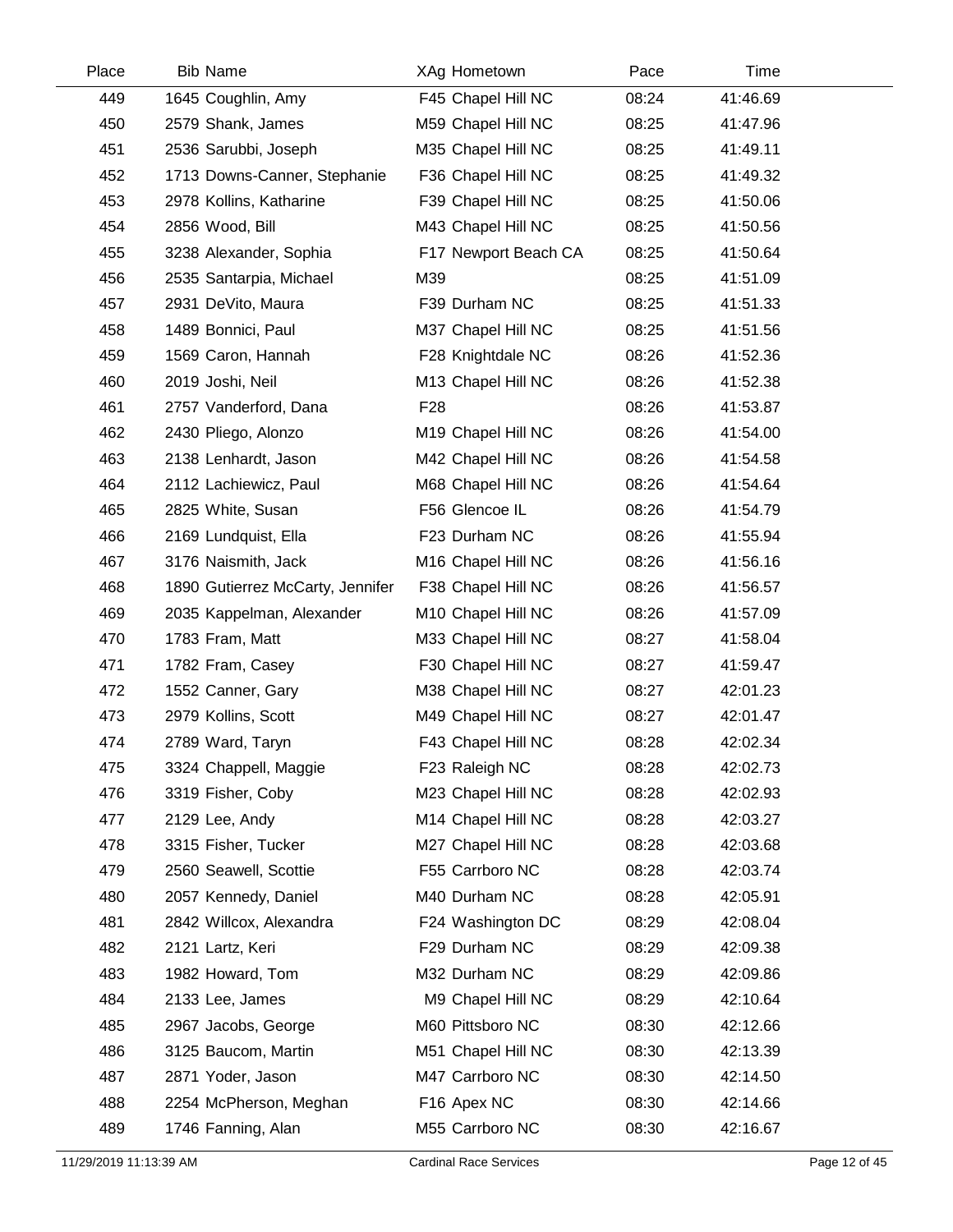| Place | <b>Bib Name</b>         |                                  |                 | XAg Hometown         | Pace  | Time     |  |
|-------|-------------------------|----------------------------------|-----------------|----------------------|-------|----------|--|
| 449   | 1645 Coughlin, Amy      |                                  |                 | F45 Chapel Hill NC   | 08:24 | 41:46.69 |  |
| 450   | 2579 Shank, James       |                                  |                 | M59 Chapel Hill NC   | 08:25 | 41:47.96 |  |
| 451   | 2536 Sarubbi, Joseph    |                                  |                 | M35 Chapel Hill NC   | 08:25 | 41:49.11 |  |
| 452   |                         | 1713 Downs-Canner, Stephanie     |                 | F36 Chapel Hill NC   | 08:25 | 41:49.32 |  |
| 453   | 2978 Kollins, Katharine |                                  |                 | F39 Chapel Hill NC   | 08:25 | 41:50.06 |  |
| 454   | 2856 Wood, Bill         |                                  |                 | M43 Chapel Hill NC   | 08:25 | 41:50.56 |  |
| 455   | 3238 Alexander, Sophia  |                                  |                 | F17 Newport Beach CA | 08:25 | 41:50.64 |  |
| 456   | 2535 Santarpia, Michael |                                  | M39             |                      | 08:25 | 41:51.09 |  |
| 457   | 2931 DeVito, Maura      |                                  |                 | F39 Durham NC        | 08:25 | 41:51.33 |  |
| 458   | 1489 Bonnici, Paul      |                                  |                 | M37 Chapel Hill NC   | 08:25 | 41:51.56 |  |
| 459   | 1569 Caron, Hannah      |                                  |                 | F28 Knightdale NC    | 08:26 | 41:52.36 |  |
| 460   | 2019 Joshi, Neil        |                                  |                 | M13 Chapel Hill NC   | 08:26 | 41:52.38 |  |
| 461   | 2757 Vanderford, Dana   |                                  | F <sub>28</sub> |                      | 08:26 | 41:53.87 |  |
| 462   | 2430 Pliego, Alonzo     |                                  |                 | M19 Chapel Hill NC   | 08:26 | 41:54.00 |  |
| 463   | 2138 Lenhardt, Jason    |                                  |                 | M42 Chapel Hill NC   | 08:26 | 41:54.58 |  |
| 464   | 2112 Lachiewicz, Paul   |                                  |                 | M68 Chapel Hill NC   | 08:26 | 41:54.64 |  |
| 465   | 2825 White, Susan       |                                  |                 | F56 Glencoe IL       | 08:26 | 41:54.79 |  |
| 466   | 2169 Lundquist, Ella    |                                  |                 | F23 Durham NC        | 08:26 | 41:55.94 |  |
| 467   | 3176 Naismith, Jack     |                                  |                 | M16 Chapel Hill NC   | 08:26 | 41:56.16 |  |
| 468   |                         | 1890 Gutierrez McCarty, Jennifer |                 | F38 Chapel Hill NC   | 08:26 | 41:56.57 |  |
| 469   |                         | 2035 Kappelman, Alexander        |                 | M10 Chapel Hill NC   | 08:26 | 41:57.09 |  |
| 470   | 1783 Fram, Matt         |                                  |                 | M33 Chapel Hill NC   | 08:27 | 41:58.04 |  |
| 471   | 1782 Fram, Casey        |                                  |                 | F30 Chapel Hill NC   | 08:27 | 41:59.47 |  |
| 472   | 1552 Canner, Gary       |                                  |                 | M38 Chapel Hill NC   | 08:27 | 42:01.23 |  |
| 473   | 2979 Kollins, Scott     |                                  |                 | M49 Chapel Hill NC   | 08:27 | 42:01.47 |  |
| 474   | 2789 Ward, Taryn        |                                  |                 | F43 Chapel Hill NC   | 08:28 | 42:02.34 |  |
| 475   | 3324 Chappell, Maggie   |                                  |                 | F23 Raleigh NC       | 08:28 | 42:02.73 |  |
| 476   | 3319 Fisher, Coby       |                                  |                 | M23 Chapel Hill NC   | 08:28 | 42:02.93 |  |
| 477   | 2129 Lee, Andy          |                                  |                 | M14 Chapel Hill NC   | 08:28 | 42:03.27 |  |
| 478   | 3315 Fisher, Tucker     |                                  |                 | M27 Chapel Hill NC   | 08:28 | 42:03.68 |  |
| 479   | 2560 Seawell, Scottie   |                                  |                 | F55 Carrboro NC      | 08:28 | 42:03.74 |  |
| 480   | 2057 Kennedy, Daniel    |                                  |                 | M40 Durham NC        | 08:28 | 42:05.91 |  |
| 481   | 2842 Willcox, Alexandra |                                  |                 | F24 Washington DC    | 08:29 | 42:08.04 |  |
| 482   | 2121 Lartz, Keri        |                                  |                 | F29 Durham NC        | 08:29 | 42:09.38 |  |
| 483   | 1982 Howard, Tom        |                                  |                 | M32 Durham NC        | 08:29 | 42:09.86 |  |
| 484   | 2133 Lee, James         |                                  |                 | M9 Chapel Hill NC    | 08:29 | 42:10.64 |  |
| 485   | 2967 Jacobs, George     |                                  |                 | M60 Pittsboro NC     | 08:30 | 42:12.66 |  |
| 486   | 3125 Baucom, Martin     |                                  |                 | M51 Chapel Hill NC   | 08:30 | 42:13.39 |  |
| 487   | 2871 Yoder, Jason       |                                  |                 | M47 Carrboro NC      | 08:30 | 42:14.50 |  |
| 488   |                         | 2254 McPherson, Meghan           |                 | F16 Apex NC          | 08:30 | 42:14.66 |  |
| 489   | 1746 Fanning, Alan      |                                  |                 | M55 Carrboro NC      | 08:30 | 42:16.67 |  |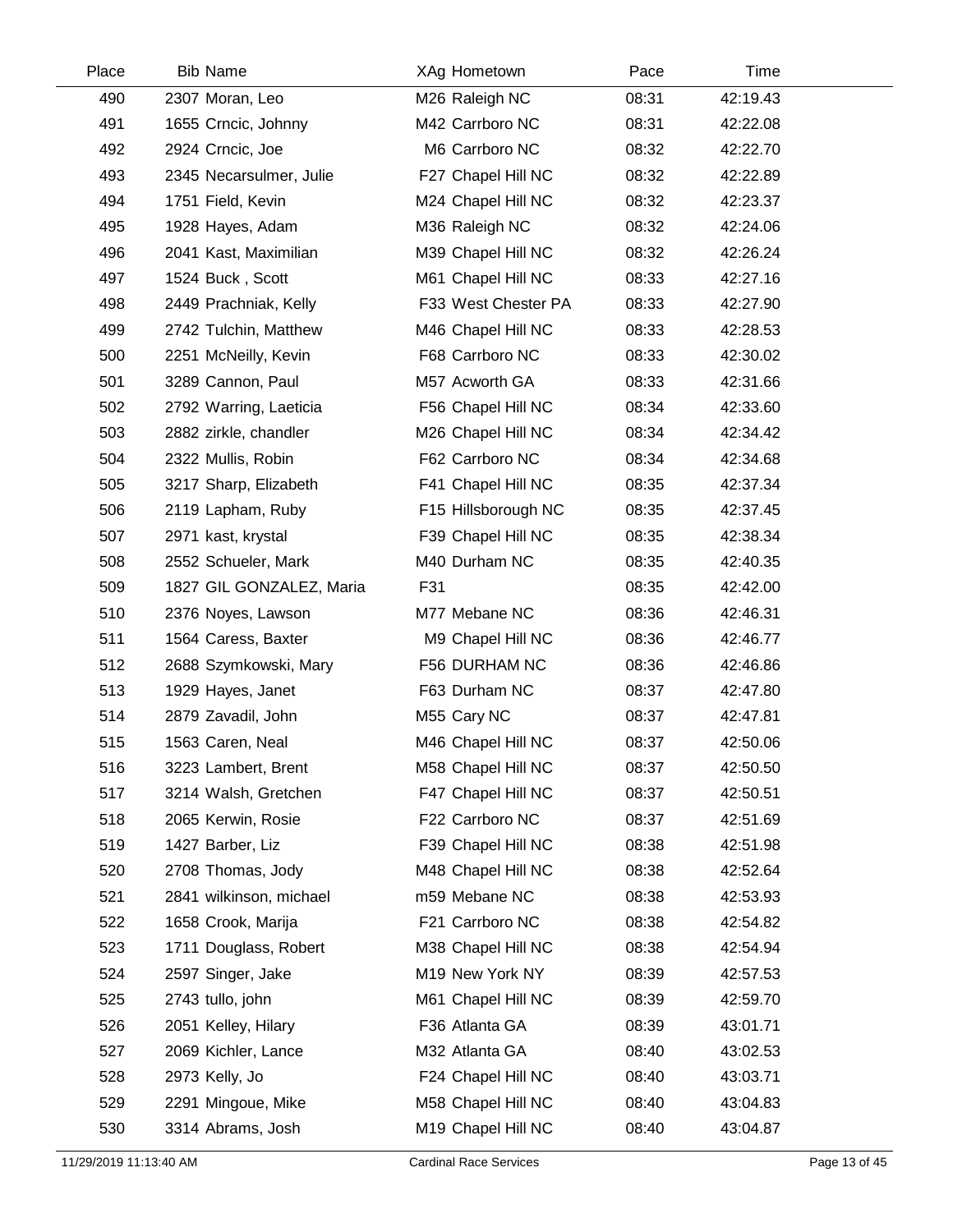| Place | <b>Bib Name</b>          | XAg Hometown        | Pace  | Time     |  |
|-------|--------------------------|---------------------|-------|----------|--|
| 490   | 2307 Moran, Leo          | M26 Raleigh NC      | 08:31 | 42:19.43 |  |
| 491   | 1655 Crncic, Johnny      | M42 Carrboro NC     | 08:31 | 42:22.08 |  |
| 492   | 2924 Crncic, Joe         | M6 Carrboro NC      | 08:32 | 42:22.70 |  |
| 493   | 2345 Necarsulmer, Julie  | F27 Chapel Hill NC  | 08:32 | 42:22.89 |  |
| 494   | 1751 Field, Kevin        | M24 Chapel Hill NC  | 08:32 | 42:23.37 |  |
| 495   | 1928 Hayes, Adam         | M36 Raleigh NC      | 08:32 | 42:24.06 |  |
| 496   | 2041 Kast, Maximilian    | M39 Chapel Hill NC  | 08:32 | 42:26.24 |  |
| 497   | 1524 Buck, Scott         | M61 Chapel Hill NC  | 08:33 | 42:27.16 |  |
| 498   | 2449 Prachniak, Kelly    | F33 West Chester PA | 08:33 | 42:27.90 |  |
| 499   | 2742 Tulchin, Matthew    | M46 Chapel Hill NC  | 08:33 | 42:28.53 |  |
| 500   | 2251 McNeilly, Kevin     | F68 Carrboro NC     | 08:33 | 42:30.02 |  |
| 501   | 3289 Cannon, Paul        | M57 Acworth GA      | 08:33 | 42:31.66 |  |
| 502   | 2792 Warring, Laeticia   | F56 Chapel Hill NC  | 08:34 | 42:33.60 |  |
| 503   | 2882 zirkle, chandler    | M26 Chapel Hill NC  | 08:34 | 42:34.42 |  |
| 504   | 2322 Mullis, Robin       | F62 Carrboro NC     | 08:34 | 42:34.68 |  |
| 505   | 3217 Sharp, Elizabeth    | F41 Chapel Hill NC  | 08:35 | 42:37.34 |  |
| 506   | 2119 Lapham, Ruby        | F15 Hillsborough NC | 08:35 | 42:37.45 |  |
| 507   | 2971 kast, krystal       | F39 Chapel Hill NC  | 08:35 | 42:38.34 |  |
| 508   | 2552 Schueler, Mark      | M40 Durham NC       | 08:35 | 42:40.35 |  |
| 509   | 1827 GIL GONZALEZ, Maria | F31                 | 08:35 | 42:42.00 |  |
| 510   | 2376 Noyes, Lawson       | M77 Mebane NC       | 08:36 | 42:46.31 |  |
| 511   | 1564 Caress, Baxter      | M9 Chapel Hill NC   | 08:36 | 42:46.77 |  |
| 512   | 2688 Szymkowski, Mary    | F56 DURHAM NC       | 08:36 | 42:46.86 |  |
| 513   | 1929 Hayes, Janet        | F63 Durham NC       | 08:37 | 42:47.80 |  |
| 514   | 2879 Zavadil, John       | M55 Cary NC         | 08:37 | 42:47.81 |  |
| 515   | 1563 Caren, Neal         | M46 Chapel Hill NC  | 08:37 | 42:50.06 |  |
| 516   | 3223 Lambert, Brent      | M58 Chapel Hill NC  | 08:37 | 42:50.50 |  |
| 517   | 3214 Walsh, Gretchen     | F47 Chapel Hill NC  | 08:37 | 42:50.51 |  |
| 518   | 2065 Kerwin, Rosie       | F22 Carrboro NC     | 08:37 | 42:51.69 |  |
| 519   | 1427 Barber, Liz         | F39 Chapel Hill NC  | 08:38 | 42:51.98 |  |
| 520   | 2708 Thomas, Jody        | M48 Chapel Hill NC  | 08:38 | 42:52.64 |  |
| 521   | 2841 wilkinson, michael  | m59 Mebane NC       | 08:38 | 42:53.93 |  |
| 522   | 1658 Crook, Marija       | F21 Carrboro NC     | 08:38 | 42:54.82 |  |
| 523   | 1711 Douglass, Robert    | M38 Chapel Hill NC  | 08:38 | 42:54.94 |  |
| 524   | 2597 Singer, Jake        | M19 New York NY     | 08:39 | 42:57.53 |  |
| 525   | 2743 tullo, john         | M61 Chapel Hill NC  | 08:39 | 42:59.70 |  |
| 526   | 2051 Kelley, Hilary      | F36 Atlanta GA      | 08:39 | 43:01.71 |  |
| 527   | 2069 Kichler, Lance      | M32 Atlanta GA      | 08:40 | 43:02.53 |  |
| 528   | 2973 Kelly, Jo           | F24 Chapel Hill NC  | 08:40 | 43:03.71 |  |
| 529   | 2291 Mingoue, Mike       | M58 Chapel Hill NC  | 08:40 | 43:04.83 |  |
| 530   | 3314 Abrams, Josh        | M19 Chapel Hill NC  | 08:40 | 43:04.87 |  |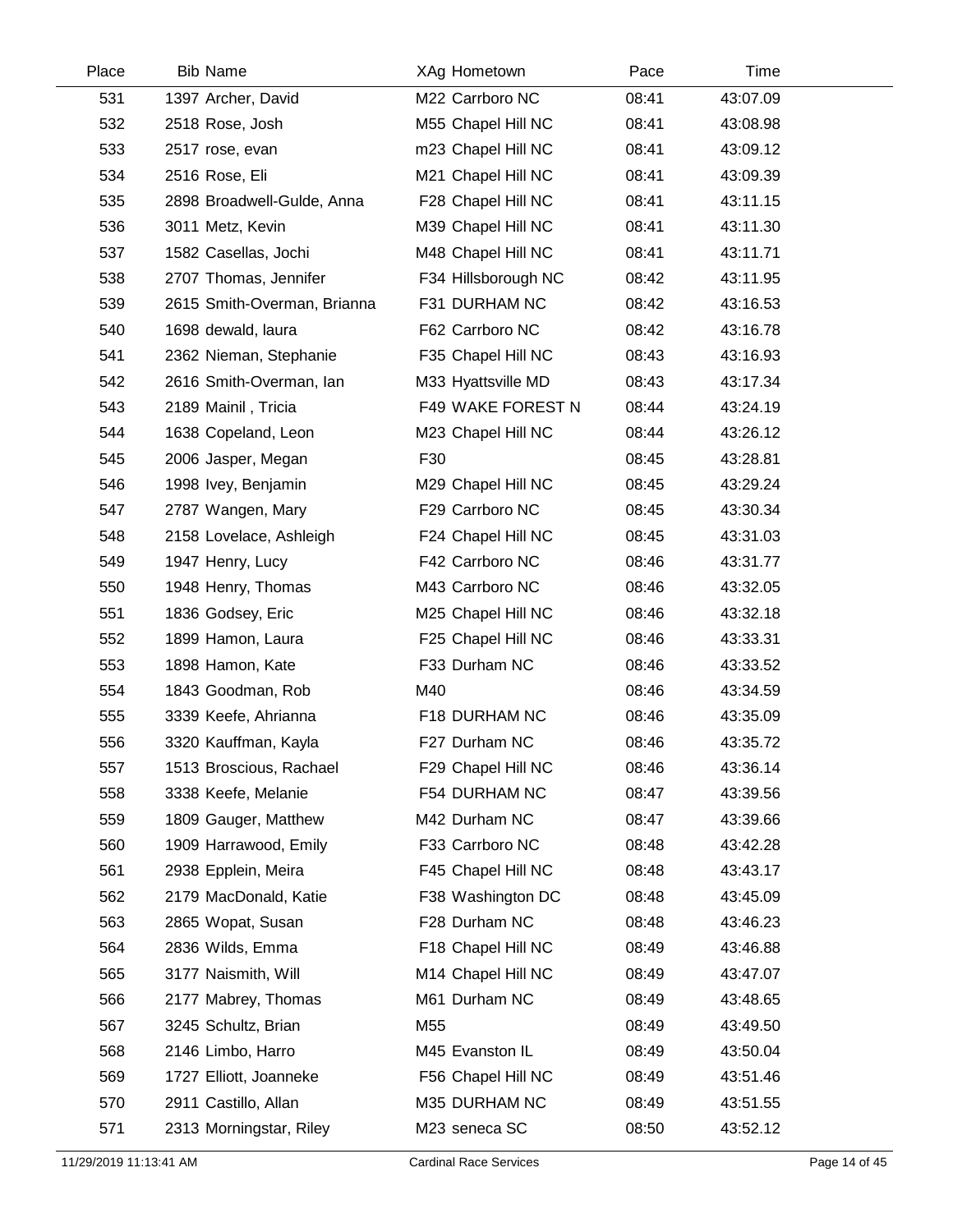| Place | <b>Bib Name</b>             |                 | XAg Hometown        | Pace  | Time     |  |
|-------|-----------------------------|-----------------|---------------------|-------|----------|--|
| 531   | 1397 Archer, David          |                 | M22 Carrboro NC     | 08:41 | 43:07.09 |  |
| 532   | 2518 Rose, Josh             |                 | M55 Chapel Hill NC  | 08:41 | 43:08.98 |  |
| 533   | 2517 rose, evan             |                 | m23 Chapel Hill NC  | 08:41 | 43:09.12 |  |
| 534   | 2516 Rose, Eli              |                 | M21 Chapel Hill NC  | 08:41 | 43:09.39 |  |
| 535   | 2898 Broadwell-Gulde, Anna  |                 | F28 Chapel Hill NC  | 08:41 | 43:11.15 |  |
| 536   | 3011 Metz, Kevin            |                 | M39 Chapel Hill NC  | 08:41 | 43:11.30 |  |
| 537   | 1582 Casellas, Jochi        |                 | M48 Chapel Hill NC  | 08:41 | 43:11.71 |  |
| 538   | 2707 Thomas, Jennifer       |                 | F34 Hillsborough NC | 08:42 | 43:11.95 |  |
| 539   | 2615 Smith-Overman, Brianna |                 | F31 DURHAM NC       | 08:42 | 43:16.53 |  |
| 540   | 1698 dewald, laura          |                 | F62 Carrboro NC     | 08:42 | 43:16.78 |  |
| 541   | 2362 Nieman, Stephanie      |                 | F35 Chapel Hill NC  | 08:43 | 43:16.93 |  |
| 542   | 2616 Smith-Overman, lan     |                 | M33 Hyattsville MD  | 08:43 | 43:17.34 |  |
| 543   | 2189 Mainil, Tricia         |                 | F49 WAKE FOREST N   | 08:44 | 43:24.19 |  |
| 544   | 1638 Copeland, Leon         |                 | M23 Chapel Hill NC  | 08:44 | 43:26.12 |  |
| 545   | 2006 Jasper, Megan          | F30             |                     | 08:45 | 43:28.81 |  |
| 546   | 1998 Ivey, Benjamin         |                 | M29 Chapel Hill NC  | 08:45 | 43:29.24 |  |
| 547   | 2787 Wangen, Mary           |                 | F29 Carrboro NC     | 08:45 | 43:30.34 |  |
| 548   | 2158 Lovelace, Ashleigh     |                 | F24 Chapel Hill NC  | 08:45 | 43:31.03 |  |
| 549   | 1947 Henry, Lucy            |                 | F42 Carrboro NC     | 08:46 | 43:31.77 |  |
| 550   | 1948 Henry, Thomas          |                 | M43 Carrboro NC     | 08:46 | 43:32.05 |  |
| 551   | 1836 Godsey, Eric           |                 | M25 Chapel Hill NC  | 08:46 | 43:32.18 |  |
| 552   | 1899 Hamon, Laura           |                 | F25 Chapel Hill NC  | 08:46 | 43:33.31 |  |
| 553   | 1898 Hamon, Kate            |                 | F33 Durham NC       | 08:46 | 43:33.52 |  |
| 554   | 1843 Goodman, Rob           | M40             |                     | 08:46 | 43:34.59 |  |
| 555   | 3339 Keefe, Ahrianna        |                 | F18 DURHAM NC       | 08:46 | 43:35.09 |  |
| 556   | 3320 Kauffman, Kayla        |                 | F27 Durham NC       | 08:46 | 43:35.72 |  |
| 557   | 1513 Broscious, Rachael     |                 | F29 Chapel Hill NC  | 08:46 | 43:36.14 |  |
| 558   | 3338 Keefe, Melanie         |                 | F54 DURHAM NC       | 08:47 | 43:39.56 |  |
| 559   | 1809 Gauger, Matthew        |                 | M42 Durham NC       | 08:47 | 43:39.66 |  |
| 560   | 1909 Harrawood, Emily       |                 | F33 Carrboro NC     | 08:48 | 43:42.28 |  |
| 561   | 2938 Epplein, Meira         |                 | F45 Chapel Hill NC  | 08:48 | 43:43.17 |  |
| 562   | 2179 MacDonald, Katie       |                 | F38 Washington DC   | 08:48 | 43:45.09 |  |
| 563   | 2865 Wopat, Susan           |                 | F28 Durham NC       | 08:48 | 43:46.23 |  |
| 564   | 2836 Wilds, Emma            |                 | F18 Chapel Hill NC  | 08:49 | 43:46.88 |  |
| 565   | 3177 Naismith, Will         |                 | M14 Chapel Hill NC  | 08:49 | 43:47.07 |  |
| 566   | 2177 Mabrey, Thomas         |                 | M61 Durham NC       | 08:49 | 43:48.65 |  |
| 567   | 3245 Schultz, Brian         | M <sub>55</sub> |                     | 08:49 | 43:49.50 |  |
| 568   | 2146 Limbo, Harro           |                 | M45 Evanston IL     | 08:49 | 43:50.04 |  |
| 569   | 1727 Elliott, Joanneke      |                 | F56 Chapel Hill NC  | 08:49 | 43:51.46 |  |
| 570   | 2911 Castillo, Allan        |                 | M35 DURHAM NC       | 08:49 | 43:51.55 |  |
| 571   | 2313 Morningstar, Riley     |                 | M23 seneca SC       | 08:50 | 43:52.12 |  |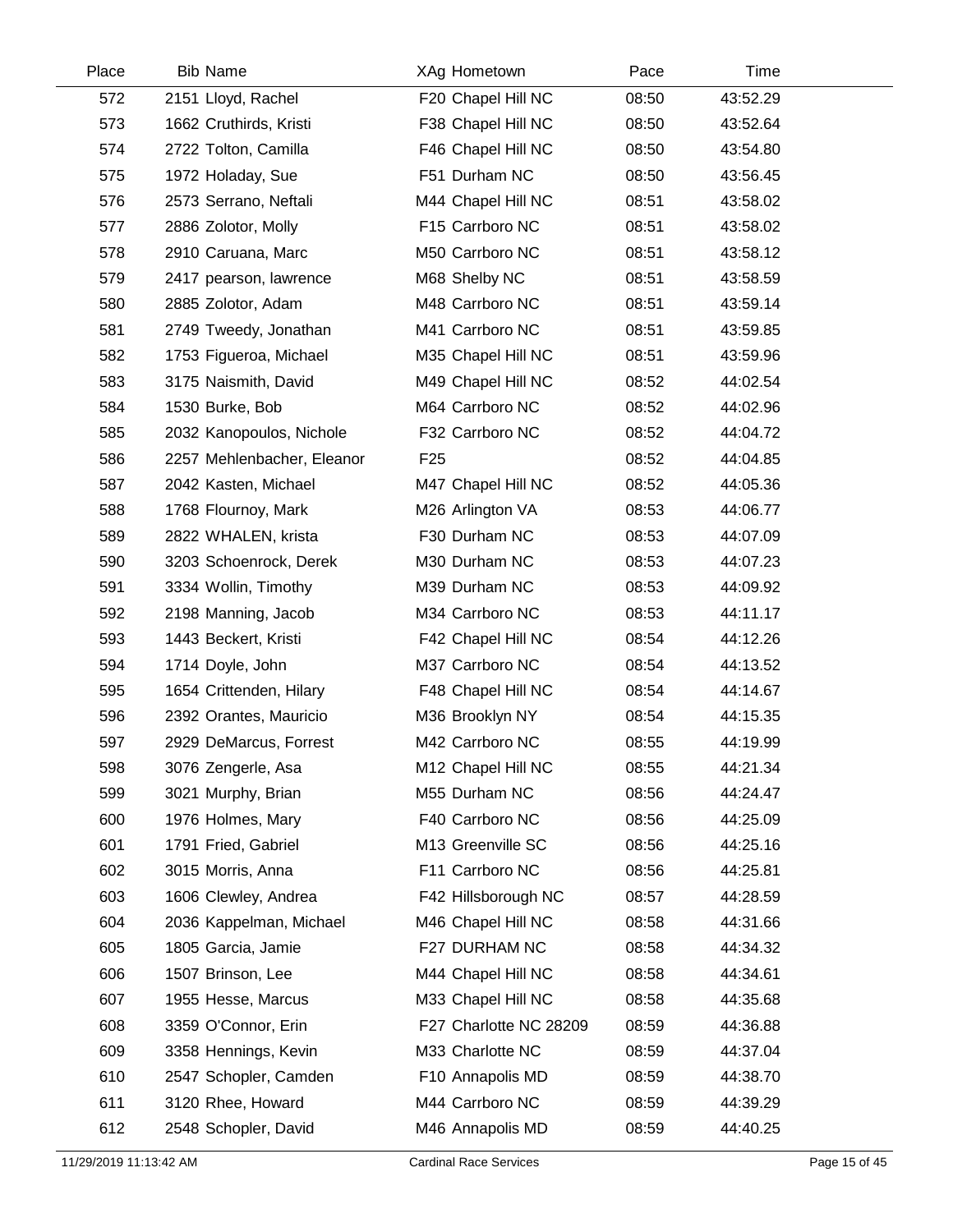| Place | <b>Bib Name</b>            |                 | XAg Hometown           | Pace  | Time     |
|-------|----------------------------|-----------------|------------------------|-------|----------|
| 572   | 2151 Lloyd, Rachel         |                 | F20 Chapel Hill NC     | 08:50 | 43:52.29 |
| 573   | 1662 Cruthirds, Kristi     |                 | F38 Chapel Hill NC     | 08:50 | 43:52.64 |
| 574   | 2722 Tolton, Camilla       |                 | F46 Chapel Hill NC     | 08:50 | 43:54.80 |
| 575   | 1972 Holaday, Sue          |                 | F51 Durham NC          | 08:50 | 43:56.45 |
| 576   | 2573 Serrano, Neftali      |                 | M44 Chapel Hill NC     | 08:51 | 43:58.02 |
| 577   | 2886 Zolotor, Molly        |                 | F15 Carrboro NC        | 08:51 | 43:58.02 |
| 578   | 2910 Caruana, Marc         |                 | M50 Carrboro NC        | 08:51 | 43:58.12 |
| 579   | 2417 pearson, lawrence     |                 | M68 Shelby NC          | 08:51 | 43:58.59 |
| 580   | 2885 Zolotor, Adam         |                 | M48 Carrboro NC        | 08:51 | 43:59.14 |
| 581   | 2749 Tweedy, Jonathan      |                 | M41 Carrboro NC        | 08:51 | 43:59.85 |
| 582   | 1753 Figueroa, Michael     |                 | M35 Chapel Hill NC     | 08:51 | 43:59.96 |
| 583   | 3175 Naismith, David       |                 | M49 Chapel Hill NC     | 08:52 | 44:02.54 |
| 584   | 1530 Burke, Bob            |                 | M64 Carrboro NC        | 08:52 | 44:02.96 |
| 585   | 2032 Kanopoulos, Nichole   |                 | F32 Carrboro NC        | 08:52 | 44:04.72 |
| 586   | 2257 Mehlenbacher, Eleanor | F <sub>25</sub> |                        | 08:52 | 44:04.85 |
| 587   | 2042 Kasten, Michael       |                 | M47 Chapel Hill NC     | 08:52 | 44:05.36 |
| 588   | 1768 Flournoy, Mark        |                 | M26 Arlington VA       | 08:53 | 44:06.77 |
| 589   | 2822 WHALEN, krista        |                 | F30 Durham NC          | 08:53 | 44:07.09 |
| 590   | 3203 Schoenrock, Derek     |                 | M30 Durham NC          | 08:53 | 44:07.23 |
| 591   | 3334 Wollin, Timothy       |                 | M39 Durham NC          | 08:53 | 44:09.92 |
| 592   | 2198 Manning, Jacob        |                 | M34 Carrboro NC        | 08:53 | 44:11.17 |
| 593   | 1443 Beckert, Kristi       |                 | F42 Chapel Hill NC     | 08:54 | 44:12.26 |
| 594   | 1714 Doyle, John           |                 | M37 Carrboro NC        | 08:54 | 44:13.52 |
| 595   | 1654 Crittenden, Hilary    |                 | F48 Chapel Hill NC     | 08:54 | 44:14.67 |
| 596   | 2392 Orantes, Mauricio     |                 | M36 Brooklyn NY        | 08:54 | 44:15.35 |
| 597   | 2929 DeMarcus, Forrest     |                 | M42 Carrboro NC        | 08:55 | 44:19.99 |
| 598   | 3076 Zengerle, Asa         |                 | M12 Chapel Hill NC     | 08:55 | 44:21.34 |
| 599   | 3021 Murphy, Brian         |                 | M55 Durham NC          | 08:56 | 44:24.47 |
| 600   | 1976 Holmes, Mary          |                 | F40 Carrboro NC        | 08:56 | 44:25.09 |
| 601   | 1791 Fried, Gabriel        |                 | M13 Greenville SC      | 08:56 | 44:25.16 |
| 602   | 3015 Morris, Anna          |                 | F11 Carrboro NC        | 08:56 | 44:25.81 |
| 603   | 1606 Clewley, Andrea       |                 | F42 Hillsborough NC    | 08:57 | 44:28.59 |
| 604   | 2036 Kappelman, Michael    |                 | M46 Chapel Hill NC     | 08:58 | 44:31.66 |
| 605   | 1805 Garcia, Jamie         |                 | F27 DURHAM NC          | 08:58 | 44:34.32 |
| 606   | 1507 Brinson, Lee          |                 | M44 Chapel Hill NC     | 08:58 | 44:34.61 |
| 607   | 1955 Hesse, Marcus         |                 | M33 Chapel Hill NC     | 08:58 | 44:35.68 |
| 608   | 3359 O'Connor, Erin        |                 | F27 Charlotte NC 28209 | 08:59 | 44:36.88 |
| 609   | 3358 Hennings, Kevin       |                 | M33 Charlotte NC       | 08:59 | 44:37.04 |
| 610   | 2547 Schopler, Camden      |                 | F10 Annapolis MD       | 08:59 | 44:38.70 |
| 611   | 3120 Rhee, Howard          |                 | M44 Carrboro NC        | 08:59 | 44:39.29 |
| 612   | 2548 Schopler, David       |                 | M46 Annapolis MD       | 08:59 | 44:40.25 |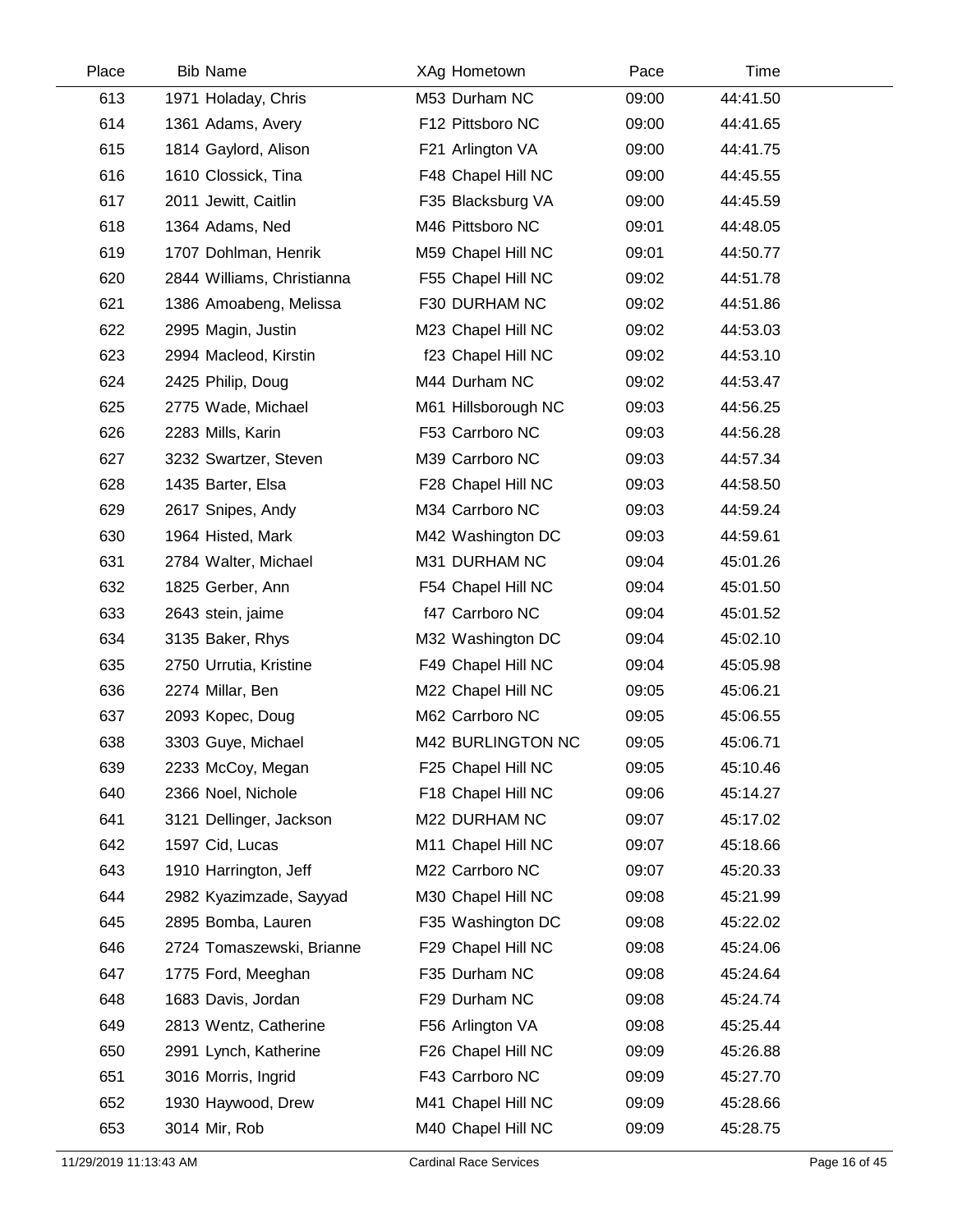| Place | <b>Bib Name</b>            | XAg Hometown        | Pace  | Time     |  |
|-------|----------------------------|---------------------|-------|----------|--|
| 613   | 1971 Holaday, Chris        | M53 Durham NC       | 09:00 | 44:41.50 |  |
| 614   | 1361 Adams, Avery          | F12 Pittsboro NC    | 09:00 | 44:41.65 |  |
| 615   | 1814 Gaylord, Alison       | F21 Arlington VA    | 09:00 | 44:41.75 |  |
| 616   | 1610 Clossick, Tina        | F48 Chapel Hill NC  | 09:00 | 44:45.55 |  |
| 617   | 2011 Jewitt, Caitlin       | F35 Blacksburg VA   | 09:00 | 44:45.59 |  |
| 618   | 1364 Adams, Ned            | M46 Pittsboro NC    | 09:01 | 44:48.05 |  |
| 619   | 1707 Dohlman, Henrik       | M59 Chapel Hill NC  | 09:01 | 44:50.77 |  |
| 620   | 2844 Williams, Christianna | F55 Chapel Hill NC  | 09:02 | 44:51.78 |  |
| 621   | 1386 Amoabeng, Melissa     | F30 DURHAM NC       | 09:02 | 44:51.86 |  |
| 622   | 2995 Magin, Justin         | M23 Chapel Hill NC  | 09:02 | 44:53.03 |  |
| 623   | 2994 Macleod, Kirstin      | f23 Chapel Hill NC  | 09:02 | 44:53.10 |  |
| 624   | 2425 Philip, Doug          | M44 Durham NC       | 09:02 | 44:53.47 |  |
| 625   | 2775 Wade, Michael         | M61 Hillsborough NC | 09:03 | 44:56.25 |  |
| 626   | 2283 Mills, Karin          | F53 Carrboro NC     | 09:03 | 44:56.28 |  |
| 627   | 3232 Swartzer, Steven      | M39 Carrboro NC     | 09:03 | 44:57.34 |  |
| 628   | 1435 Barter, Elsa          | F28 Chapel Hill NC  | 09:03 | 44:58.50 |  |
| 629   | 2617 Snipes, Andy          | M34 Carrboro NC     | 09:03 | 44:59.24 |  |
| 630   | 1964 Histed, Mark          | M42 Washington DC   | 09:03 | 44:59.61 |  |
| 631   | 2784 Walter, Michael       | M31 DURHAM NC       | 09:04 | 45:01.26 |  |
| 632   | 1825 Gerber, Ann           | F54 Chapel Hill NC  | 09:04 | 45:01.50 |  |
| 633   | 2643 stein, jaime          | f47 Carrboro NC     | 09:04 | 45:01.52 |  |
| 634   | 3135 Baker, Rhys           | M32 Washington DC   | 09:04 | 45:02.10 |  |
| 635   | 2750 Urrutia, Kristine     | F49 Chapel Hill NC  | 09:04 | 45:05.98 |  |
| 636   | 2274 Millar, Ben           | M22 Chapel Hill NC  | 09:05 | 45:06.21 |  |
| 637   | 2093 Kopec, Doug           | M62 Carrboro NC     | 09:05 | 45:06.55 |  |
| 638   | 3303 Guye, Michael         | M42 BURLINGTON NC   | 09:05 | 45:06.71 |  |
| 639   | 2233 McCoy, Megan          | F25 Chapel Hill NC  | 09:05 | 45:10.46 |  |
| 640   | 2366 Noel, Nichole         | F18 Chapel Hill NC  | 09:06 | 45:14.27 |  |
| 641   | 3121 Dellinger, Jackson    | M22 DURHAM NC       | 09:07 | 45:17.02 |  |
| 642   | 1597 Cid, Lucas            | M11 Chapel Hill NC  | 09:07 | 45:18.66 |  |
| 643   | 1910 Harrington, Jeff      | M22 Carrboro NC     | 09:07 | 45:20.33 |  |
| 644   | 2982 Kyazimzade, Sayyad    | M30 Chapel Hill NC  | 09:08 | 45:21.99 |  |
| 645   | 2895 Bomba, Lauren         | F35 Washington DC   | 09:08 | 45:22.02 |  |
| 646   | 2724 Tomaszewski, Brianne  | F29 Chapel Hill NC  | 09:08 | 45:24.06 |  |
| 647   | 1775 Ford, Meeghan         | F35 Durham NC       | 09:08 | 45:24.64 |  |
| 648   | 1683 Davis, Jordan         | F29 Durham NC       | 09:08 | 45:24.74 |  |
| 649   | 2813 Wentz, Catherine      | F56 Arlington VA    | 09:08 | 45:25.44 |  |
| 650   | 2991 Lynch, Katherine      | F26 Chapel Hill NC  | 09:09 | 45:26.88 |  |
| 651   | 3016 Morris, Ingrid        | F43 Carrboro NC     | 09:09 | 45:27.70 |  |
| 652   | 1930 Haywood, Drew         | M41 Chapel Hill NC  | 09:09 | 45:28.66 |  |
| 653   | 3014 Mir, Rob              | M40 Chapel Hill NC  | 09:09 | 45:28.75 |  |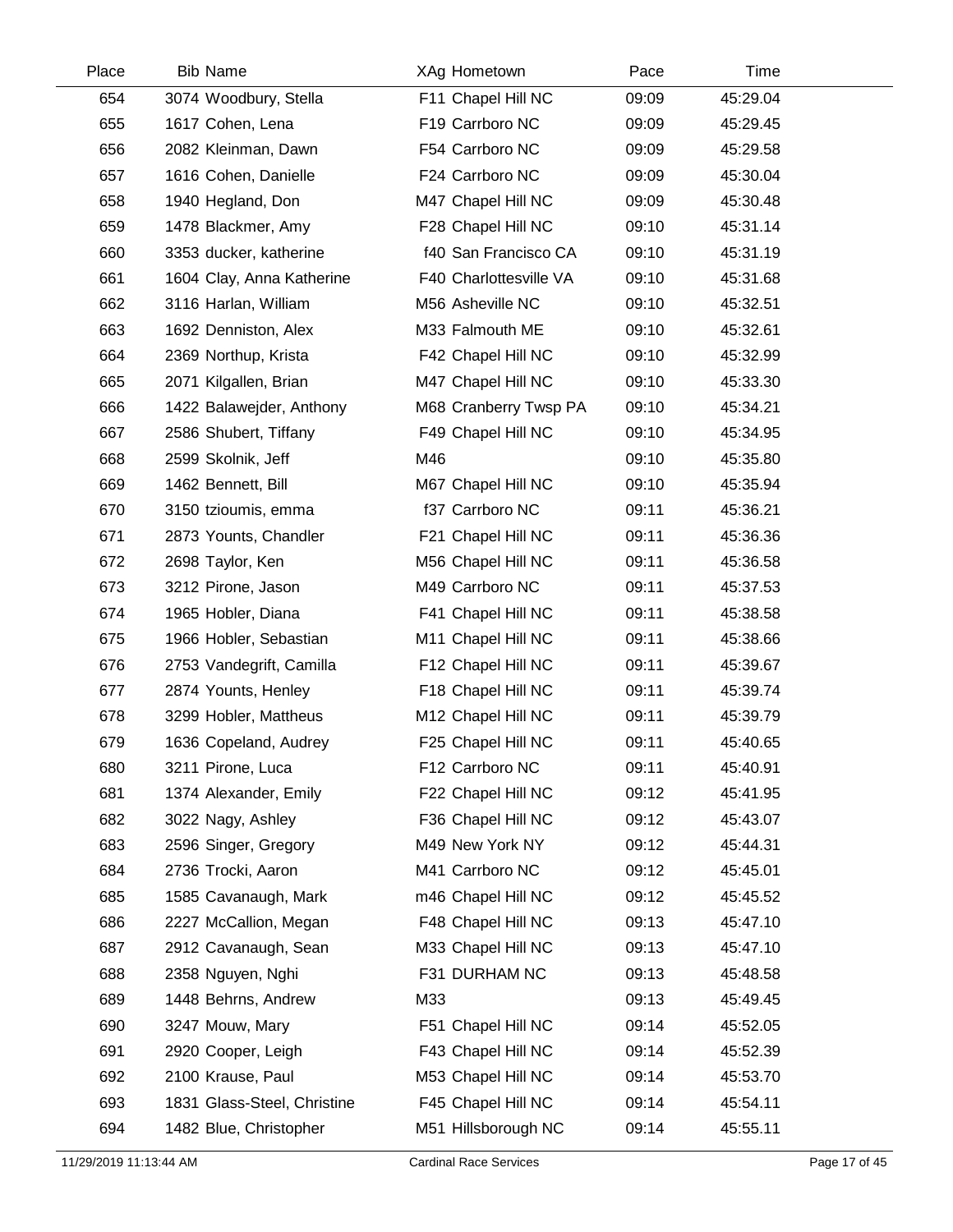| Place | <b>Bib Name</b>             | XAg Hometown           | Pace  | Time     |  |
|-------|-----------------------------|------------------------|-------|----------|--|
| 654   | 3074 Woodbury, Stella       | F11 Chapel Hill NC     | 09:09 | 45:29.04 |  |
| 655   | 1617 Cohen, Lena            | F19 Carrboro NC        | 09:09 | 45:29.45 |  |
| 656   | 2082 Kleinman, Dawn         | F54 Carrboro NC        | 09:09 | 45:29.58 |  |
| 657   | 1616 Cohen, Danielle        | F24 Carrboro NC        | 09:09 | 45:30.04 |  |
| 658   | 1940 Hegland, Don           | M47 Chapel Hill NC     | 09:09 | 45:30.48 |  |
| 659   | 1478 Blackmer, Amy          | F28 Chapel Hill NC     | 09:10 | 45:31.14 |  |
| 660   | 3353 ducker, katherine      | f40 San Francisco CA   | 09:10 | 45:31.19 |  |
| 661   | 1604 Clay, Anna Katherine   | F40 Charlottesville VA | 09:10 | 45:31.68 |  |
| 662   | 3116 Harlan, William        | M56 Asheville NC       | 09:10 | 45:32.51 |  |
| 663   | 1692 Denniston, Alex        | M33 Falmouth ME        | 09:10 | 45:32.61 |  |
| 664   | 2369 Northup, Krista        | F42 Chapel Hill NC     | 09:10 | 45:32.99 |  |
| 665   | 2071 Kilgallen, Brian       | M47 Chapel Hill NC     | 09:10 | 45:33.30 |  |
| 666   | 1422 Balawejder, Anthony    | M68 Cranberry Twsp PA  | 09:10 | 45:34.21 |  |
| 667   | 2586 Shubert, Tiffany       | F49 Chapel Hill NC     | 09:10 | 45:34.95 |  |
| 668   | 2599 Skolnik, Jeff          | M46                    | 09:10 | 45:35.80 |  |
| 669   | 1462 Bennett, Bill          | M67 Chapel Hill NC     | 09:10 | 45:35.94 |  |
| 670   | 3150 tzioumis, emma         | f37 Carrboro NC        | 09:11 | 45:36.21 |  |
| 671   | 2873 Younts, Chandler       | F21 Chapel Hill NC     | 09:11 | 45:36.36 |  |
| 672   | 2698 Taylor, Ken            | M56 Chapel Hill NC     | 09:11 | 45:36.58 |  |
| 673   | 3212 Pirone, Jason          | M49 Carrboro NC        | 09:11 | 45:37.53 |  |
| 674   | 1965 Hobler, Diana          | F41 Chapel Hill NC     | 09:11 | 45:38.58 |  |
| 675   | 1966 Hobler, Sebastian      | M11 Chapel Hill NC     | 09:11 | 45:38.66 |  |
| 676   | 2753 Vandegrift, Camilla    | F12 Chapel Hill NC     | 09:11 | 45:39.67 |  |
| 677   | 2874 Younts, Henley         | F18 Chapel Hill NC     | 09:11 | 45:39.74 |  |
| 678   | 3299 Hobler, Mattheus       | M12 Chapel Hill NC     | 09:11 | 45:39.79 |  |
| 679   | 1636 Copeland, Audrey       | F25 Chapel Hill NC     | 09:11 | 45:40.65 |  |
| 680   | 3211 Pirone, Luca           | F12 Carrboro NC        | 09:11 | 45:40.91 |  |
| 681   | 1374 Alexander, Emily       | F22 Chapel Hill NC     | 09:12 | 45:41.95 |  |
| 682   | 3022 Nagy, Ashley           | F36 Chapel Hill NC     | 09:12 | 45:43.07 |  |
| 683   | 2596 Singer, Gregory        | M49 New York NY        | 09:12 | 45:44.31 |  |
| 684   | 2736 Trocki, Aaron          | M41 Carrboro NC        | 09:12 | 45:45.01 |  |
| 685   | 1585 Cavanaugh, Mark        | m46 Chapel Hill NC     | 09:12 | 45:45.52 |  |
| 686   | 2227 McCallion, Megan       | F48 Chapel Hill NC     | 09:13 | 45:47.10 |  |
| 687   | 2912 Cavanaugh, Sean        | M33 Chapel Hill NC     | 09:13 | 45:47.10 |  |
| 688   | 2358 Nguyen, Nghi           | F31 DURHAM NC          | 09:13 | 45:48.58 |  |
| 689   | 1448 Behrns, Andrew         | M33                    | 09:13 | 45:49.45 |  |
| 690   | 3247 Mouw, Mary             | F51 Chapel Hill NC     | 09:14 | 45:52.05 |  |
| 691   | 2920 Cooper, Leigh          | F43 Chapel Hill NC     | 09:14 | 45:52.39 |  |
| 692   | 2100 Krause, Paul           | M53 Chapel Hill NC     | 09:14 | 45:53.70 |  |
| 693   | 1831 Glass-Steel, Christine | F45 Chapel Hill NC     | 09:14 | 45:54.11 |  |
| 694   | 1482 Blue, Christopher      | M51 Hillsborough NC    | 09:14 | 45:55.11 |  |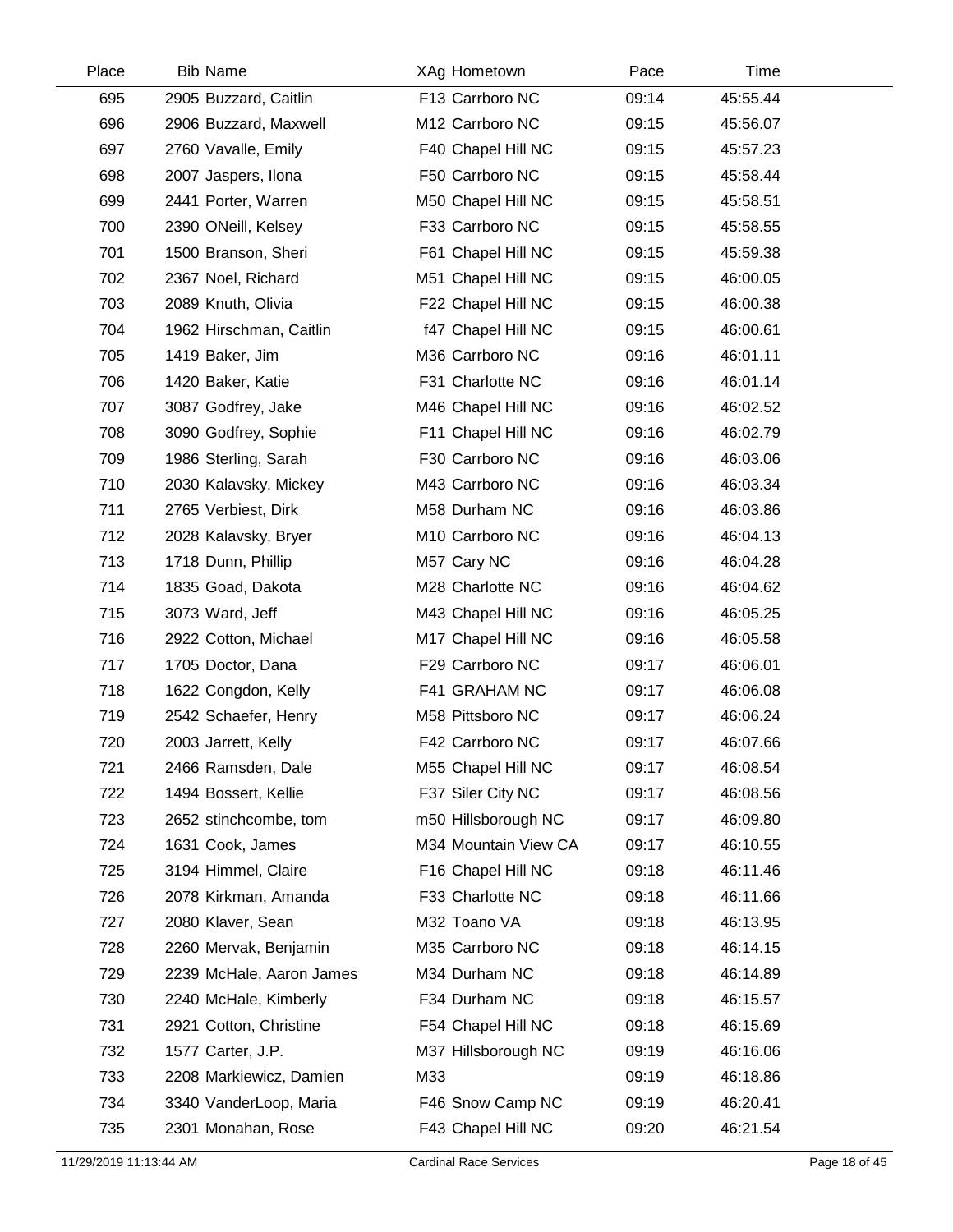| Place | <b>Bib Name</b>          | XAg Hometown         | Pace  | Time     |  |
|-------|--------------------------|----------------------|-------|----------|--|
| 695   | 2905 Buzzard, Caitlin    | F13 Carrboro NC      | 09:14 | 45:55.44 |  |
| 696   | 2906 Buzzard, Maxwell    | M12 Carrboro NC      | 09:15 | 45:56.07 |  |
| 697   | 2760 Vavalle, Emily      | F40 Chapel Hill NC   | 09:15 | 45:57.23 |  |
| 698   | 2007 Jaspers, Ilona      | F50 Carrboro NC      | 09:15 | 45:58.44 |  |
| 699   | 2441 Porter, Warren      | M50 Chapel Hill NC   | 09:15 | 45:58.51 |  |
| 700   | 2390 ONeill, Kelsey      | F33 Carrboro NC      | 09:15 | 45:58.55 |  |
| 701   | 1500 Branson, Sheri      | F61 Chapel Hill NC   | 09:15 | 45:59.38 |  |
| 702   | 2367 Noel, Richard       | M51 Chapel Hill NC   | 09:15 | 46:00.05 |  |
| 703   | 2089 Knuth, Olivia       | F22 Chapel Hill NC   | 09:15 | 46:00.38 |  |
| 704   | 1962 Hirschman, Caitlin  | f47 Chapel Hill NC   | 09:15 | 46:00.61 |  |
| 705   | 1419 Baker, Jim          | M36 Carrboro NC      | 09:16 | 46:01.11 |  |
| 706   | 1420 Baker, Katie        | F31 Charlotte NC     | 09:16 | 46:01.14 |  |
| 707   | 3087 Godfrey, Jake       | M46 Chapel Hill NC   | 09:16 | 46:02.52 |  |
| 708   | 3090 Godfrey, Sophie     | F11 Chapel Hill NC   | 09:16 | 46:02.79 |  |
| 709   | 1986 Sterling, Sarah     | F30 Carrboro NC      | 09:16 | 46:03.06 |  |
| 710   | 2030 Kalavsky, Mickey    | M43 Carrboro NC      | 09:16 | 46:03.34 |  |
| 711   | 2765 Verbiest, Dirk      | M58 Durham NC        | 09:16 | 46:03.86 |  |
| 712   | 2028 Kalavsky, Bryer     | M10 Carrboro NC      | 09:16 | 46:04.13 |  |
| 713   | 1718 Dunn, Phillip       | M57 Cary NC          | 09:16 | 46:04.28 |  |
| 714   | 1835 Goad, Dakota        | M28 Charlotte NC     | 09:16 | 46:04.62 |  |
| 715   | 3073 Ward, Jeff          | M43 Chapel Hill NC   | 09:16 | 46:05.25 |  |
| 716   | 2922 Cotton, Michael     | M17 Chapel Hill NC   | 09:16 | 46:05.58 |  |
| 717   | 1705 Doctor, Dana        | F29 Carrboro NC      | 09:17 | 46:06.01 |  |
| 718   | 1622 Congdon, Kelly      | F41 GRAHAM NC        | 09:17 | 46:06.08 |  |
| 719   | 2542 Schaefer, Henry     | M58 Pittsboro NC     | 09:17 | 46:06.24 |  |
| 720   | 2003 Jarrett, Kelly      | F42 Carrboro NC      | 09:17 | 46:07.66 |  |
| 721   | 2466 Ramsden, Dale       | M55 Chapel Hill NC   | 09:17 | 46:08.54 |  |
| 722   | 1494 Bossert, Kellie     | F37 Siler City NC    | 09:17 | 46:08.56 |  |
| 723   | 2652 stinchcombe, tom    | m50 Hillsborough NC  | 09:17 | 46:09.80 |  |
| 724   | 1631 Cook, James         | M34 Mountain View CA | 09:17 | 46:10.55 |  |
| 725   | 3194 Himmel, Claire      | F16 Chapel Hill NC   | 09:18 | 46:11.46 |  |
| 726   | 2078 Kirkman, Amanda     | F33 Charlotte NC     | 09:18 | 46:11.66 |  |
| 727   | 2080 Klaver, Sean        | M32 Toano VA         | 09:18 | 46:13.95 |  |
| 728   | 2260 Mervak, Benjamin    | M35 Carrboro NC      | 09:18 | 46:14.15 |  |
| 729   | 2239 McHale, Aaron James | M34 Durham NC        | 09:18 | 46:14.89 |  |
| 730   | 2240 McHale, Kimberly    | F34 Durham NC        | 09:18 | 46:15.57 |  |
| 731   | 2921 Cotton, Christine   | F54 Chapel Hill NC   | 09:18 | 46:15.69 |  |
| 732   | 1577 Carter, J.P.        | M37 Hillsborough NC  | 09:19 | 46:16.06 |  |
| 733   | 2208 Markiewicz, Damien  | M33                  | 09:19 | 46:18.86 |  |
| 734   | 3340 VanderLoop, Maria   | F46 Snow Camp NC     | 09:19 | 46:20.41 |  |
| 735   | 2301 Monahan, Rose       | F43 Chapel Hill NC   | 09:20 | 46:21.54 |  |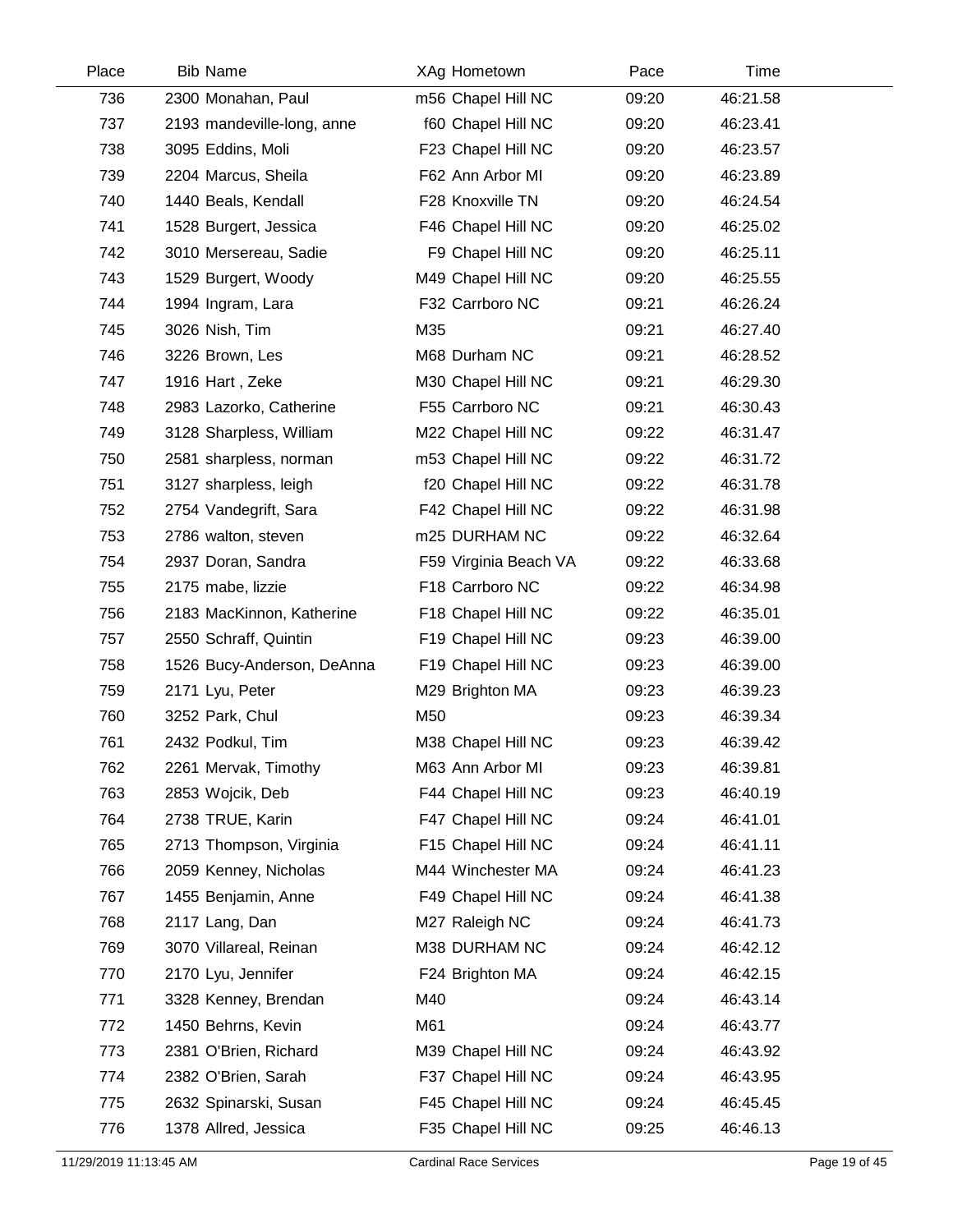| Place | <b>Bib Name</b>            | XAg Hometown          | Pace  | Time     |  |
|-------|----------------------------|-----------------------|-------|----------|--|
| 736   | 2300 Monahan, Paul         | m56 Chapel Hill NC    | 09:20 | 46:21.58 |  |
| 737   | 2193 mandeville-long, anne | f60 Chapel Hill NC    | 09:20 | 46:23.41 |  |
| 738   | 3095 Eddins, Moli          | F23 Chapel Hill NC    | 09:20 | 46:23.57 |  |
| 739   | 2204 Marcus, Sheila        | F62 Ann Arbor MI      | 09:20 | 46:23.89 |  |
| 740   | 1440 Beals, Kendall        | F28 Knoxville TN      | 09:20 | 46:24.54 |  |
| 741   | 1528 Burgert, Jessica      | F46 Chapel Hill NC    | 09:20 | 46:25.02 |  |
| 742   | 3010 Mersereau, Sadie      | F9 Chapel Hill NC     | 09:20 | 46:25.11 |  |
| 743   | 1529 Burgert, Woody        | M49 Chapel Hill NC    | 09:20 | 46:25.55 |  |
| 744   | 1994 Ingram, Lara          | F32 Carrboro NC       | 09:21 | 46:26.24 |  |
| 745   | 3026 Nish, Tim             | M35                   | 09:21 | 46:27.40 |  |
| 746   | 3226 Brown, Les            | M68 Durham NC         | 09:21 | 46:28.52 |  |
| 747   | 1916 Hart, Zeke            | M30 Chapel Hill NC    | 09:21 | 46:29.30 |  |
| 748   | 2983 Lazorko, Catherine    | F55 Carrboro NC       | 09:21 | 46:30.43 |  |
| 749   | 3128 Sharpless, William    | M22 Chapel Hill NC    | 09:22 | 46:31.47 |  |
| 750   | 2581 sharpless, norman     | m53 Chapel Hill NC    | 09:22 | 46:31.72 |  |
| 751   | 3127 sharpless, leigh      | f20 Chapel Hill NC    | 09:22 | 46:31.78 |  |
| 752   | 2754 Vandegrift, Sara      | F42 Chapel Hill NC    | 09:22 | 46:31.98 |  |
| 753   | 2786 walton, steven        | m25 DURHAM NC         | 09:22 | 46:32.64 |  |
| 754   | 2937 Doran, Sandra         | F59 Virginia Beach VA | 09:22 | 46:33.68 |  |
| 755   | 2175 mabe, lizzie          | F18 Carrboro NC       | 09:22 | 46:34.98 |  |
| 756   | 2183 MacKinnon, Katherine  | F18 Chapel Hill NC    | 09:22 | 46:35.01 |  |
| 757   | 2550 Schraff, Quintin      | F19 Chapel Hill NC    | 09:23 | 46:39.00 |  |
| 758   | 1526 Bucy-Anderson, DeAnna | F19 Chapel Hill NC    | 09:23 | 46:39.00 |  |
| 759   | 2171 Lyu, Peter            | M29 Brighton MA       | 09:23 | 46:39.23 |  |
| 760   | 3252 Park, Chul            | M50                   | 09:23 | 46:39.34 |  |
| 761   | 2432 Podkul, Tim           | M38 Chapel Hill NC    | 09:23 | 46:39.42 |  |
| 762   | 2261 Mervak, Timothy       | M63 Ann Arbor MI      | 09:23 | 46:39.81 |  |
| 763   | 2853 Wojcik, Deb           | F44 Chapel Hill NC    | 09:23 | 46:40.19 |  |
| 764   | 2738 TRUE, Karin           | F47 Chapel Hill NC    | 09:24 | 46:41.01 |  |
| 765   | 2713 Thompson, Virginia    | F15 Chapel Hill NC    | 09:24 | 46:41.11 |  |
| 766   | 2059 Kenney, Nicholas      | M44 Winchester MA     | 09:24 | 46:41.23 |  |
| 767   | 1455 Benjamin, Anne        | F49 Chapel Hill NC    | 09:24 | 46:41.38 |  |
| 768   | 2117 Lang, Dan             | M27 Raleigh NC        | 09:24 | 46:41.73 |  |
| 769   | 3070 Villareal, Reinan     | M38 DURHAM NC         | 09:24 | 46:42.12 |  |
| 770   | 2170 Lyu, Jennifer         | F24 Brighton MA       | 09:24 | 46:42.15 |  |
| 771   | 3328 Kenney, Brendan       | M40                   | 09:24 | 46:43.14 |  |
| 772   | 1450 Behrns, Kevin         | M61                   | 09:24 | 46:43.77 |  |
| 773   | 2381 O'Brien, Richard      | M39 Chapel Hill NC    | 09:24 | 46:43.92 |  |
| 774   | 2382 O'Brien, Sarah        | F37 Chapel Hill NC    | 09:24 | 46:43.95 |  |
| 775   | 2632 Spinarski, Susan      | F45 Chapel Hill NC    | 09:24 | 46:45.45 |  |
| 776   | 1378 Allred, Jessica       | F35 Chapel Hill NC    | 09:25 | 46:46.13 |  |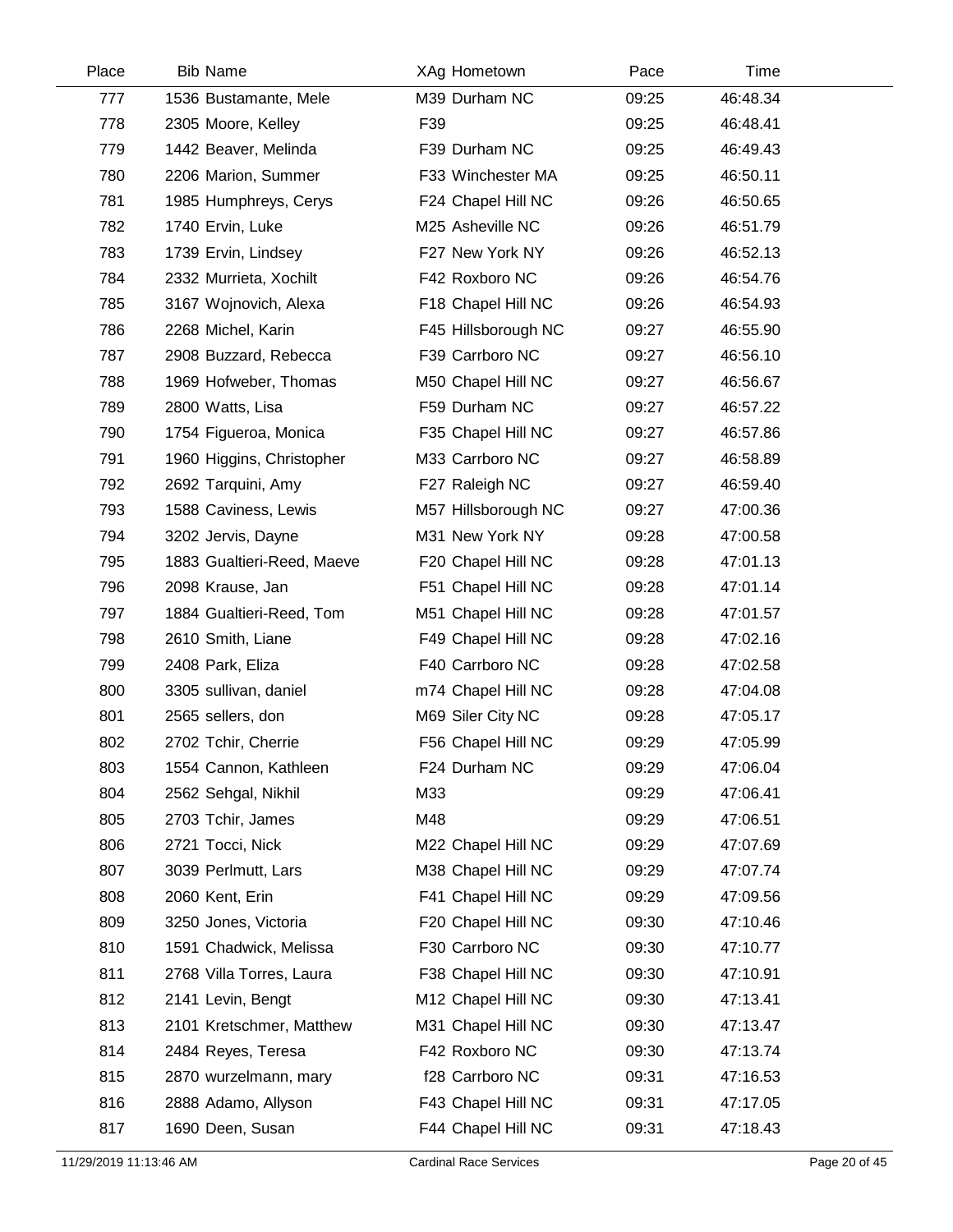| Place | <b>Bib Name</b>            | XAg Hometown        | Pace  | Time     |  |
|-------|----------------------------|---------------------|-------|----------|--|
| 777   | 1536 Bustamante, Mele      | M39 Durham NC       | 09:25 | 46:48.34 |  |
| 778   | 2305 Moore, Kelley         | F39                 | 09:25 | 46:48.41 |  |
| 779   | 1442 Beaver, Melinda       | F39 Durham NC       | 09:25 | 46:49.43 |  |
| 780   | 2206 Marion, Summer        | F33 Winchester MA   | 09:25 | 46:50.11 |  |
| 781   | 1985 Humphreys, Cerys      | F24 Chapel Hill NC  | 09:26 | 46:50.65 |  |
| 782   | 1740 Ervin, Luke           | M25 Asheville NC    | 09:26 | 46:51.79 |  |
| 783   | 1739 Ervin, Lindsey        | F27 New York NY     | 09:26 | 46:52.13 |  |
| 784   | 2332 Murrieta, Xochilt     | F42 Roxboro NC      | 09:26 | 46:54.76 |  |
| 785   | 3167 Wojnovich, Alexa      | F18 Chapel Hill NC  | 09:26 | 46:54.93 |  |
| 786   | 2268 Michel, Karin         | F45 Hillsborough NC | 09:27 | 46:55.90 |  |
| 787   | 2908 Buzzard, Rebecca      | F39 Carrboro NC     | 09:27 | 46:56.10 |  |
| 788   | 1969 Hofweber, Thomas      | M50 Chapel Hill NC  | 09:27 | 46:56.67 |  |
| 789   | 2800 Watts, Lisa           | F59 Durham NC       | 09:27 | 46:57.22 |  |
| 790   | 1754 Figueroa, Monica      | F35 Chapel Hill NC  | 09:27 | 46:57.86 |  |
| 791   | 1960 Higgins, Christopher  | M33 Carrboro NC     | 09:27 | 46:58.89 |  |
| 792   | 2692 Tarquini, Amy         | F27 Raleigh NC      | 09:27 | 46:59.40 |  |
| 793   | 1588 Caviness, Lewis       | M57 Hillsborough NC | 09:27 | 47:00.36 |  |
| 794   | 3202 Jervis, Dayne         | M31 New York NY     | 09:28 | 47:00.58 |  |
| 795   | 1883 Gualtieri-Reed, Maeve | F20 Chapel Hill NC  | 09:28 | 47:01.13 |  |
| 796   | 2098 Krause, Jan           | F51 Chapel Hill NC  | 09:28 | 47:01.14 |  |
| 797   | 1884 Gualtieri-Reed, Tom   | M51 Chapel Hill NC  | 09:28 | 47:01.57 |  |
| 798   | 2610 Smith, Liane          | F49 Chapel Hill NC  | 09:28 | 47:02.16 |  |
| 799   | 2408 Park, Eliza           | F40 Carrboro NC     | 09:28 | 47:02.58 |  |
| 800   | 3305 sullivan, daniel      | m74 Chapel Hill NC  | 09:28 | 47:04.08 |  |
| 801   | 2565 sellers, don          | M69 Siler City NC   | 09:28 | 47:05.17 |  |
| 802   | 2702 Tchir, Cherrie        | F56 Chapel Hill NC  | 09:29 | 47:05.99 |  |
| 803   | 1554 Cannon, Kathleen      | F24 Durham NC       | 09:29 | 47:06.04 |  |
| 804   | 2562 Sehgal, Nikhil        | M33                 | 09:29 | 47:06.41 |  |
| 805   | 2703 Tchir, James          | M48                 | 09:29 | 47:06.51 |  |
| 806   | 2721 Tocci, Nick           | M22 Chapel Hill NC  | 09:29 | 47:07.69 |  |
| 807   | 3039 Perlmutt, Lars        | M38 Chapel Hill NC  | 09:29 | 47:07.74 |  |
| 808   | 2060 Kent, Erin            | F41 Chapel Hill NC  | 09:29 | 47:09.56 |  |
| 809   | 3250 Jones, Victoria       | F20 Chapel Hill NC  | 09:30 | 47:10.46 |  |
| 810   | 1591 Chadwick, Melissa     | F30 Carrboro NC     | 09:30 | 47:10.77 |  |
| 811   | 2768 Villa Torres, Laura   | F38 Chapel Hill NC  | 09:30 | 47:10.91 |  |
| 812   | 2141 Levin, Bengt          | M12 Chapel Hill NC  | 09:30 | 47:13.41 |  |
| 813   | 2101 Kretschmer, Matthew   | M31 Chapel Hill NC  | 09:30 | 47:13.47 |  |
| 814   | 2484 Reyes, Teresa         | F42 Roxboro NC      | 09:30 | 47:13.74 |  |
| 815   | 2870 wurzelmann, mary      | f28 Carrboro NC     | 09:31 | 47:16.53 |  |
| 816   | 2888 Adamo, Allyson        | F43 Chapel Hill NC  | 09:31 | 47:17.05 |  |
| 817   | 1690 Deen, Susan           | F44 Chapel Hill NC  | 09:31 | 47:18.43 |  |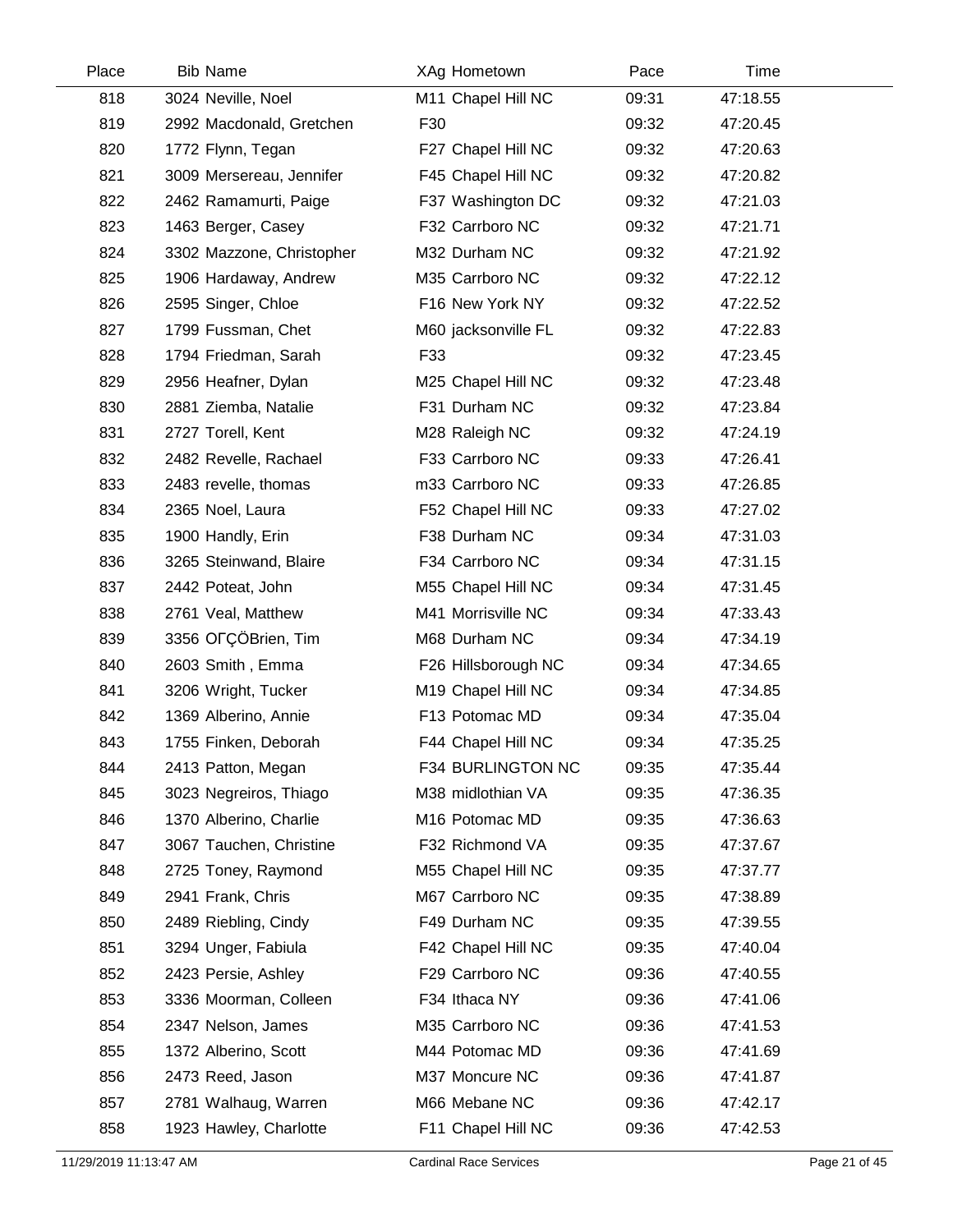| Place | <b>Bib Name</b>           | XAg Hometown        | Pace  | Time     |  |
|-------|---------------------------|---------------------|-------|----------|--|
| 818   | 3024 Neville, Noel        | M11 Chapel Hill NC  | 09:31 | 47:18.55 |  |
| 819   | 2992 Macdonald, Gretchen  | F30                 | 09:32 | 47:20.45 |  |
| 820   | 1772 Flynn, Tegan         | F27 Chapel Hill NC  | 09:32 | 47:20.63 |  |
| 821   | 3009 Mersereau, Jennifer  | F45 Chapel Hill NC  | 09:32 | 47:20.82 |  |
| 822   | 2462 Ramamurti, Paige     | F37 Washington DC   | 09:32 | 47:21.03 |  |
| 823   | 1463 Berger, Casey        | F32 Carrboro NC     | 09:32 | 47:21.71 |  |
| 824   | 3302 Mazzone, Christopher | M32 Durham NC       | 09:32 | 47:21.92 |  |
| 825   | 1906 Hardaway, Andrew     | M35 Carrboro NC     | 09:32 | 47:22.12 |  |
| 826   | 2595 Singer, Chloe        | F16 New York NY     | 09:32 | 47:22.52 |  |
| 827   | 1799 Fussman, Chet        | M60 jacksonville FL | 09:32 | 47:22.83 |  |
| 828   | 1794 Friedman, Sarah      | F33                 | 09:32 | 47:23.45 |  |
| 829   | 2956 Heafner, Dylan       | M25 Chapel Hill NC  | 09:32 | 47:23.48 |  |
| 830   | 2881 Ziemba, Natalie      | F31 Durham NC       | 09:32 | 47:23.84 |  |
| 831   | 2727 Torell, Kent         | M28 Raleigh NC      | 09:32 | 47:24.19 |  |
| 832   | 2482 Revelle, Rachael     | F33 Carrboro NC     | 09:33 | 47:26.41 |  |
| 833   | 2483 revelle, thomas      | m33 Carrboro NC     | 09:33 | 47:26.85 |  |
| 834   | 2365 Noel, Laura          | F52 Chapel Hill NC  | 09:33 | 47:27.02 |  |
| 835   | 1900 Handly, Erin         | F38 Durham NC       | 09:34 | 47:31.03 |  |
| 836   | 3265 Steinwand, Blaire    | F34 Carrboro NC     | 09:34 | 47:31.15 |  |
| 837   | 2442 Poteat, John         | M55 Chapel Hill NC  | 09:34 | 47:31.45 |  |
| 838   | 2761 Veal, Matthew        | M41 Morrisville NC  | 09:34 | 47:33.43 |  |
| 839   | 3356 OFÇÖBrien, Tim       | M68 Durham NC       | 09:34 | 47:34.19 |  |
| 840   | 2603 Smith, Emma          | F26 Hillsborough NC | 09:34 | 47:34.65 |  |
| 841   | 3206 Wright, Tucker       | M19 Chapel Hill NC  | 09:34 | 47:34.85 |  |
| 842   | 1369 Alberino, Annie      | F13 Potomac MD      | 09:34 | 47:35.04 |  |
| 843   | 1755 Finken, Deborah      | F44 Chapel Hill NC  | 09:34 | 47:35.25 |  |
| 844   | 2413 Patton, Megan        | F34 BURLINGTON NC   | 09:35 | 47:35.44 |  |
| 845   | 3023 Negreiros, Thiago    | M38 midlothian VA   | 09:35 | 47:36.35 |  |
| 846   | 1370 Alberino, Charlie    | M16 Potomac MD      | 09:35 | 47:36.63 |  |
| 847   | 3067 Tauchen, Christine   | F32 Richmond VA     | 09:35 | 47:37.67 |  |
| 848   | 2725 Toney, Raymond       | M55 Chapel Hill NC  | 09:35 | 47:37.77 |  |
| 849   | 2941 Frank, Chris         | M67 Carrboro NC     | 09:35 | 47:38.89 |  |
| 850   | 2489 Riebling, Cindy      | F49 Durham NC       | 09:35 | 47:39.55 |  |
| 851   | 3294 Unger, Fabiula       | F42 Chapel Hill NC  | 09:35 | 47:40.04 |  |
| 852   | 2423 Persie, Ashley       | F29 Carrboro NC     | 09:36 | 47:40.55 |  |
| 853   | 3336 Moorman, Colleen     | F34 Ithaca NY       | 09:36 | 47:41.06 |  |
| 854   | 2347 Nelson, James        | M35 Carrboro NC     | 09:36 | 47:41.53 |  |
| 855   | 1372 Alberino, Scott      | M44 Potomac MD      | 09:36 | 47:41.69 |  |
| 856   | 2473 Reed, Jason          | M37 Moncure NC      | 09:36 | 47:41.87 |  |
| 857   | 2781 Walhaug, Warren      | M66 Mebane NC       | 09:36 | 47:42.17 |  |
| 858   | 1923 Hawley, Charlotte    | F11 Chapel Hill NC  | 09:36 | 47:42.53 |  |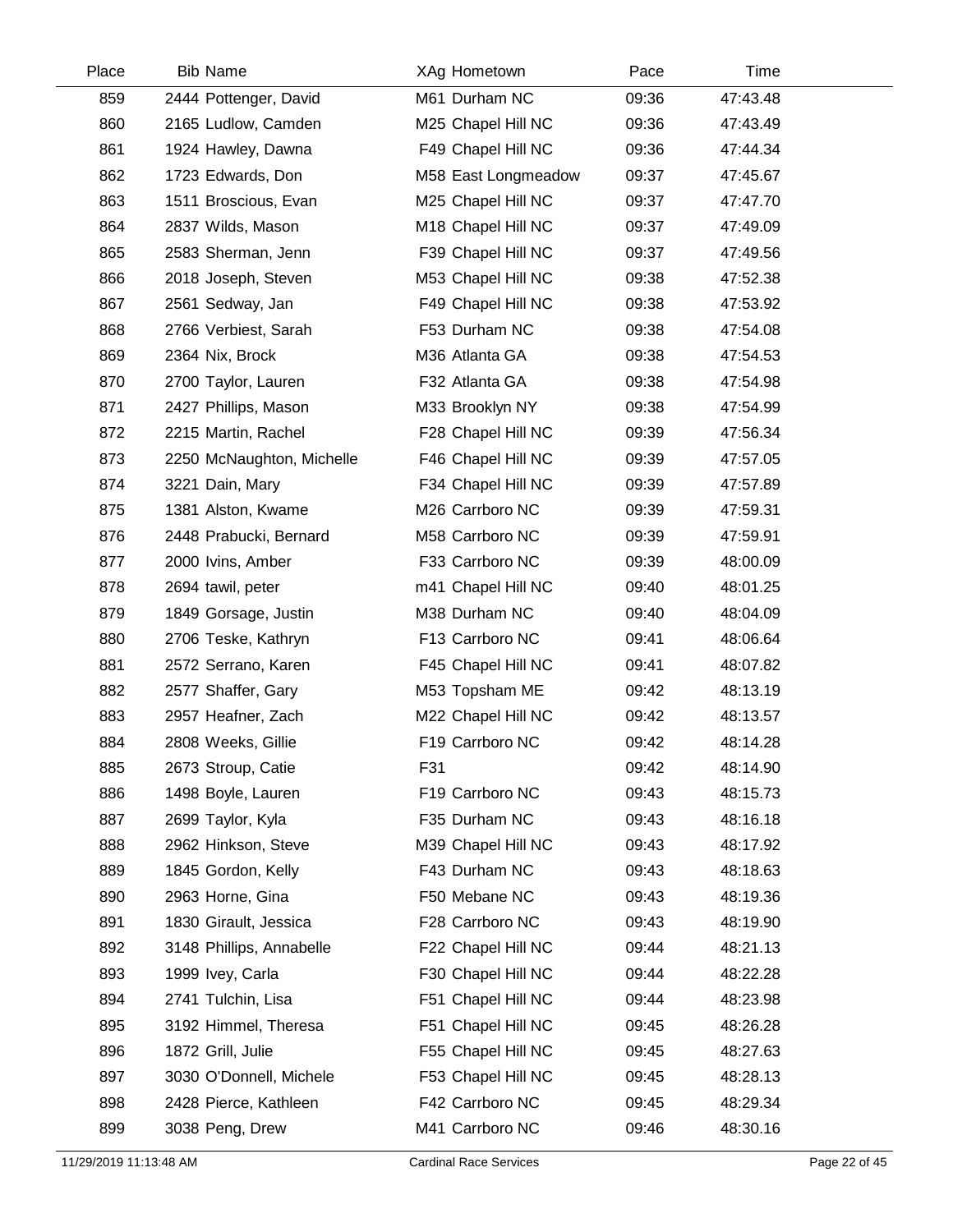| Place | <b>Bib Name</b>           | XAg Hometown        | Pace  | Time     |  |
|-------|---------------------------|---------------------|-------|----------|--|
| 859   | 2444 Pottenger, David     | M61 Durham NC       | 09:36 | 47:43.48 |  |
| 860   | 2165 Ludlow, Camden       | M25 Chapel Hill NC  | 09:36 | 47:43.49 |  |
| 861   | 1924 Hawley, Dawna        | F49 Chapel Hill NC  | 09:36 | 47:44.34 |  |
| 862   | 1723 Edwards, Don         | M58 East Longmeadow | 09:37 | 47:45.67 |  |
| 863   | 1511 Broscious, Evan      | M25 Chapel Hill NC  | 09:37 | 47:47.70 |  |
| 864   | 2837 Wilds, Mason         | M18 Chapel Hill NC  | 09:37 | 47:49.09 |  |
| 865   | 2583 Sherman, Jenn        | F39 Chapel Hill NC  | 09:37 | 47:49.56 |  |
| 866   | 2018 Joseph, Steven       | M53 Chapel Hill NC  | 09:38 | 47:52.38 |  |
| 867   | 2561 Sedway, Jan          | F49 Chapel Hill NC  | 09:38 | 47:53.92 |  |
| 868   | 2766 Verbiest, Sarah      | F53 Durham NC       | 09:38 | 47:54.08 |  |
| 869   | 2364 Nix, Brock           | M36 Atlanta GA      | 09:38 | 47:54.53 |  |
| 870   | 2700 Taylor, Lauren       | F32 Atlanta GA      | 09:38 | 47:54.98 |  |
| 871   | 2427 Phillips, Mason      | M33 Brooklyn NY     | 09:38 | 47:54.99 |  |
| 872   | 2215 Martin, Rachel       | F28 Chapel Hill NC  | 09:39 | 47:56.34 |  |
| 873   | 2250 McNaughton, Michelle | F46 Chapel Hill NC  | 09:39 | 47:57.05 |  |
| 874   | 3221 Dain, Mary           | F34 Chapel Hill NC  | 09:39 | 47:57.89 |  |
| 875   | 1381 Alston, Kwame        | M26 Carrboro NC     | 09:39 | 47:59.31 |  |
| 876   | 2448 Prabucki, Bernard    | M58 Carrboro NC     | 09:39 | 47:59.91 |  |
| 877   | 2000 Ivins, Amber         | F33 Carrboro NC     | 09:39 | 48:00.09 |  |
| 878   | 2694 tawil, peter         | m41 Chapel Hill NC  | 09:40 | 48:01.25 |  |
| 879   | 1849 Gorsage, Justin      | M38 Durham NC       | 09:40 | 48:04.09 |  |
| 880   | 2706 Teske, Kathryn       | F13 Carrboro NC     | 09:41 | 48:06.64 |  |
| 881   | 2572 Serrano, Karen       | F45 Chapel Hill NC  | 09:41 | 48:07.82 |  |
| 882   | 2577 Shaffer, Gary        | M53 Topsham ME      | 09:42 | 48:13.19 |  |
| 883   | 2957 Heafner, Zach        | M22 Chapel Hill NC  | 09:42 | 48:13.57 |  |
| 884   | 2808 Weeks, Gillie        | F19 Carrboro NC     | 09:42 | 48:14.28 |  |
| 885   | 2673 Stroup, Catie        | F31                 | 09:42 | 48:14.90 |  |
| 886   | 1498 Boyle, Lauren        | F19 Carrboro NC     | 09:43 | 48:15.73 |  |
| 887   | 2699 Taylor, Kyla         | F35 Durham NC       | 09:43 | 48:16.18 |  |
| 888   | 2962 Hinkson, Steve       | M39 Chapel Hill NC  | 09:43 | 48:17.92 |  |
| 889   | 1845 Gordon, Kelly        | F43 Durham NC       | 09:43 | 48:18.63 |  |
| 890   | 2963 Horne, Gina          | F50 Mebane NC       | 09:43 | 48:19.36 |  |
| 891   | 1830 Girault, Jessica     | F28 Carrboro NC     | 09:43 | 48:19.90 |  |
| 892   | 3148 Phillips, Annabelle  | F22 Chapel Hill NC  | 09:44 | 48:21.13 |  |
| 893   | 1999 Ivey, Carla          | F30 Chapel Hill NC  | 09:44 | 48:22.28 |  |
| 894   | 2741 Tulchin, Lisa        | F51 Chapel Hill NC  | 09:44 | 48:23.98 |  |
| 895   | 3192 Himmel, Theresa      | F51 Chapel Hill NC  | 09:45 | 48:26.28 |  |
| 896   | 1872 Grill, Julie         | F55 Chapel Hill NC  | 09:45 | 48:27.63 |  |
| 897   | 3030 O'Donnell, Michele   | F53 Chapel Hill NC  | 09:45 | 48:28.13 |  |
| 898   | 2428 Pierce, Kathleen     | F42 Carrboro NC     | 09:45 | 48:29.34 |  |
| 899   | 3038 Peng, Drew           | M41 Carrboro NC     | 09:46 | 48:30.16 |  |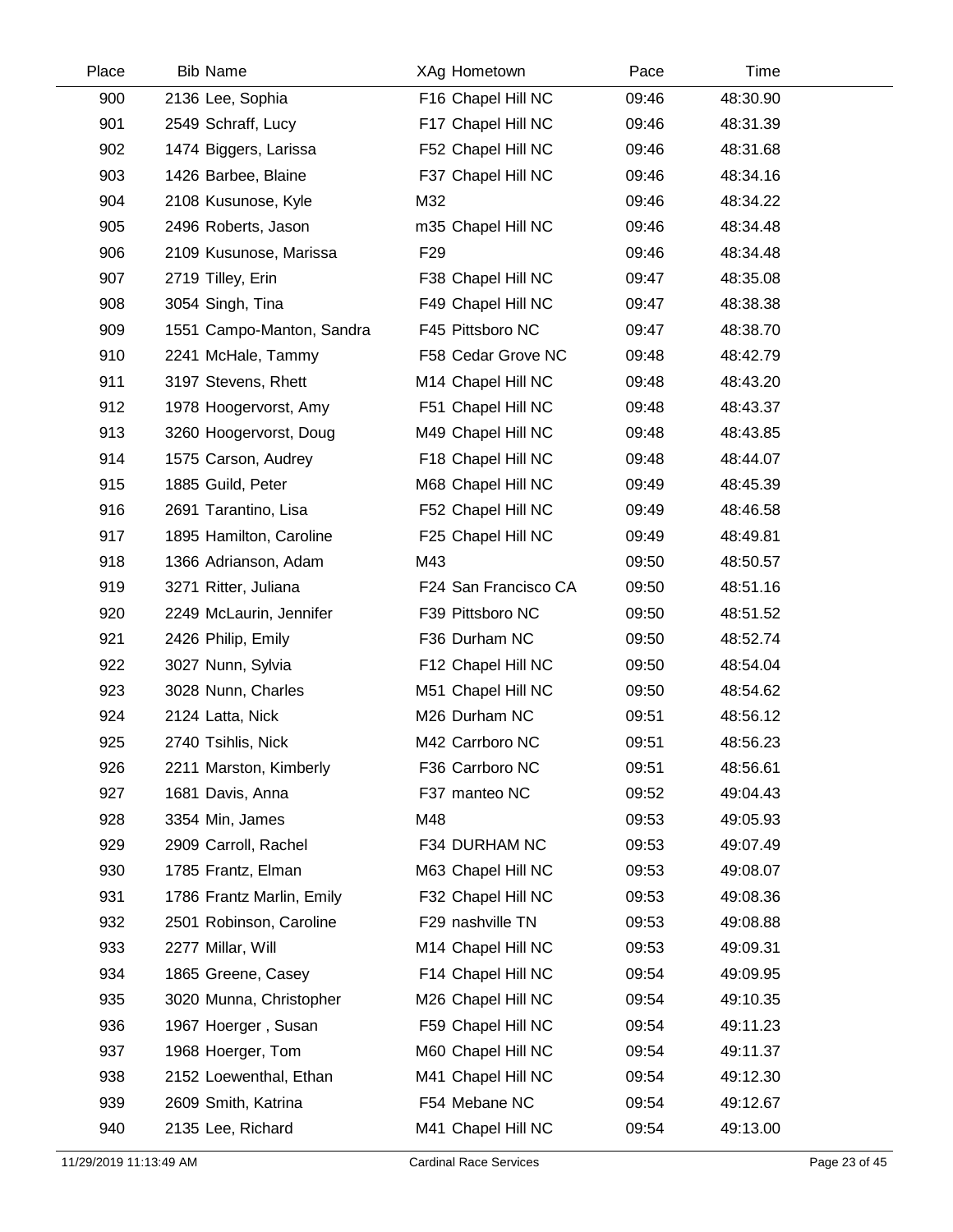| Place | <b>Bib Name</b>           | XAg Hometown         | Pace  | Time     |  |
|-------|---------------------------|----------------------|-------|----------|--|
| 900   | 2136 Lee, Sophia          | F16 Chapel Hill NC   | 09:46 | 48:30.90 |  |
| 901   | 2549 Schraff, Lucy        | F17 Chapel Hill NC   | 09:46 | 48:31.39 |  |
| 902   | 1474 Biggers, Larissa     | F52 Chapel Hill NC   | 09:46 | 48:31.68 |  |
| 903   | 1426 Barbee, Blaine       | F37 Chapel Hill NC   | 09:46 | 48:34.16 |  |
| 904   | 2108 Kusunose, Kyle       | M32                  | 09:46 | 48:34.22 |  |
| 905   | 2496 Roberts, Jason       | m35 Chapel Hill NC   | 09:46 | 48:34.48 |  |
| 906   | 2109 Kusunose, Marissa    | F <sub>29</sub>      | 09:46 | 48:34.48 |  |
| 907   | 2719 Tilley, Erin         | F38 Chapel Hill NC   | 09:47 | 48:35.08 |  |
| 908   | 3054 Singh, Tina          | F49 Chapel Hill NC   | 09:47 | 48:38.38 |  |
| 909   | 1551 Campo-Manton, Sandra | F45 Pittsboro NC     | 09:47 | 48:38.70 |  |
| 910   | 2241 McHale, Tammy        | F58 Cedar Grove NC   | 09:48 | 48:42.79 |  |
| 911   | 3197 Stevens, Rhett       | M14 Chapel Hill NC   | 09:48 | 48:43.20 |  |
| 912   | 1978 Hoogervorst, Amy     | F51 Chapel Hill NC   | 09:48 | 48:43.37 |  |
| 913   | 3260 Hoogervorst, Doug    | M49 Chapel Hill NC   | 09:48 | 48:43.85 |  |
| 914   | 1575 Carson, Audrey       | F18 Chapel Hill NC   | 09:48 | 48:44.07 |  |
| 915   | 1885 Guild, Peter         | M68 Chapel Hill NC   | 09:49 | 48:45.39 |  |
| 916   | 2691 Tarantino, Lisa      | F52 Chapel Hill NC   | 09:49 | 48:46.58 |  |
| 917   | 1895 Hamilton, Caroline   | F25 Chapel Hill NC   | 09:49 | 48:49.81 |  |
| 918   | 1366 Adrianson, Adam      | M43                  | 09:50 | 48:50.57 |  |
| 919   | 3271 Ritter, Juliana      | F24 San Francisco CA | 09:50 | 48:51.16 |  |
| 920   | 2249 McLaurin, Jennifer   | F39 Pittsboro NC     | 09:50 | 48:51.52 |  |
| 921   | 2426 Philip, Emily        | F36 Durham NC        | 09:50 | 48:52.74 |  |
| 922   | 3027 Nunn, Sylvia         | F12 Chapel Hill NC   | 09:50 | 48:54.04 |  |
| 923   | 3028 Nunn, Charles        | M51 Chapel Hill NC   | 09:50 | 48:54.62 |  |
| 924   | 2124 Latta, Nick          | M26 Durham NC        | 09:51 | 48:56.12 |  |
| 925   | 2740 Tsihlis, Nick        | M42 Carrboro NC      | 09:51 | 48:56.23 |  |
| 926   | 2211 Marston, Kimberly    | F36 Carrboro NC      | 09:51 | 48:56.61 |  |
| 927   | 1681 Davis, Anna          | F37 manteo NC        | 09:52 | 49:04.43 |  |
| 928   | 3354 Min, James           | M48                  | 09:53 | 49:05.93 |  |
| 929   | 2909 Carroll, Rachel      | F34 DURHAM NC        | 09:53 | 49:07.49 |  |
| 930   | 1785 Frantz, Elman        | M63 Chapel Hill NC   | 09:53 | 49:08.07 |  |
| 931   | 1786 Frantz Marlin, Emily | F32 Chapel Hill NC   | 09:53 | 49:08.36 |  |
| 932   | 2501 Robinson, Caroline   | F29 nashville TN     | 09:53 | 49:08.88 |  |
| 933   | 2277 Millar, Will         | M14 Chapel Hill NC   | 09:53 | 49:09.31 |  |
| 934   | 1865 Greene, Casey        | F14 Chapel Hill NC   | 09:54 | 49:09.95 |  |
| 935   | 3020 Munna, Christopher   | M26 Chapel Hill NC   | 09:54 | 49:10.35 |  |
| 936   | 1967 Hoerger, Susan       | F59 Chapel Hill NC   | 09:54 | 49:11.23 |  |
| 937   | 1968 Hoerger, Tom         | M60 Chapel Hill NC   | 09:54 | 49:11.37 |  |
| 938   | 2152 Loewenthal, Ethan    | M41 Chapel Hill NC   | 09:54 | 49:12.30 |  |
| 939   | 2609 Smith, Katrina       | F54 Mebane NC        | 09:54 | 49:12.67 |  |
| 940   | 2135 Lee, Richard         | M41 Chapel Hill NC   | 09:54 | 49:13.00 |  |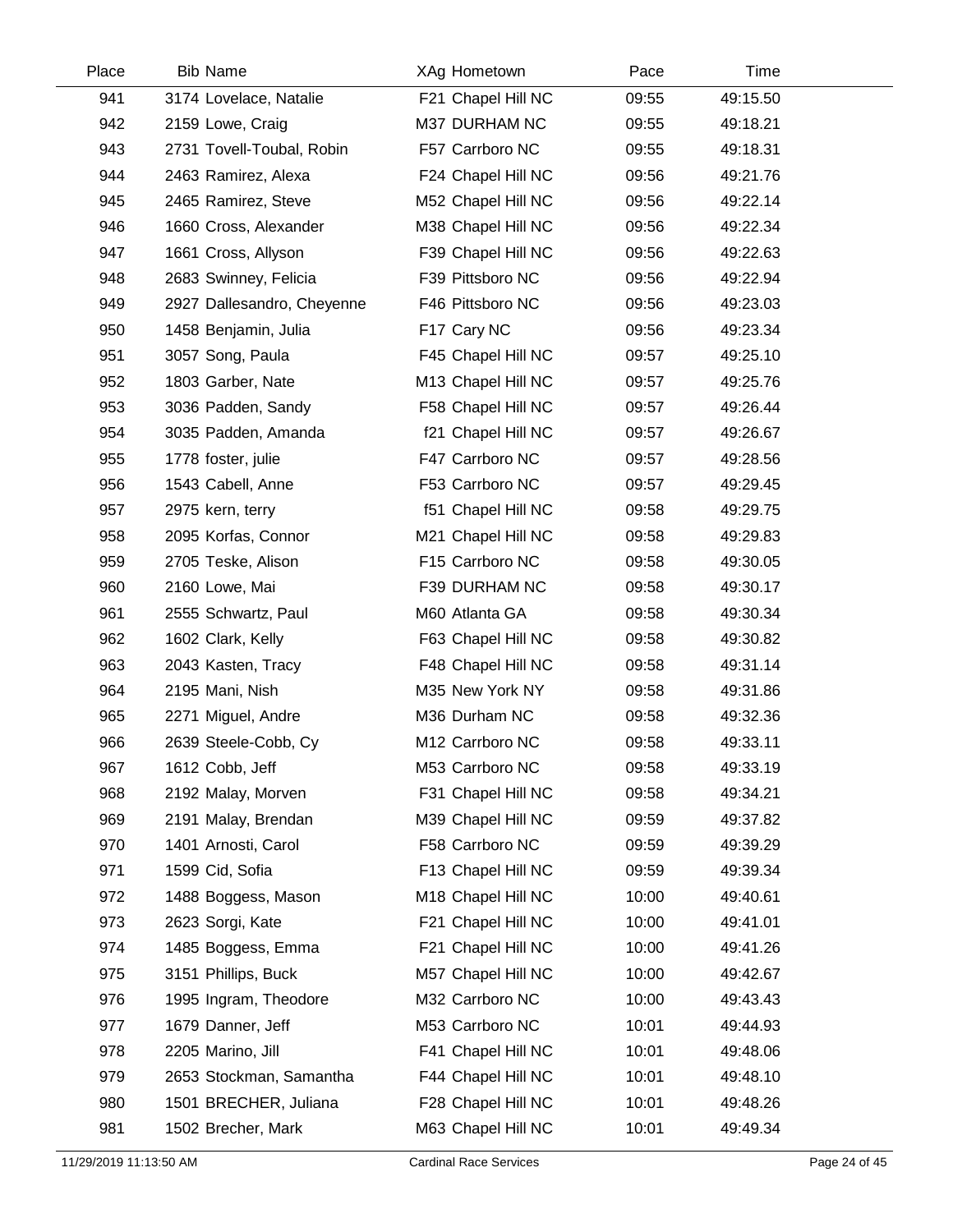| Place | <b>Bib Name</b>            | XAg Hometown       | Pace  | Time     |  |
|-------|----------------------------|--------------------|-------|----------|--|
| 941   | 3174 Lovelace, Natalie     | F21 Chapel Hill NC | 09:55 | 49:15.50 |  |
| 942   | 2159 Lowe, Craig           | M37 DURHAM NC      | 09:55 | 49:18.21 |  |
| 943   | 2731 Tovell-Toubal, Robin  | F57 Carrboro NC    | 09:55 | 49:18.31 |  |
| 944   | 2463 Ramirez, Alexa        | F24 Chapel Hill NC | 09:56 | 49:21.76 |  |
| 945   | 2465 Ramirez, Steve        | M52 Chapel Hill NC | 09:56 | 49:22.14 |  |
| 946   | 1660 Cross, Alexander      | M38 Chapel Hill NC | 09:56 | 49:22.34 |  |
| 947   | 1661 Cross, Allyson        | F39 Chapel Hill NC | 09:56 | 49:22.63 |  |
| 948   | 2683 Swinney, Felicia      | F39 Pittsboro NC   | 09:56 | 49:22.94 |  |
| 949   | 2927 Dallesandro, Cheyenne | F46 Pittsboro NC   | 09:56 | 49:23.03 |  |
| 950   | 1458 Benjamin, Julia       | F17 Cary NC        | 09:56 | 49:23.34 |  |
| 951   | 3057 Song, Paula           | F45 Chapel Hill NC | 09:57 | 49:25.10 |  |
| 952   | 1803 Garber, Nate          | M13 Chapel Hill NC | 09:57 | 49:25.76 |  |
| 953   | 3036 Padden, Sandy         | F58 Chapel Hill NC | 09:57 | 49:26.44 |  |
| 954   | 3035 Padden, Amanda        | f21 Chapel Hill NC | 09:57 | 49:26.67 |  |
| 955   | 1778 foster, julie         | F47 Carrboro NC    | 09:57 | 49:28.56 |  |
| 956   | 1543 Cabell, Anne          | F53 Carrboro NC    | 09:57 | 49:29.45 |  |
| 957   | 2975 kern, terry           | f51 Chapel Hill NC | 09:58 | 49:29.75 |  |
| 958   | 2095 Korfas, Connor        | M21 Chapel Hill NC | 09:58 | 49:29.83 |  |
| 959   | 2705 Teske, Alison         | F15 Carrboro NC    | 09:58 | 49:30.05 |  |
| 960   | 2160 Lowe, Mai             | F39 DURHAM NC      | 09:58 | 49:30.17 |  |
| 961   | 2555 Schwartz, Paul        | M60 Atlanta GA     | 09:58 | 49:30.34 |  |
| 962   | 1602 Clark, Kelly          | F63 Chapel Hill NC | 09:58 | 49:30.82 |  |
| 963   | 2043 Kasten, Tracy         | F48 Chapel Hill NC | 09:58 | 49:31.14 |  |
| 964   | 2195 Mani, Nish            | M35 New York NY    | 09:58 | 49:31.86 |  |
| 965   | 2271 Miguel, Andre         | M36 Durham NC      | 09:58 | 49:32.36 |  |
| 966   | 2639 Steele-Cobb, Cy       | M12 Carrboro NC    | 09:58 | 49:33.11 |  |
| 967   | 1612 Cobb, Jeff            | M53 Carrboro NC    | 09:58 | 49:33.19 |  |
| 968   | 2192 Malay, Morven         | F31 Chapel Hill NC | 09:58 | 49:34.21 |  |
| 969   | 2191 Malay, Brendan        | M39 Chapel Hill NC | 09:59 | 49:37.82 |  |
| 970   | 1401 Arnosti, Carol        | F58 Carrboro NC    | 09:59 | 49:39.29 |  |
| 971   | 1599 Cid, Sofia            | F13 Chapel Hill NC | 09:59 | 49:39.34 |  |
| 972   | 1488 Boggess, Mason        | M18 Chapel Hill NC | 10:00 | 49:40.61 |  |
| 973   | 2623 Sorgi, Kate           | F21 Chapel Hill NC | 10:00 | 49:41.01 |  |
| 974   | 1485 Boggess, Emma         | F21 Chapel Hill NC | 10:00 | 49:41.26 |  |
| 975   | 3151 Phillips, Buck        | M57 Chapel Hill NC | 10:00 | 49:42.67 |  |
| 976   | 1995 Ingram, Theodore      | M32 Carrboro NC    | 10:00 | 49:43.43 |  |
| 977   | 1679 Danner, Jeff          | M53 Carrboro NC    | 10:01 | 49:44.93 |  |
| 978   | 2205 Marino, Jill          | F41 Chapel Hill NC | 10:01 | 49:48.06 |  |
| 979   | 2653 Stockman, Samantha    | F44 Chapel Hill NC | 10:01 | 49:48.10 |  |
| 980   | 1501 BRECHER, Juliana      | F28 Chapel Hill NC | 10:01 | 49:48.26 |  |
| 981   | 1502 Brecher, Mark         | M63 Chapel Hill NC | 10:01 | 49:49.34 |  |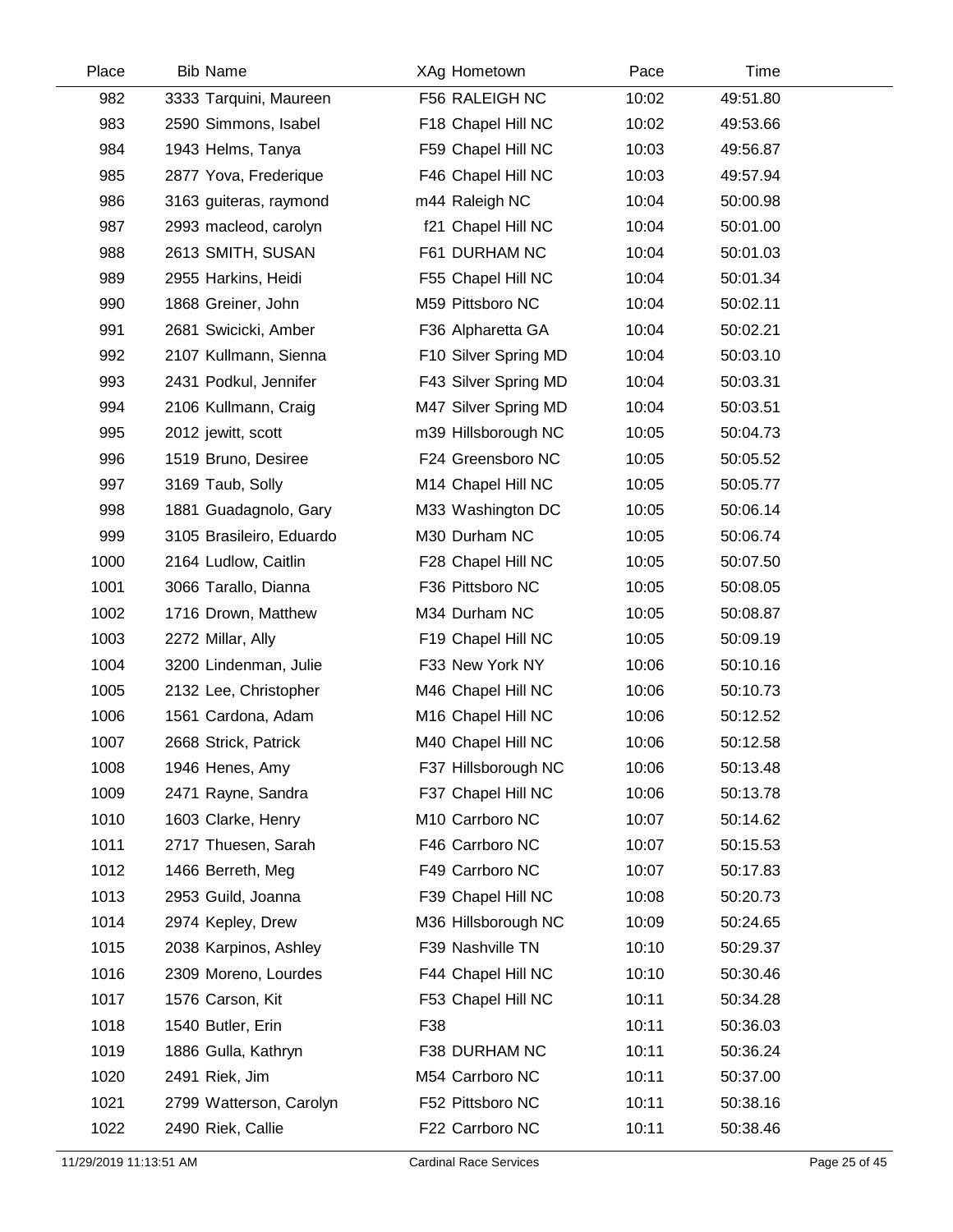| Place | <b>Bib Name</b>          | XAg Hometown         | Pace  | Time     |  |
|-------|--------------------------|----------------------|-------|----------|--|
| 982   | 3333 Tarquini, Maureen   | F56 RALEIGH NC       | 10:02 | 49:51.80 |  |
| 983   | 2590 Simmons, Isabel     | F18 Chapel Hill NC   | 10:02 | 49:53.66 |  |
| 984   | 1943 Helms, Tanya        | F59 Chapel Hill NC   | 10:03 | 49:56.87 |  |
| 985   | 2877 Yova, Frederique    | F46 Chapel Hill NC   | 10:03 | 49:57.94 |  |
| 986   | 3163 guiteras, raymond   | m44 Raleigh NC       | 10:04 | 50:00.98 |  |
| 987   | 2993 macleod, carolyn    | f21 Chapel Hill NC   | 10:04 | 50:01.00 |  |
| 988   | 2613 SMITH, SUSAN        | F61 DURHAM NC        | 10:04 | 50:01.03 |  |
| 989   | 2955 Harkins, Heidi      | F55 Chapel Hill NC   | 10:04 | 50:01.34 |  |
| 990   | 1868 Greiner, John       | M59 Pittsboro NC     | 10:04 | 50:02.11 |  |
| 991   | 2681 Swicicki, Amber     | F36 Alpharetta GA    | 10:04 | 50:02.21 |  |
| 992   | 2107 Kullmann, Sienna    | F10 Silver Spring MD | 10:04 | 50:03.10 |  |
| 993   | 2431 Podkul, Jennifer    | F43 Silver Spring MD | 10:04 | 50:03.31 |  |
| 994   | 2106 Kullmann, Craig     | M47 Silver Spring MD | 10:04 | 50:03.51 |  |
| 995   | 2012 jewitt, scott       | m39 Hillsborough NC  | 10:05 | 50:04.73 |  |
| 996   | 1519 Bruno, Desiree      | F24 Greensboro NC    | 10:05 | 50:05.52 |  |
| 997   | 3169 Taub, Solly         | M14 Chapel Hill NC   | 10:05 | 50:05.77 |  |
| 998   | 1881 Guadagnolo, Gary    | M33 Washington DC    | 10:05 | 50:06.14 |  |
| 999   | 3105 Brasileiro, Eduardo | M30 Durham NC        | 10:05 | 50:06.74 |  |
| 1000  | 2164 Ludlow, Caitlin     | F28 Chapel Hill NC   | 10:05 | 50:07.50 |  |
| 1001  | 3066 Tarallo, Dianna     | F36 Pittsboro NC     | 10:05 | 50:08.05 |  |
| 1002  | 1716 Drown, Matthew      | M34 Durham NC        | 10:05 | 50:08.87 |  |
| 1003  | 2272 Millar, Ally        | F19 Chapel Hill NC   | 10:05 | 50:09.19 |  |
| 1004  | 3200 Lindenman, Julie    | F33 New York NY      | 10:06 | 50:10.16 |  |
| 1005  | 2132 Lee, Christopher    | M46 Chapel Hill NC   | 10:06 | 50:10.73 |  |
| 1006  | 1561 Cardona, Adam       | M16 Chapel Hill NC   | 10:06 | 50:12.52 |  |
| 1007  | 2668 Strick, Patrick     | M40 Chapel Hill NC   | 10:06 | 50:12.58 |  |
| 1008  | 1946 Henes, Amy          | F37 Hillsborough NC  | 10:06 | 50:13.48 |  |
| 1009  | 2471 Rayne, Sandra       | F37 Chapel Hill NC   | 10:06 | 50:13.78 |  |
| 1010  | 1603 Clarke, Henry       | M10 Carrboro NC      | 10:07 | 50:14.62 |  |
| 1011  | 2717 Thuesen, Sarah      | F46 Carrboro NC      | 10:07 | 50:15.53 |  |
| 1012  | 1466 Berreth, Meg        | F49 Carrboro NC      | 10:07 | 50:17.83 |  |
| 1013  | 2953 Guild, Joanna       | F39 Chapel Hill NC   | 10:08 | 50:20.73 |  |
| 1014  | 2974 Kepley, Drew        | M36 Hillsborough NC  | 10:09 | 50:24.65 |  |
| 1015  | 2038 Karpinos, Ashley    | F39 Nashville TN     | 10:10 | 50:29.37 |  |
| 1016  | 2309 Moreno, Lourdes     | F44 Chapel Hill NC   | 10:10 | 50:30.46 |  |
| 1017  | 1576 Carson, Kit         | F53 Chapel Hill NC   | 10:11 | 50:34.28 |  |
| 1018  | 1540 Butler, Erin        | F38                  | 10:11 | 50:36.03 |  |
| 1019  | 1886 Gulla, Kathryn      | F38 DURHAM NC        | 10:11 | 50:36.24 |  |
| 1020  | 2491 Riek, Jim           | M54 Carrboro NC      | 10:11 | 50:37.00 |  |
| 1021  | 2799 Watterson, Carolyn  | F52 Pittsboro NC     | 10:11 | 50:38.16 |  |
| 1022  | 2490 Riek, Callie        | F22 Carrboro NC      | 10:11 | 50:38.46 |  |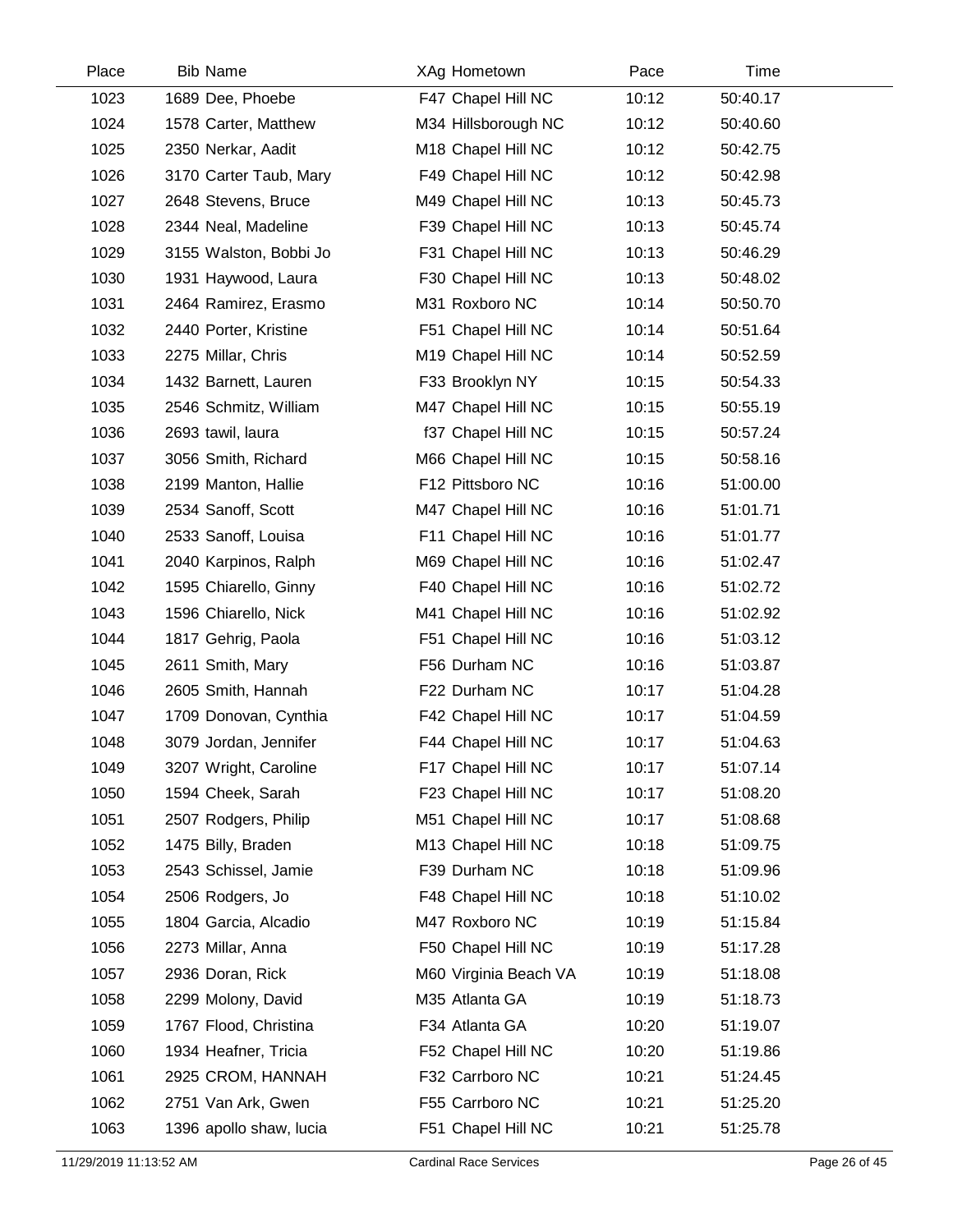| Place | <b>Bib Name</b>         | XAg Hometown          | Pace  | Time     |  |
|-------|-------------------------|-----------------------|-------|----------|--|
| 1023  | 1689 Dee, Phoebe        | F47 Chapel Hill NC    | 10:12 | 50:40.17 |  |
| 1024  | 1578 Carter, Matthew    | M34 Hillsborough NC   | 10:12 | 50:40.60 |  |
| 1025  | 2350 Nerkar, Aadit      | M18 Chapel Hill NC    | 10:12 | 50:42.75 |  |
| 1026  | 3170 Carter Taub, Mary  | F49 Chapel Hill NC    | 10:12 | 50:42.98 |  |
| 1027  | 2648 Stevens, Bruce     | M49 Chapel Hill NC    | 10:13 | 50:45.73 |  |
| 1028  | 2344 Neal, Madeline     | F39 Chapel Hill NC    | 10:13 | 50:45.74 |  |
| 1029  | 3155 Walston, Bobbi Jo  | F31 Chapel Hill NC    | 10:13 | 50:46.29 |  |
| 1030  | 1931 Haywood, Laura     | F30 Chapel Hill NC    | 10:13 | 50:48.02 |  |
| 1031  | 2464 Ramirez, Erasmo    | M31 Roxboro NC        | 10:14 | 50:50.70 |  |
| 1032  | 2440 Porter, Kristine   | F51 Chapel Hill NC    | 10:14 | 50:51.64 |  |
| 1033  | 2275 Millar, Chris      | M19 Chapel Hill NC    | 10:14 | 50:52.59 |  |
| 1034  | 1432 Barnett, Lauren    | F33 Brooklyn NY       | 10:15 | 50:54.33 |  |
| 1035  | 2546 Schmitz, William   | M47 Chapel Hill NC    | 10:15 | 50:55.19 |  |
| 1036  | 2693 tawil, laura       | f37 Chapel Hill NC    | 10:15 | 50:57.24 |  |
| 1037  | 3056 Smith, Richard     | M66 Chapel Hill NC    | 10:15 | 50:58.16 |  |
| 1038  | 2199 Manton, Hallie     | F12 Pittsboro NC      | 10:16 | 51:00.00 |  |
| 1039  | 2534 Sanoff, Scott      | M47 Chapel Hill NC    | 10:16 | 51:01.71 |  |
| 1040  | 2533 Sanoff, Louisa     | F11 Chapel Hill NC    | 10:16 | 51:01.77 |  |
| 1041  | 2040 Karpinos, Ralph    | M69 Chapel Hill NC    | 10:16 | 51:02.47 |  |
| 1042  | 1595 Chiarello, Ginny   | F40 Chapel Hill NC    | 10:16 | 51:02.72 |  |
| 1043  | 1596 Chiarello, Nick    | M41 Chapel Hill NC    | 10:16 | 51:02.92 |  |
| 1044  | 1817 Gehrig, Paola      | F51 Chapel Hill NC    | 10:16 | 51:03.12 |  |
| 1045  | 2611 Smith, Mary        | F56 Durham NC         | 10:16 | 51:03.87 |  |
| 1046  | 2605 Smith, Hannah      | F22 Durham NC         | 10:17 | 51:04.28 |  |
| 1047  | 1709 Donovan, Cynthia   | F42 Chapel Hill NC    | 10:17 | 51:04.59 |  |
| 1048  | 3079 Jordan, Jennifer   | F44 Chapel Hill NC    | 10:17 | 51:04.63 |  |
| 1049  | 3207 Wright, Caroline   | F17 Chapel Hill NC    | 10:17 | 51:07.14 |  |
| 1050  | 1594 Cheek, Sarah       | F23 Chapel Hill NC    | 10:17 | 51:08.20 |  |
| 1051  | 2507 Rodgers, Philip    | M51 Chapel Hill NC    | 10:17 | 51:08.68 |  |
| 1052  | 1475 Billy, Braden      | M13 Chapel Hill NC    | 10:18 | 51:09.75 |  |
| 1053  | 2543 Schissel, Jamie    | F39 Durham NC         | 10:18 | 51:09.96 |  |
| 1054  | 2506 Rodgers, Jo        | F48 Chapel Hill NC    | 10:18 | 51:10.02 |  |
| 1055  | 1804 Garcia, Alcadio    | M47 Roxboro NC        | 10:19 | 51:15.84 |  |
| 1056  | 2273 Millar, Anna       | F50 Chapel Hill NC    | 10:19 | 51:17.28 |  |
| 1057  | 2936 Doran, Rick        | M60 Virginia Beach VA | 10:19 | 51:18.08 |  |
| 1058  | 2299 Molony, David      | M35 Atlanta GA        | 10:19 | 51:18.73 |  |
| 1059  | 1767 Flood, Christina   | F34 Atlanta GA        | 10:20 | 51:19.07 |  |
| 1060  | 1934 Heafner, Tricia    | F52 Chapel Hill NC    | 10:20 | 51:19.86 |  |
| 1061  | 2925 CROM, HANNAH       | F32 Carrboro NC       | 10:21 | 51:24.45 |  |
| 1062  | 2751 Van Ark, Gwen      | F55 Carrboro NC       | 10:21 | 51:25.20 |  |
| 1063  | 1396 apollo shaw, lucia | F51 Chapel Hill NC    | 10:21 | 51:25.78 |  |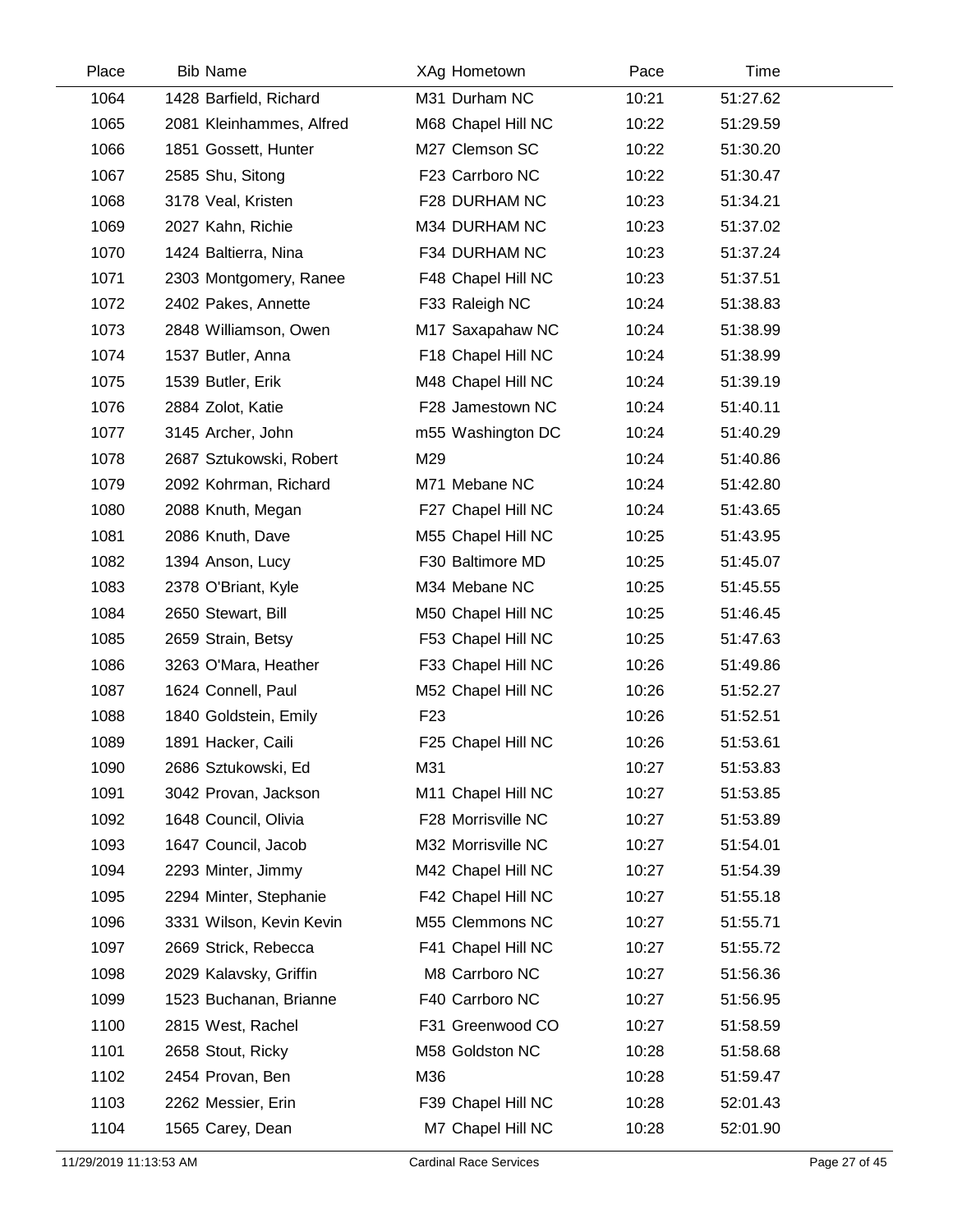| Place | <b>Bib Name</b>          | XAg Hometown                   | Pace  | Time     |  |
|-------|--------------------------|--------------------------------|-------|----------|--|
| 1064  | 1428 Barfield, Richard   | M31 Durham NC                  | 10:21 | 51:27.62 |  |
| 1065  | 2081 Kleinhammes, Alfred | M68 Chapel Hill NC             | 10:22 | 51:29.59 |  |
| 1066  | 1851 Gossett, Hunter     | M27 Clemson SC                 | 10:22 | 51:30.20 |  |
| 1067  | 2585 Shu, Sitong         | F23 Carrboro NC                | 10:22 | 51:30.47 |  |
| 1068  | 3178 Veal, Kristen       | F28 DURHAM NC                  | 10:23 | 51:34.21 |  |
| 1069  | 2027 Kahn, Richie        | M34 DURHAM NC                  | 10:23 | 51:37.02 |  |
| 1070  | 1424 Baltierra, Nina     | F34 DURHAM NC                  | 10:23 | 51:37.24 |  |
| 1071  | 2303 Montgomery, Ranee   | F48 Chapel Hill NC             | 10:23 | 51:37.51 |  |
| 1072  | 2402 Pakes, Annette      | F33 Raleigh NC                 | 10:24 | 51:38.83 |  |
| 1073  | 2848 Williamson, Owen    | M17 Saxapahaw NC               | 10:24 | 51:38.99 |  |
| 1074  | 1537 Butler, Anna        | F18 Chapel Hill NC             | 10:24 | 51:38.99 |  |
| 1075  | 1539 Butler, Erik        | M48 Chapel Hill NC             | 10:24 | 51:39.19 |  |
| 1076  | 2884 Zolot, Katie        | F28 Jamestown NC               | 10:24 | 51:40.11 |  |
| 1077  | 3145 Archer, John        | m55 Washington DC              | 10:24 | 51:40.29 |  |
| 1078  | 2687 Sztukowski, Robert  | M29                            | 10:24 | 51:40.86 |  |
| 1079  | 2092 Kohrman, Richard    | M71 Mebane NC                  | 10:24 | 51:42.80 |  |
| 1080  | 2088 Knuth, Megan        | F27 Chapel Hill NC             | 10:24 | 51:43.65 |  |
| 1081  | 2086 Knuth, Dave         | M55 Chapel Hill NC             | 10:25 | 51:43.95 |  |
| 1082  | 1394 Anson, Lucy         | F30 Baltimore MD               | 10:25 | 51:45.07 |  |
| 1083  | 2378 O'Briant, Kyle      | M34 Mebane NC                  | 10:25 | 51:45.55 |  |
| 1084  | 2650 Stewart, Bill       | M50 Chapel Hill NC             | 10:25 | 51:46.45 |  |
| 1085  | 2659 Strain, Betsy       | F53 Chapel Hill NC             | 10:25 | 51:47.63 |  |
| 1086  | 3263 O'Mara, Heather     | F33 Chapel Hill NC             | 10:26 | 51:49.86 |  |
| 1087  | 1624 Connell, Paul       | M52 Chapel Hill NC             | 10:26 | 51:52.27 |  |
| 1088  | 1840 Goldstein, Emily    | F <sub>23</sub>                | 10:26 | 51:52.51 |  |
| 1089  | 1891 Hacker, Caili       | F25 Chapel Hill NC             | 10:26 | 51:53.61 |  |
| 1090  | 2686 Sztukowski, Ed      | M31                            | 10:27 | 51:53.83 |  |
| 1091  | 3042 Provan, Jackson     | M <sub>11</sub> Chapel Hill NC | 10:27 | 51:53.85 |  |
| 1092  | 1648 Council, Olivia     | F28 Morrisville NC             | 10:27 | 51:53.89 |  |
| 1093  | 1647 Council, Jacob      | M32 Morrisville NC             | 10:27 | 51:54.01 |  |
| 1094  | 2293 Minter, Jimmy       | M42 Chapel Hill NC             | 10:27 | 51:54.39 |  |
| 1095  | 2294 Minter, Stephanie   | F42 Chapel Hill NC             | 10:27 | 51:55.18 |  |
| 1096  | 3331 Wilson, Kevin Kevin | M55 Clemmons NC                | 10:27 | 51:55.71 |  |
| 1097  | 2669 Strick, Rebecca     | F41 Chapel Hill NC             | 10:27 | 51:55.72 |  |
| 1098  | 2029 Kalavsky, Griffin   | M8 Carrboro NC                 | 10:27 | 51:56.36 |  |
| 1099  | 1523 Buchanan, Brianne   | F40 Carrboro NC                | 10:27 | 51:56.95 |  |
| 1100  | 2815 West, Rachel        | F31 Greenwood CO               | 10:27 | 51:58.59 |  |
| 1101  | 2658 Stout, Ricky        | M58 Goldston NC                | 10:28 | 51:58.68 |  |
| 1102  | 2454 Provan, Ben         | M36                            | 10:28 | 51:59.47 |  |
| 1103  | 2262 Messier, Erin       | F39 Chapel Hill NC             | 10:28 | 52:01.43 |  |
| 1104  | 1565 Carey, Dean         | M7 Chapel Hill NC              | 10:28 | 52:01.90 |  |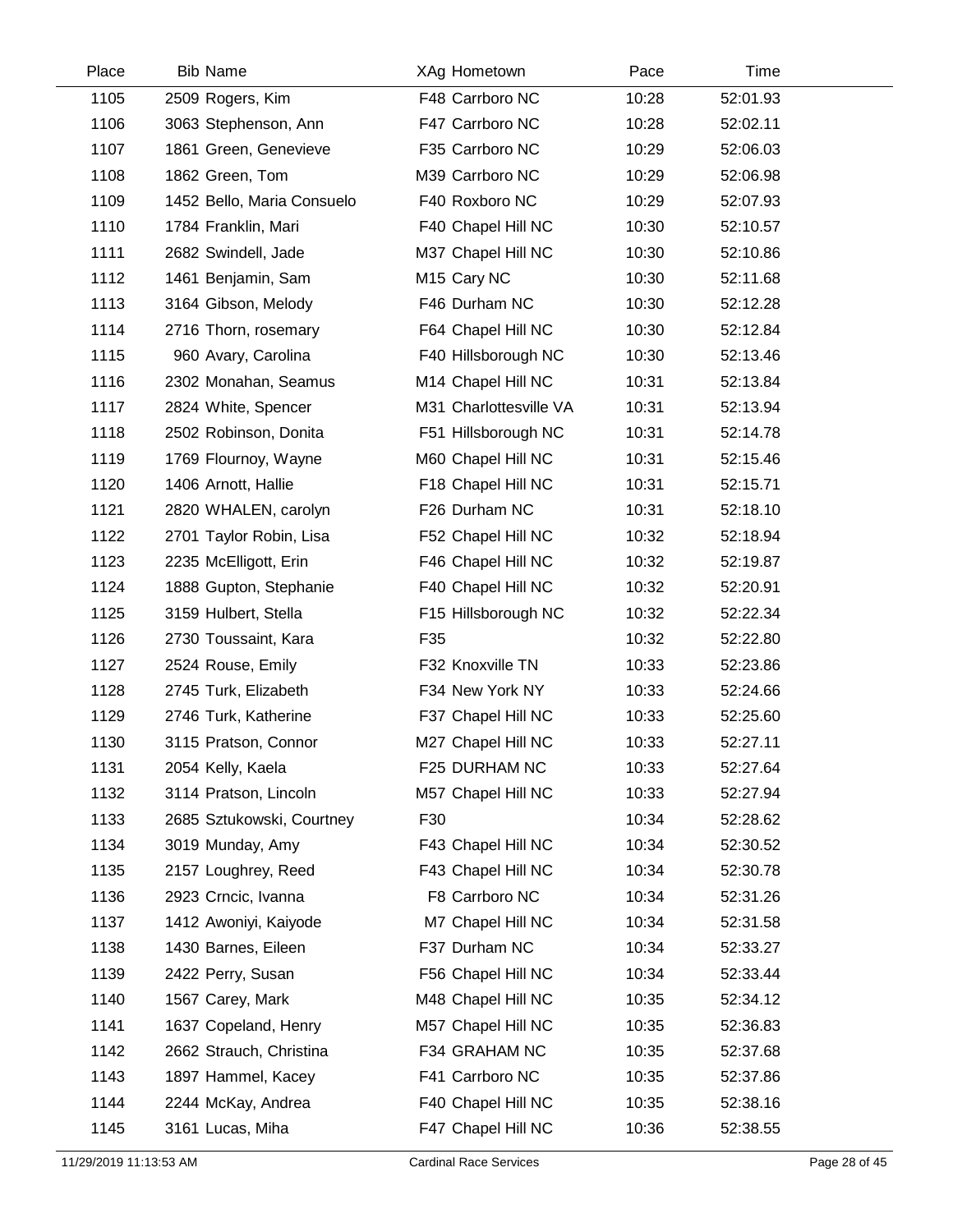| Place | <b>Bib Name</b>            | XAg Hometown            | Pace  | Time     |  |
|-------|----------------------------|-------------------------|-------|----------|--|
| 1105  | 2509 Rogers, Kim           | F48 Carrboro NC         | 10:28 | 52:01.93 |  |
| 1106  | 3063 Stephenson, Ann       | F47 Carrboro NC         | 10:28 | 52:02.11 |  |
| 1107  | 1861 Green, Genevieve      | F35 Carrboro NC         | 10:29 | 52:06.03 |  |
| 1108  | 1862 Green, Tom            | M39 Carrboro NC         | 10:29 | 52:06.98 |  |
| 1109  | 1452 Bello, Maria Consuelo | F40 Roxboro NC          | 10:29 | 52:07.93 |  |
| 1110  | 1784 Franklin, Mari        | F40 Chapel Hill NC      | 10:30 | 52:10.57 |  |
| 1111  | 2682 Swindell, Jade        | M37 Chapel Hill NC      | 10:30 | 52:10.86 |  |
| 1112  | 1461 Benjamin, Sam         | M <sub>15</sub> Cary NC | 10:30 | 52:11.68 |  |
| 1113  | 3164 Gibson, Melody        | F46 Durham NC           | 10:30 | 52:12.28 |  |
| 1114  | 2716 Thorn, rosemary       | F64 Chapel Hill NC      | 10:30 | 52:12.84 |  |
| 1115  | 960 Avary, Carolina        | F40 Hillsborough NC     | 10:30 | 52:13.46 |  |
| 1116  | 2302 Monahan, Seamus       | M14 Chapel Hill NC      | 10:31 | 52:13.84 |  |
| 1117  | 2824 White, Spencer        | M31 Charlottesville VA  | 10:31 | 52:13.94 |  |
| 1118  | 2502 Robinson, Donita      | F51 Hillsborough NC     | 10:31 | 52:14.78 |  |
| 1119  | 1769 Flournoy, Wayne       | M60 Chapel Hill NC      | 10:31 | 52:15.46 |  |
| 1120  | 1406 Arnott, Hallie        | F18 Chapel Hill NC      | 10:31 | 52:15.71 |  |
| 1121  | 2820 WHALEN, carolyn       | F26 Durham NC           | 10:31 | 52:18.10 |  |
| 1122  | 2701 Taylor Robin, Lisa    | F52 Chapel Hill NC      | 10:32 | 52:18.94 |  |
| 1123  | 2235 McElligott, Erin      | F46 Chapel Hill NC      | 10:32 | 52:19.87 |  |
| 1124  | 1888 Gupton, Stephanie     | F40 Chapel Hill NC      | 10:32 | 52:20.91 |  |
| 1125  | 3159 Hulbert, Stella       | F15 Hillsborough NC     | 10:32 | 52:22.34 |  |
| 1126  | 2730 Toussaint, Kara       | F35                     | 10:32 | 52:22.80 |  |
| 1127  | 2524 Rouse, Emily          | F32 Knoxville TN        | 10:33 | 52:23.86 |  |
| 1128  | 2745 Turk, Elizabeth       | F34 New York NY         | 10:33 | 52:24.66 |  |
| 1129  | 2746 Turk, Katherine       | F37 Chapel Hill NC      | 10:33 | 52:25.60 |  |
| 1130  | 3115 Pratson, Connor       | M27 Chapel Hill NC      | 10:33 | 52:27.11 |  |
| 1131  | 2054 Kelly, Kaela          | F25 DURHAM NC           | 10:33 | 52:27.64 |  |
| 1132  | 3114 Pratson, Lincoln      | M57 Chapel Hill NC      | 10:33 | 52:27.94 |  |
| 1133  | 2685 Sztukowski, Courtney  | F30                     | 10:34 | 52:28.62 |  |
| 1134  | 3019 Munday, Amy           | F43 Chapel Hill NC      | 10:34 | 52:30.52 |  |
| 1135  | 2157 Loughrey, Reed        | F43 Chapel Hill NC      | 10:34 | 52:30.78 |  |
| 1136  | 2923 Crncic, Ivanna        | F8 Carrboro NC          | 10:34 | 52:31.26 |  |
| 1137  | 1412 Awoniyi, Kaiyode      | M7 Chapel Hill NC       | 10:34 | 52:31.58 |  |
| 1138  | 1430 Barnes, Eileen        | F37 Durham NC           | 10:34 | 52:33.27 |  |
| 1139  | 2422 Perry, Susan          | F56 Chapel Hill NC      | 10:34 | 52:33.44 |  |
| 1140  | 1567 Carey, Mark           | M48 Chapel Hill NC      | 10:35 | 52:34.12 |  |
| 1141  | 1637 Copeland, Henry       | M57 Chapel Hill NC      | 10:35 | 52:36.83 |  |
| 1142  | 2662 Strauch, Christina    | F34 GRAHAM NC           | 10:35 | 52:37.68 |  |
| 1143  | 1897 Hammel, Kacey         | F41 Carrboro NC         | 10:35 | 52:37.86 |  |
| 1144  | 2244 McKay, Andrea         | F40 Chapel Hill NC      | 10:35 | 52:38.16 |  |
| 1145  | 3161 Lucas, Miha           | F47 Chapel Hill NC      | 10:36 | 52:38.55 |  |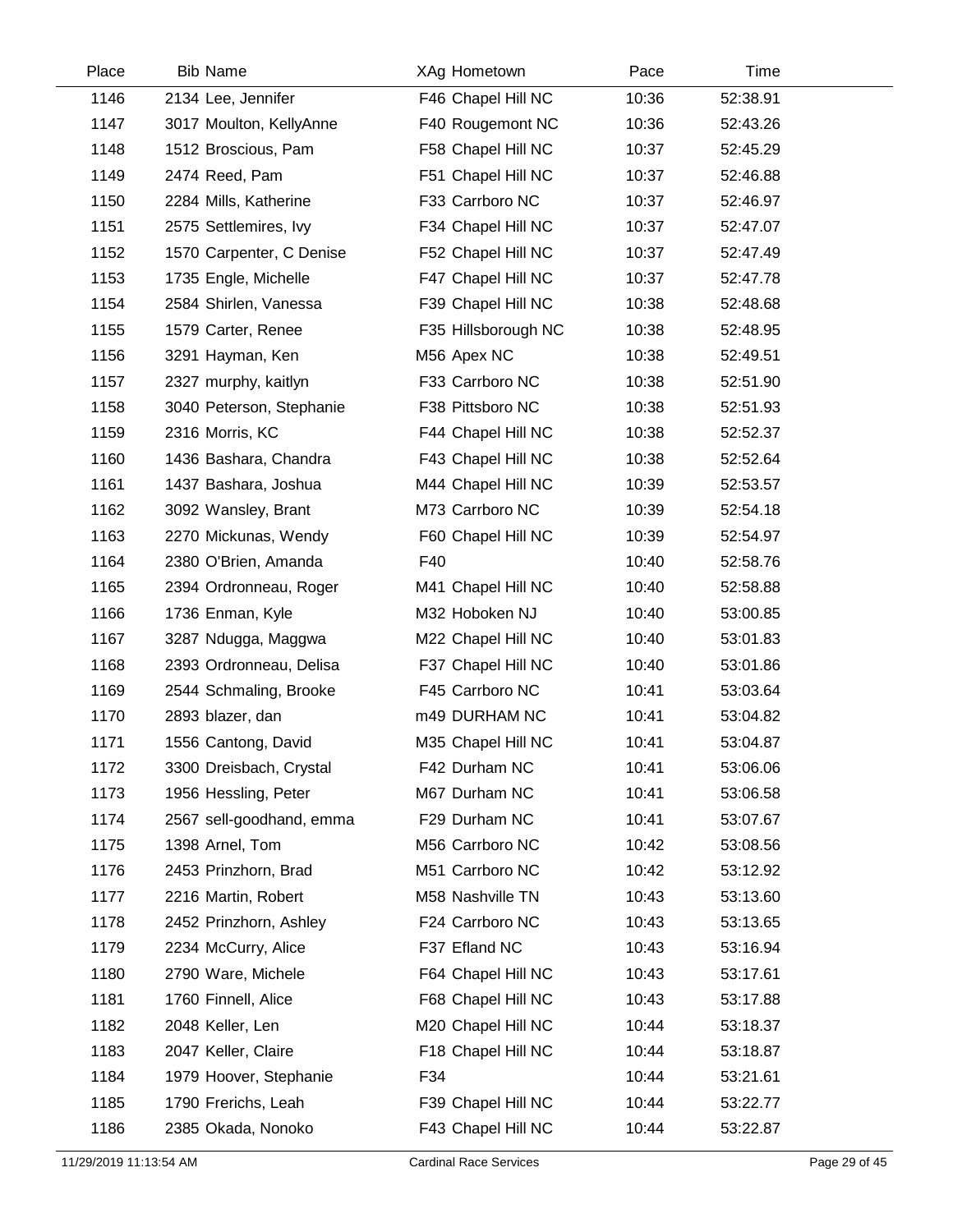| Place | <b>Bib Name</b>          | XAg Hometown        | Pace  | Time     |  |
|-------|--------------------------|---------------------|-------|----------|--|
| 1146  | 2134 Lee, Jennifer       | F46 Chapel Hill NC  | 10:36 | 52:38.91 |  |
| 1147  | 3017 Moulton, KellyAnne  | F40 Rougemont NC    | 10:36 | 52:43.26 |  |
| 1148  | 1512 Broscious, Pam      | F58 Chapel Hill NC  | 10:37 | 52:45.29 |  |
| 1149  | 2474 Reed, Pam           | F51 Chapel Hill NC  | 10:37 | 52:46.88 |  |
| 1150  | 2284 Mills, Katherine    | F33 Carrboro NC     | 10:37 | 52:46.97 |  |
| 1151  | 2575 Settlemires, Ivy    | F34 Chapel Hill NC  | 10:37 | 52:47.07 |  |
| 1152  | 1570 Carpenter, C Denise | F52 Chapel Hill NC  | 10:37 | 52:47.49 |  |
| 1153  | 1735 Engle, Michelle     | F47 Chapel Hill NC  | 10:37 | 52:47.78 |  |
| 1154  | 2584 Shirlen, Vanessa    | F39 Chapel Hill NC  | 10:38 | 52:48.68 |  |
| 1155  | 1579 Carter, Renee       | F35 Hillsborough NC | 10:38 | 52:48.95 |  |
| 1156  | 3291 Hayman, Ken         | M56 Apex NC         | 10:38 | 52:49.51 |  |
| 1157  | 2327 murphy, kaitlyn     | F33 Carrboro NC     | 10:38 | 52:51.90 |  |
| 1158  | 3040 Peterson, Stephanie | F38 Pittsboro NC    | 10:38 | 52:51.93 |  |
| 1159  | 2316 Morris, KC          | F44 Chapel Hill NC  | 10:38 | 52:52.37 |  |
| 1160  | 1436 Bashara, Chandra    | F43 Chapel Hill NC  | 10:38 | 52:52.64 |  |
| 1161  | 1437 Bashara, Joshua     | M44 Chapel Hill NC  | 10:39 | 52:53.57 |  |
| 1162  | 3092 Wansley, Brant      | M73 Carrboro NC     | 10:39 | 52:54.18 |  |
| 1163  | 2270 Mickunas, Wendy     | F60 Chapel Hill NC  | 10:39 | 52:54.97 |  |
| 1164  | 2380 O'Brien, Amanda     | F40                 | 10:40 | 52:58.76 |  |
| 1165  | 2394 Ordronneau, Roger   | M41 Chapel Hill NC  | 10:40 | 52:58.88 |  |
| 1166  | 1736 Enman, Kyle         | M32 Hoboken NJ      | 10:40 | 53:00.85 |  |
| 1167  | 3287 Ndugga, Maggwa      | M22 Chapel Hill NC  | 10:40 | 53:01.83 |  |
| 1168  | 2393 Ordronneau, Delisa  | F37 Chapel Hill NC  | 10:40 | 53:01.86 |  |
| 1169  | 2544 Schmaling, Brooke   | F45 Carrboro NC     | 10:41 | 53:03.64 |  |
| 1170  | 2893 blazer, dan         | m49 DURHAM NC       | 10:41 | 53:04.82 |  |
| 1171  | 1556 Cantong, David      | M35 Chapel Hill NC  | 10:41 | 53:04.87 |  |
| 1172  | 3300 Dreisbach, Crystal  | F42 Durham NC       | 10:41 | 53:06.06 |  |
| 1173  | 1956 Hessling, Peter     | M67 Durham NC       | 10:41 | 53:06.58 |  |
| 1174  | 2567 sell-goodhand, emma | F29 Durham NC       | 10:41 | 53:07.67 |  |
| 1175  | 1398 Arnel, Tom          | M56 Carrboro NC     | 10:42 | 53:08.56 |  |
| 1176  | 2453 Prinzhorn, Brad     | M51 Carrboro NC     | 10:42 | 53:12.92 |  |
| 1177  | 2216 Martin, Robert      | M58 Nashville TN    | 10:43 | 53:13.60 |  |
| 1178  | 2452 Prinzhorn, Ashley   | F24 Carrboro NC     | 10:43 | 53:13.65 |  |
| 1179  | 2234 McCurry, Alice      | F37 Efland NC       | 10:43 | 53:16.94 |  |
| 1180  | 2790 Ware, Michele       | F64 Chapel Hill NC  | 10:43 | 53:17.61 |  |
| 1181  | 1760 Finnell, Alice      | F68 Chapel Hill NC  | 10:43 | 53:17.88 |  |
| 1182  | 2048 Keller, Len         | M20 Chapel Hill NC  | 10:44 | 53:18.37 |  |
| 1183  | 2047 Keller, Claire      | F18 Chapel Hill NC  | 10:44 | 53:18.87 |  |
| 1184  | 1979 Hoover, Stephanie   | F34                 | 10:44 | 53:21.61 |  |
| 1185  | 1790 Frerichs, Leah      | F39 Chapel Hill NC  | 10:44 | 53:22.77 |  |
| 1186  | 2385 Okada, Nonoko       | F43 Chapel Hill NC  | 10:44 | 53:22.87 |  |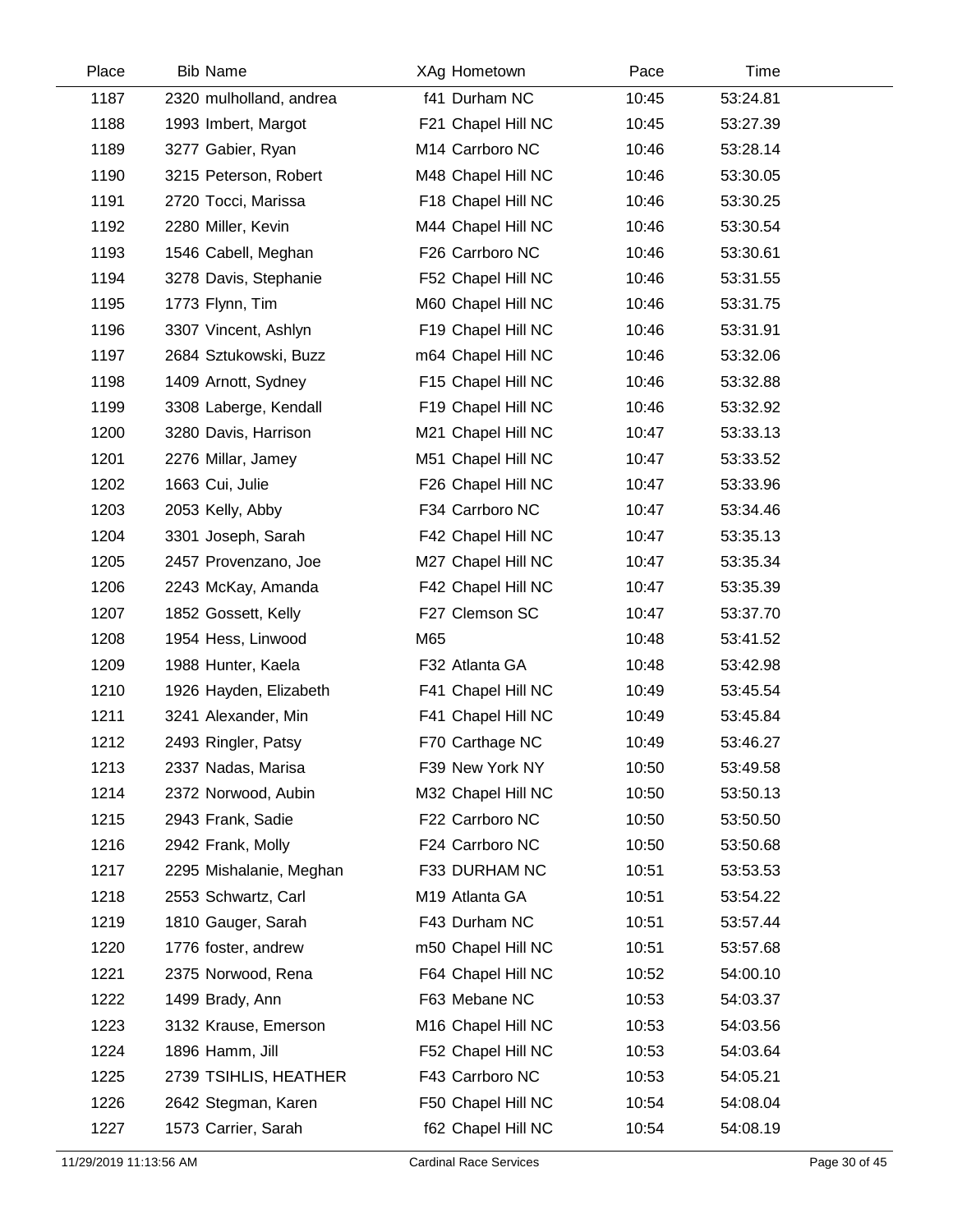| Place | <b>Bib Name</b>         | XAg Hometown       | Pace  | Time     |  |
|-------|-------------------------|--------------------|-------|----------|--|
| 1187  | 2320 mulholland, andrea | f41 Durham NC      | 10:45 | 53:24.81 |  |
| 1188  | 1993 Imbert, Margot     | F21 Chapel Hill NC | 10:45 | 53:27.39 |  |
| 1189  | 3277 Gabier, Ryan       | M14 Carrboro NC    | 10:46 | 53:28.14 |  |
| 1190  | 3215 Peterson, Robert   | M48 Chapel Hill NC | 10:46 | 53:30.05 |  |
| 1191  | 2720 Tocci, Marissa     | F18 Chapel Hill NC | 10:46 | 53:30.25 |  |
| 1192  | 2280 Miller, Kevin      | M44 Chapel Hill NC | 10:46 | 53:30.54 |  |
| 1193  | 1546 Cabell, Meghan     | F26 Carrboro NC    | 10:46 | 53:30.61 |  |
| 1194  | 3278 Davis, Stephanie   | F52 Chapel Hill NC | 10:46 | 53:31.55 |  |
| 1195  | 1773 Flynn, Tim         | M60 Chapel Hill NC | 10:46 | 53:31.75 |  |
| 1196  | 3307 Vincent, Ashlyn    | F19 Chapel Hill NC | 10:46 | 53:31.91 |  |
| 1197  | 2684 Sztukowski, Buzz   | m64 Chapel Hill NC | 10:46 | 53:32.06 |  |
| 1198  | 1409 Arnott, Sydney     | F15 Chapel Hill NC | 10:46 | 53:32.88 |  |
| 1199  | 3308 Laberge, Kendall   | F19 Chapel Hill NC | 10:46 | 53:32.92 |  |
| 1200  | 3280 Davis, Harrison    | M21 Chapel Hill NC | 10:47 | 53:33.13 |  |
| 1201  | 2276 Millar, Jamey      | M51 Chapel Hill NC | 10:47 | 53:33.52 |  |
| 1202  | 1663 Cui, Julie         | F26 Chapel Hill NC | 10:47 | 53:33.96 |  |
| 1203  | 2053 Kelly, Abby        | F34 Carrboro NC    | 10:47 | 53:34.46 |  |
| 1204  | 3301 Joseph, Sarah      | F42 Chapel Hill NC | 10:47 | 53:35.13 |  |
| 1205  | 2457 Provenzano, Joe    | M27 Chapel Hill NC | 10:47 | 53:35.34 |  |
| 1206  | 2243 McKay, Amanda      | F42 Chapel Hill NC | 10:47 | 53:35.39 |  |
| 1207  | 1852 Gossett, Kelly     | F27 Clemson SC     | 10:47 | 53:37.70 |  |
| 1208  | 1954 Hess, Linwood      | M65                | 10:48 | 53:41.52 |  |
| 1209  | 1988 Hunter, Kaela      | F32 Atlanta GA     | 10:48 | 53:42.98 |  |
| 1210  | 1926 Hayden, Elizabeth  | F41 Chapel Hill NC | 10:49 | 53:45.54 |  |
| 1211  | 3241 Alexander, Min     | F41 Chapel Hill NC | 10:49 | 53:45.84 |  |
| 1212  | 2493 Ringler, Patsy     | F70 Carthage NC    | 10:49 | 53:46.27 |  |
| 1213  | 2337 Nadas, Marisa      | F39 New York NY    | 10:50 | 53:49.58 |  |
| 1214  | 2372 Norwood, Aubin     | M32 Chapel Hill NC | 10:50 | 53:50.13 |  |
| 1215  | 2943 Frank, Sadie       | F22 Carrboro NC    | 10:50 | 53:50.50 |  |
| 1216  | 2942 Frank, Molly       | F24 Carrboro NC    | 10:50 | 53:50.68 |  |
| 1217  | 2295 Mishalanie, Meghan | F33 DURHAM NC      | 10:51 | 53:53.53 |  |
| 1218  | 2553 Schwartz, Carl     | M19 Atlanta GA     | 10:51 | 53:54.22 |  |
| 1219  | 1810 Gauger, Sarah      | F43 Durham NC      | 10:51 | 53:57.44 |  |
| 1220  | 1776 foster, andrew     | m50 Chapel Hill NC | 10:51 | 53:57.68 |  |
| 1221  | 2375 Norwood, Rena      | F64 Chapel Hill NC | 10:52 | 54:00.10 |  |
| 1222  | 1499 Brady, Ann         | F63 Mebane NC      | 10:53 | 54:03.37 |  |
| 1223  | 3132 Krause, Emerson    | M16 Chapel Hill NC | 10:53 | 54:03.56 |  |
| 1224  | 1896 Hamm, Jill         | F52 Chapel Hill NC | 10:53 | 54:03.64 |  |
| 1225  | 2739 TSIHLIS, HEATHER   | F43 Carrboro NC    | 10:53 | 54:05.21 |  |
| 1226  | 2642 Stegman, Karen     | F50 Chapel Hill NC | 10:54 | 54:08.04 |  |
| 1227  | 1573 Carrier, Sarah     | f62 Chapel Hill NC | 10:54 | 54:08.19 |  |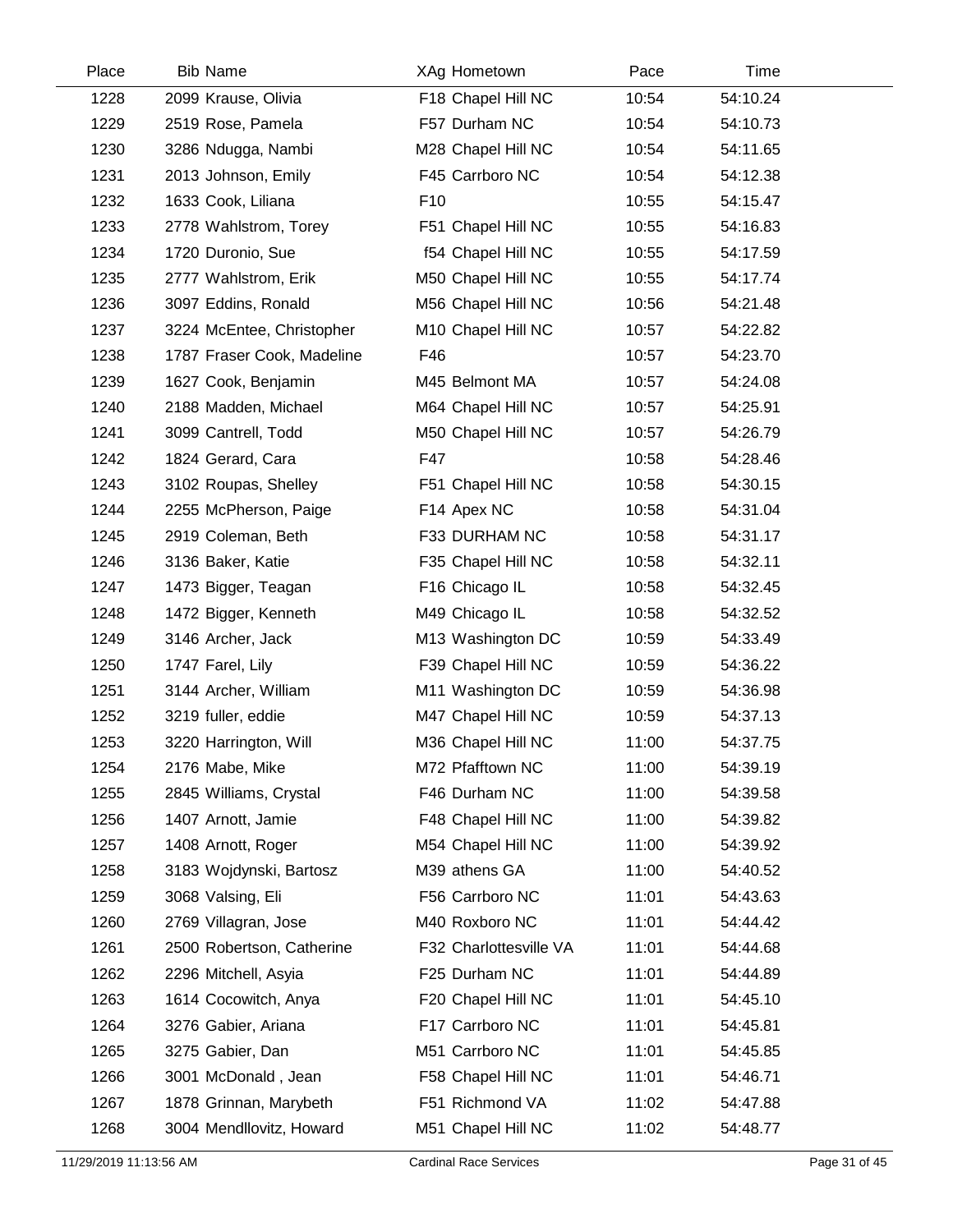| Place | <b>Bib Name</b>            | XAg Hometown           | Pace  | Time     |  |
|-------|----------------------------|------------------------|-------|----------|--|
| 1228  | 2099 Krause, Olivia        | F18 Chapel Hill NC     | 10:54 | 54:10.24 |  |
| 1229  | 2519 Rose, Pamela          | F57 Durham NC          | 10:54 | 54:10.73 |  |
| 1230  | 3286 Ndugga, Nambi         | M28 Chapel Hill NC     | 10:54 | 54:11.65 |  |
| 1231  | 2013 Johnson, Emily        | F45 Carrboro NC        | 10:54 | 54:12.38 |  |
| 1232  | 1633 Cook, Liliana         | F <sub>10</sub>        | 10:55 | 54:15.47 |  |
| 1233  | 2778 Wahlstrom, Torey      | F51 Chapel Hill NC     | 10:55 | 54:16.83 |  |
| 1234  | 1720 Duronio, Sue          | f54 Chapel Hill NC     | 10:55 | 54:17.59 |  |
| 1235  | 2777 Wahlstrom, Erik       | M50 Chapel Hill NC     | 10:55 | 54:17.74 |  |
| 1236  | 3097 Eddins, Ronald        | M56 Chapel Hill NC     | 10:56 | 54:21.48 |  |
| 1237  | 3224 McEntee, Christopher  | M10 Chapel Hill NC     | 10:57 | 54:22.82 |  |
| 1238  | 1787 Fraser Cook, Madeline | F46                    | 10:57 | 54:23.70 |  |
| 1239  | 1627 Cook, Benjamin        | M45 Belmont MA         | 10:57 | 54:24.08 |  |
| 1240  | 2188 Madden, Michael       | M64 Chapel Hill NC     | 10:57 | 54:25.91 |  |
| 1241  | 3099 Cantrell, Todd        | M50 Chapel Hill NC     | 10:57 | 54:26.79 |  |
| 1242  | 1824 Gerard, Cara          | F47                    | 10:58 | 54:28.46 |  |
| 1243  | 3102 Roupas, Shelley       | F51 Chapel Hill NC     | 10:58 | 54:30.15 |  |
| 1244  | 2255 McPherson, Paige      | F14 Apex NC            | 10:58 | 54:31.04 |  |
| 1245  | 2919 Coleman, Beth         | F33 DURHAM NC          | 10:58 | 54:31.17 |  |
| 1246  | 3136 Baker, Katie          | F35 Chapel Hill NC     | 10:58 | 54:32.11 |  |
| 1247  | 1473 Bigger, Teagan        | F16 Chicago IL         | 10:58 | 54:32.45 |  |
| 1248  | 1472 Bigger, Kenneth       | M49 Chicago IL         | 10:58 | 54:32.52 |  |
| 1249  | 3146 Archer, Jack          | M13 Washington DC      | 10:59 | 54:33.49 |  |
| 1250  | 1747 Farel, Lily           | F39 Chapel Hill NC     | 10:59 | 54:36.22 |  |
| 1251  | 3144 Archer, William       | M11 Washington DC      | 10:59 | 54:36.98 |  |
| 1252  | 3219 fuller, eddie         | M47 Chapel Hill NC     | 10:59 | 54:37.13 |  |
| 1253  | 3220 Harrington, Will      | M36 Chapel Hill NC     | 11:00 | 54:37.75 |  |
| 1254  | 2176 Mabe, Mike            | M72 Pfafftown NC       | 11:00 | 54:39.19 |  |
| 1255  | 2845 Williams, Crystal     | F46 Durham NC          | 11:00 | 54:39.58 |  |
| 1256  | 1407 Arnott, Jamie         | F48 Chapel Hill NC     | 11:00 | 54:39.82 |  |
| 1257  | 1408 Arnott, Roger         | M54 Chapel Hill NC     | 11:00 | 54:39.92 |  |
| 1258  | 3183 Wojdynski, Bartosz    | M39 athens GA          | 11:00 | 54:40.52 |  |
| 1259  | 3068 Valsing, Eli          | F56 Carrboro NC        | 11:01 | 54:43.63 |  |
| 1260  | 2769 Villagran, Jose       | M40 Roxboro NC         | 11:01 | 54:44.42 |  |
| 1261  | 2500 Robertson, Catherine  | F32 Charlottesville VA | 11:01 | 54:44.68 |  |
| 1262  | 2296 Mitchell, Asyia       | F25 Durham NC          | 11:01 | 54:44.89 |  |
| 1263  | 1614 Cocowitch, Anya       | F20 Chapel Hill NC     | 11:01 | 54:45.10 |  |
| 1264  | 3276 Gabier, Ariana        | F17 Carrboro NC        | 11:01 | 54:45.81 |  |
| 1265  | 3275 Gabier, Dan           | M51 Carrboro NC        | 11:01 | 54:45.85 |  |
| 1266  | 3001 McDonald, Jean        | F58 Chapel Hill NC     | 11:01 | 54:46.71 |  |
| 1267  | 1878 Grinnan, Marybeth     | F51 Richmond VA        | 11:02 | 54:47.88 |  |
| 1268  | 3004 Mendllovitz, Howard   | M51 Chapel Hill NC     | 11:02 | 54:48.77 |  |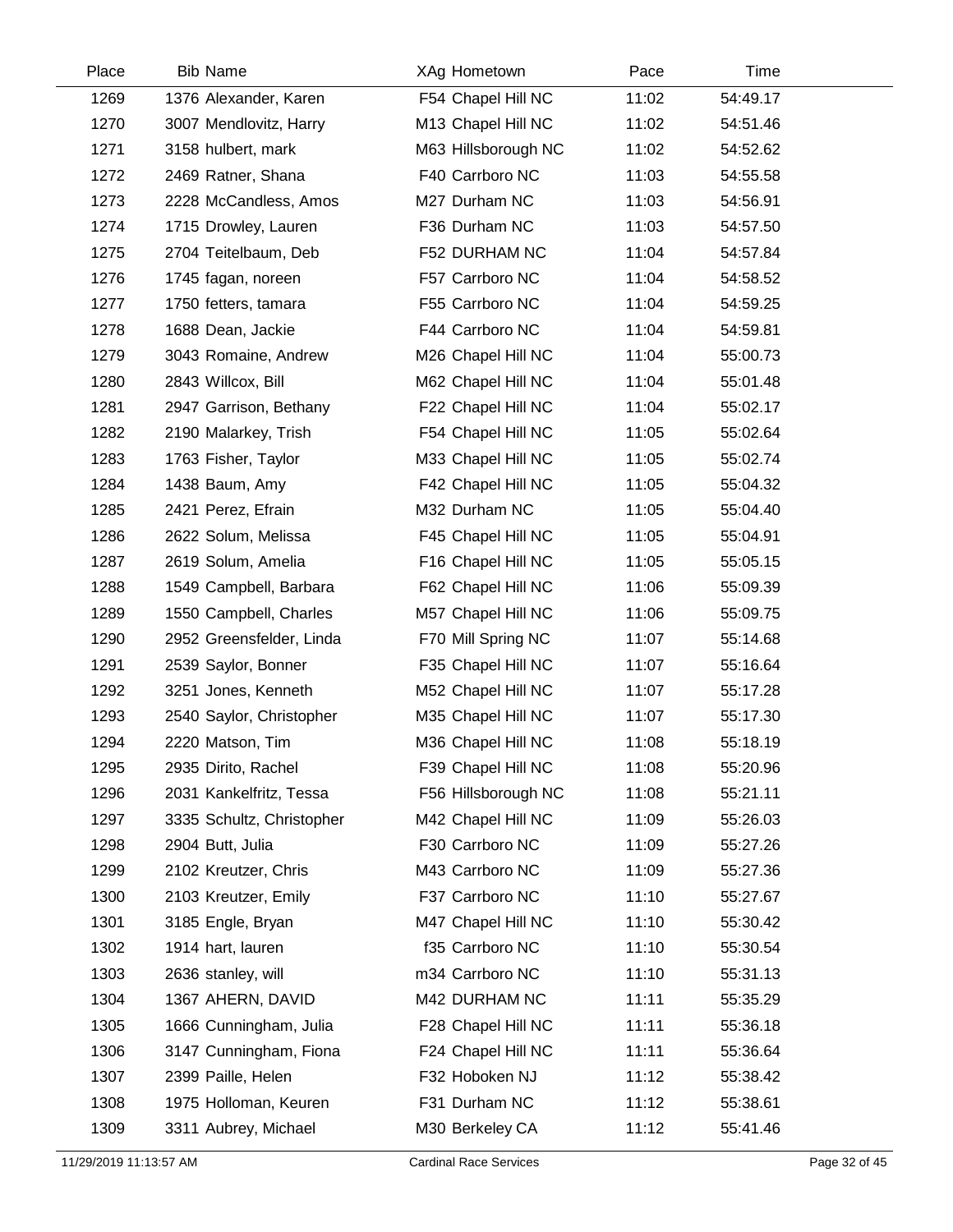| Place | <b>Bib Name</b>           | XAg Hometown        | Pace  | Time     |  |
|-------|---------------------------|---------------------|-------|----------|--|
| 1269  | 1376 Alexander, Karen     | F54 Chapel Hill NC  | 11:02 | 54:49.17 |  |
| 1270  | 3007 Mendlovitz, Harry    | M13 Chapel Hill NC  | 11:02 | 54:51.46 |  |
| 1271  | 3158 hulbert, mark        | M63 Hillsborough NC | 11:02 | 54:52.62 |  |
| 1272  | 2469 Ratner, Shana        | F40 Carrboro NC     | 11:03 | 54:55.58 |  |
| 1273  | 2228 McCandless, Amos     | M27 Durham NC       | 11:03 | 54:56.91 |  |
| 1274  | 1715 Drowley, Lauren      | F36 Durham NC       | 11:03 | 54:57.50 |  |
| 1275  | 2704 Teitelbaum, Deb      | F52 DURHAM NC       | 11:04 | 54:57.84 |  |
| 1276  | 1745 fagan, noreen        | F57 Carrboro NC     | 11:04 | 54:58.52 |  |
| 1277  | 1750 fetters, tamara      | F55 Carrboro NC     | 11:04 | 54:59.25 |  |
| 1278  | 1688 Dean, Jackie         | F44 Carrboro NC     | 11:04 | 54:59.81 |  |
| 1279  | 3043 Romaine, Andrew      | M26 Chapel Hill NC  | 11:04 | 55:00.73 |  |
| 1280  | 2843 Willcox, Bill        | M62 Chapel Hill NC  | 11:04 | 55:01.48 |  |
| 1281  | 2947 Garrison, Bethany    | F22 Chapel Hill NC  | 11:04 | 55:02.17 |  |
| 1282  | 2190 Malarkey, Trish      | F54 Chapel Hill NC  | 11:05 | 55:02.64 |  |
| 1283  | 1763 Fisher, Taylor       | M33 Chapel Hill NC  | 11:05 | 55:02.74 |  |
| 1284  | 1438 Baum, Amy            | F42 Chapel Hill NC  | 11:05 | 55:04.32 |  |
| 1285  | 2421 Perez, Efrain        | M32 Durham NC       | 11:05 | 55:04.40 |  |
| 1286  | 2622 Solum, Melissa       | F45 Chapel Hill NC  | 11:05 | 55:04.91 |  |
| 1287  | 2619 Solum, Amelia        | F16 Chapel Hill NC  | 11:05 | 55:05.15 |  |
| 1288  | 1549 Campbell, Barbara    | F62 Chapel Hill NC  | 11:06 | 55:09.39 |  |
| 1289  | 1550 Campbell, Charles    | M57 Chapel Hill NC  | 11:06 | 55:09.75 |  |
| 1290  | 2952 Greensfelder, Linda  | F70 Mill Spring NC  | 11:07 | 55:14.68 |  |
| 1291  | 2539 Saylor, Bonner       | F35 Chapel Hill NC  | 11:07 | 55:16.64 |  |
| 1292  | 3251 Jones, Kenneth       | M52 Chapel Hill NC  | 11:07 | 55:17.28 |  |
| 1293  | 2540 Saylor, Christopher  | M35 Chapel Hill NC  | 11:07 | 55:17.30 |  |
| 1294  | 2220 Matson, Tim          | M36 Chapel Hill NC  | 11:08 | 55:18.19 |  |
| 1295  | 2935 Dirito, Rachel       | F39 Chapel Hill NC  | 11:08 | 55:20.96 |  |
| 1296  | 2031 Kankelfritz, Tessa   | F56 Hillsborough NC | 11:08 | 55:21.11 |  |
| 1297  | 3335 Schultz, Christopher | M42 Chapel Hill NC  | 11:09 | 55:26.03 |  |
| 1298  | 2904 Butt, Julia          | F30 Carrboro NC     | 11:09 | 55:27.26 |  |
| 1299  | 2102 Kreutzer, Chris      | M43 Carrboro NC     | 11:09 | 55:27.36 |  |
| 1300  | 2103 Kreutzer, Emily      | F37 Carrboro NC     | 11:10 | 55:27.67 |  |
| 1301  | 3185 Engle, Bryan         | M47 Chapel Hill NC  | 11:10 | 55:30.42 |  |
| 1302  | 1914 hart, lauren         | f35 Carrboro NC     | 11:10 | 55:30.54 |  |
| 1303  | 2636 stanley, will        | m34 Carrboro NC     | 11:10 | 55:31.13 |  |
| 1304  | 1367 AHERN, DAVID         | M42 DURHAM NC       | 11:11 | 55:35.29 |  |
| 1305  | 1666 Cunningham, Julia    | F28 Chapel Hill NC  | 11:11 | 55:36.18 |  |
| 1306  | 3147 Cunningham, Fiona    | F24 Chapel Hill NC  | 11:11 | 55:36.64 |  |
| 1307  | 2399 Paille, Helen        | F32 Hoboken NJ      | 11:12 | 55:38.42 |  |
| 1308  | 1975 Holloman, Keuren     | F31 Durham NC       | 11:12 | 55:38.61 |  |
| 1309  | 3311 Aubrey, Michael      | M30 Berkeley CA     | 11:12 | 55:41.46 |  |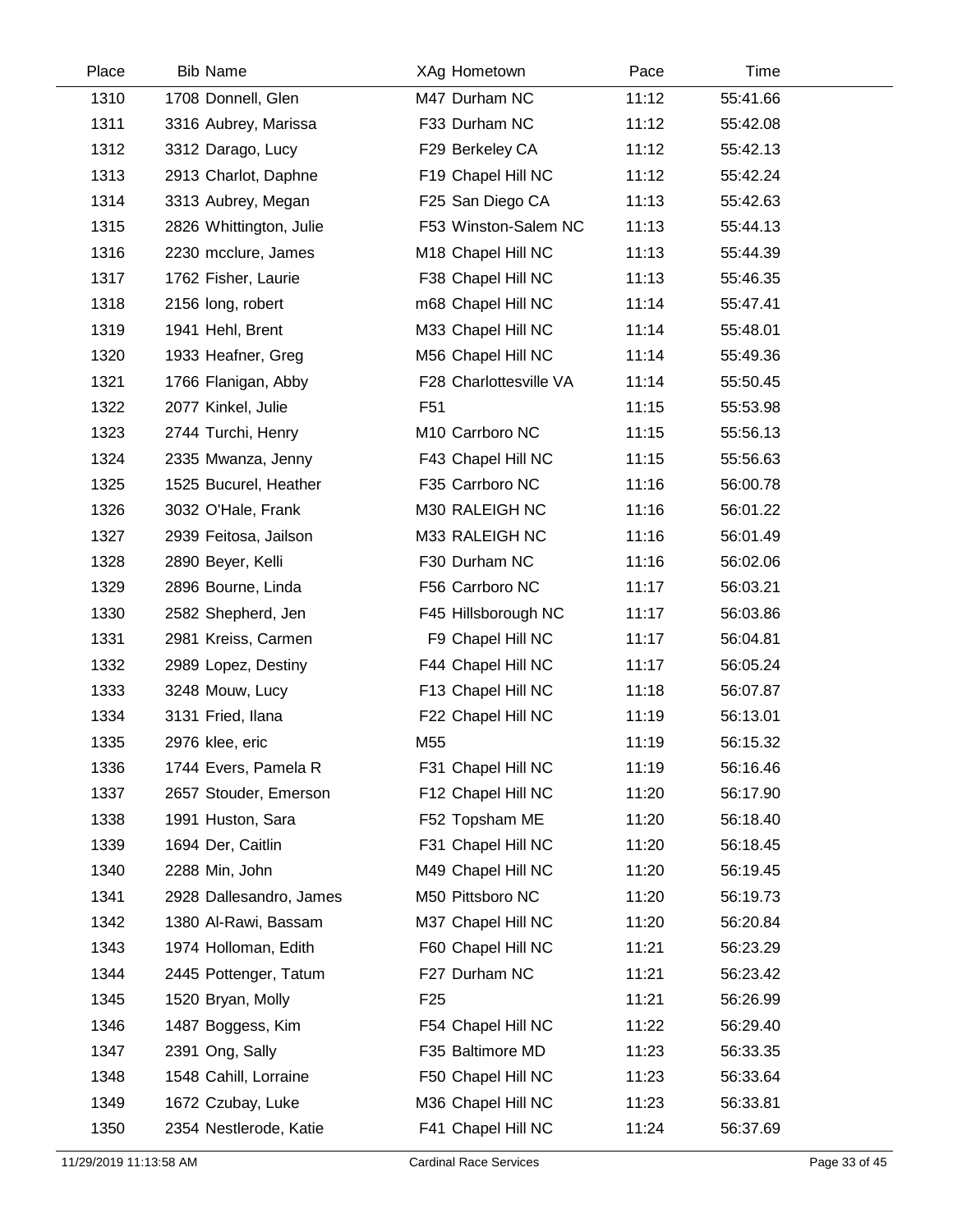| Place | <b>Bib Name</b>         | XAg Hometown           | Pace  | Time     |  |
|-------|-------------------------|------------------------|-------|----------|--|
| 1310  | 1708 Donnell, Glen      | M47 Durham NC          | 11:12 | 55:41.66 |  |
| 1311  | 3316 Aubrey, Marissa    | F33 Durham NC          | 11:12 | 55:42.08 |  |
| 1312  | 3312 Darago, Lucy       | F29 Berkeley CA        | 11:12 | 55:42.13 |  |
| 1313  | 2913 Charlot, Daphne    | F19 Chapel Hill NC     | 11:12 | 55:42.24 |  |
| 1314  | 3313 Aubrey, Megan      | F25 San Diego CA       | 11:13 | 55:42.63 |  |
| 1315  | 2826 Whittington, Julie | F53 Winston-Salem NC   | 11:13 | 55:44.13 |  |
| 1316  | 2230 mcclure, James     | M18 Chapel Hill NC     | 11:13 | 55:44.39 |  |
| 1317  | 1762 Fisher, Laurie     | F38 Chapel Hill NC     | 11:13 | 55:46.35 |  |
| 1318  | 2156 long, robert       | m68 Chapel Hill NC     | 11:14 | 55:47.41 |  |
| 1319  | 1941 Hehl, Brent        | M33 Chapel Hill NC     | 11:14 | 55:48.01 |  |
| 1320  | 1933 Heafner, Greg      | M56 Chapel Hill NC     | 11:14 | 55:49.36 |  |
| 1321  | 1766 Flanigan, Abby     | F28 Charlottesville VA | 11:14 | 55:50.45 |  |
| 1322  | 2077 Kinkel, Julie      | F <sub>51</sub>        | 11:15 | 55:53.98 |  |
| 1323  | 2744 Turchi, Henry      | M10 Carrboro NC        | 11:15 | 55:56.13 |  |
| 1324  | 2335 Mwanza, Jenny      | F43 Chapel Hill NC     | 11:15 | 55:56.63 |  |
| 1325  | 1525 Bucurel, Heather   | F35 Carrboro NC        | 11:16 | 56:00.78 |  |
| 1326  | 3032 O'Hale, Frank      | M30 RALEIGH NC         | 11:16 | 56:01.22 |  |
| 1327  | 2939 Feitosa, Jailson   | M33 RALEIGH NC         | 11:16 | 56:01.49 |  |
| 1328  | 2890 Beyer, Kelli       | F30 Durham NC          | 11:16 | 56:02.06 |  |
| 1329  | 2896 Bourne, Linda      | F56 Carrboro NC        | 11:17 | 56:03.21 |  |
| 1330  | 2582 Shepherd, Jen      | F45 Hillsborough NC    | 11:17 | 56:03.86 |  |
| 1331  | 2981 Kreiss, Carmen     | F9 Chapel Hill NC      | 11:17 | 56:04.81 |  |
| 1332  | 2989 Lopez, Destiny     | F44 Chapel Hill NC     | 11:17 | 56:05.24 |  |
| 1333  | 3248 Mouw, Lucy         | F13 Chapel Hill NC     | 11:18 | 56:07.87 |  |
| 1334  | 3131 Fried, Ilana       | F22 Chapel Hill NC     | 11:19 | 56:13.01 |  |
| 1335  | 2976 klee, eric         | M55                    | 11:19 | 56:15.32 |  |
| 1336  | 1744 Evers, Pamela R    | F31 Chapel Hill NC     | 11:19 | 56:16.46 |  |
| 1337  | 2657 Stouder, Emerson   | F12 Chapel Hill NC     | 11:20 | 56:17.90 |  |
| 1338  | 1991 Huston, Sara       | F52 Topsham ME         | 11:20 | 56:18.40 |  |
| 1339  | 1694 Der, Caitlin       | F31 Chapel Hill NC     | 11:20 | 56:18.45 |  |
| 1340  | 2288 Min, John          | M49 Chapel Hill NC     | 11:20 | 56:19.45 |  |
| 1341  | 2928 Dallesandro, James | M50 Pittsboro NC       | 11:20 | 56:19.73 |  |
| 1342  | 1380 Al-Rawi, Bassam    | M37 Chapel Hill NC     | 11:20 | 56:20.84 |  |
| 1343  | 1974 Holloman, Edith    | F60 Chapel Hill NC     | 11:21 | 56:23.29 |  |
| 1344  | 2445 Pottenger, Tatum   | F27 Durham NC          | 11:21 | 56:23.42 |  |
| 1345  | 1520 Bryan, Molly       | F <sub>25</sub>        | 11:21 | 56:26.99 |  |
| 1346  | 1487 Boggess, Kim       | F54 Chapel Hill NC     | 11:22 | 56:29.40 |  |
| 1347  | 2391 Ong, Sally         | F35 Baltimore MD       | 11:23 | 56:33.35 |  |
| 1348  | 1548 Cahill, Lorraine   | F50 Chapel Hill NC     | 11:23 | 56:33.64 |  |
| 1349  | 1672 Czubay, Luke       | M36 Chapel Hill NC     | 11:23 | 56:33.81 |  |
| 1350  | 2354 Nestlerode, Katie  | F41 Chapel Hill NC     | 11:24 | 56:37.69 |  |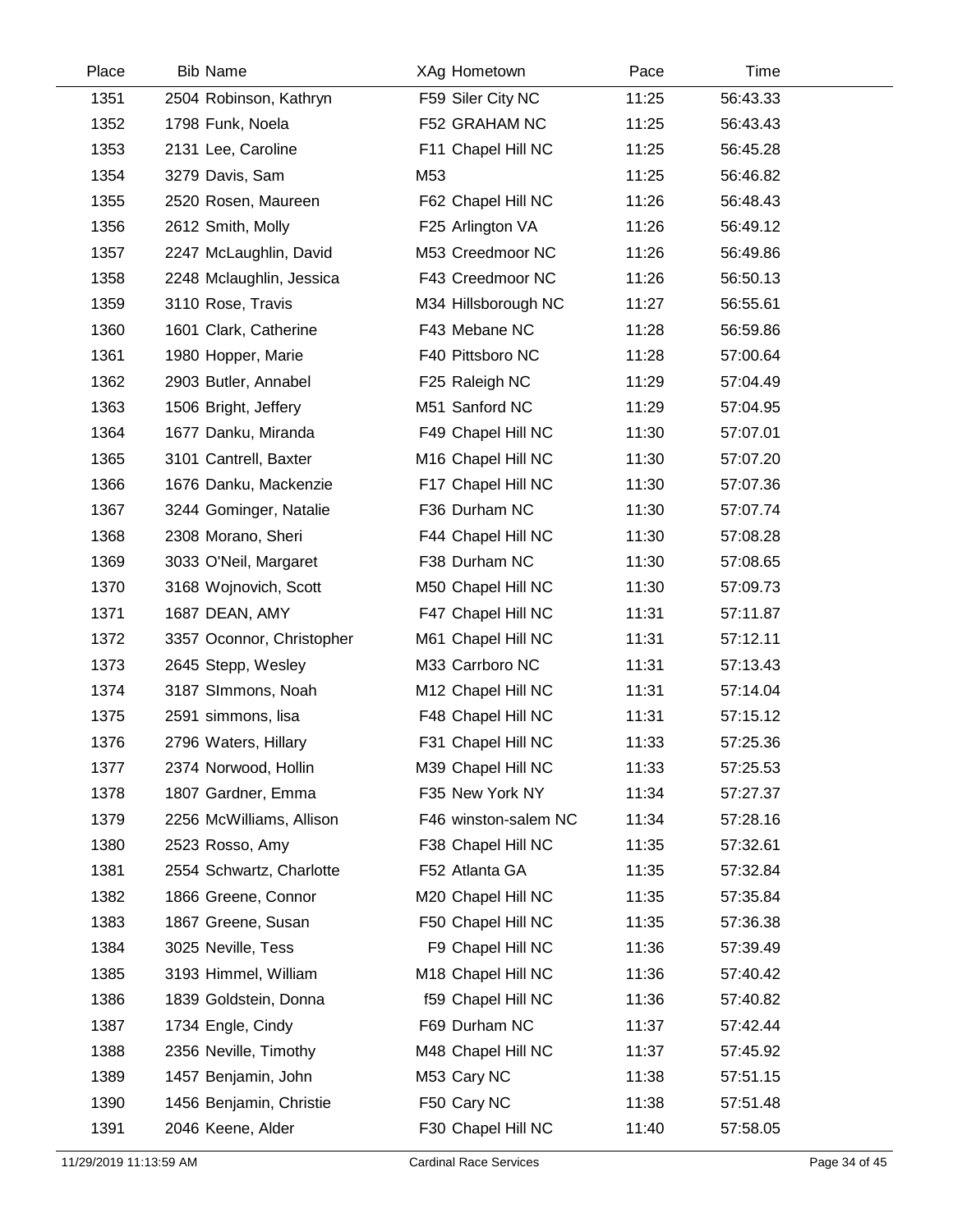| Place | <b>Bib Name</b>           | XAg Hometown         | Pace  | Time     |  |
|-------|---------------------------|----------------------|-------|----------|--|
| 1351  | 2504 Robinson, Kathryn    | F59 Siler City NC    | 11:25 | 56:43.33 |  |
| 1352  | 1798 Funk, Noela          | F52 GRAHAM NC        | 11:25 | 56:43.43 |  |
| 1353  | 2131 Lee, Caroline        | F11 Chapel Hill NC   | 11:25 | 56:45.28 |  |
| 1354  | 3279 Davis, Sam           | M53                  | 11:25 | 56:46.82 |  |
| 1355  | 2520 Rosen, Maureen       | F62 Chapel Hill NC   | 11:26 | 56:48.43 |  |
| 1356  | 2612 Smith, Molly         | F25 Arlington VA     | 11:26 | 56:49.12 |  |
| 1357  | 2247 McLaughlin, David    | M53 Creedmoor NC     | 11:26 | 56:49.86 |  |
| 1358  | 2248 Mclaughlin, Jessica  | F43 Creedmoor NC     | 11:26 | 56:50.13 |  |
| 1359  | 3110 Rose, Travis         | M34 Hillsborough NC  | 11:27 | 56:55.61 |  |
| 1360  | 1601 Clark, Catherine     | F43 Mebane NC        | 11:28 | 56:59.86 |  |
| 1361  | 1980 Hopper, Marie        | F40 Pittsboro NC     | 11:28 | 57:00.64 |  |
| 1362  | 2903 Butler, Annabel      | F25 Raleigh NC       | 11:29 | 57:04.49 |  |
| 1363  | 1506 Bright, Jeffery      | M51 Sanford NC       | 11:29 | 57:04.95 |  |
| 1364  | 1677 Danku, Miranda       | F49 Chapel Hill NC   | 11:30 | 57:07.01 |  |
| 1365  | 3101 Cantrell, Baxter     | M16 Chapel Hill NC   | 11:30 | 57:07.20 |  |
| 1366  | 1676 Danku, Mackenzie     | F17 Chapel Hill NC   | 11:30 | 57:07.36 |  |
| 1367  | 3244 Gominger, Natalie    | F36 Durham NC        | 11:30 | 57:07.74 |  |
| 1368  | 2308 Morano, Sheri        | F44 Chapel Hill NC   | 11:30 | 57:08.28 |  |
| 1369  | 3033 O'Neil, Margaret     | F38 Durham NC        | 11:30 | 57:08.65 |  |
| 1370  | 3168 Wojnovich, Scott     | M50 Chapel Hill NC   | 11:30 | 57:09.73 |  |
| 1371  | 1687 DEAN, AMY            | F47 Chapel Hill NC   | 11:31 | 57:11.87 |  |
| 1372  | 3357 Oconnor, Christopher | M61 Chapel Hill NC   | 11:31 | 57:12.11 |  |
| 1373  | 2645 Stepp, Wesley        | M33 Carrboro NC      | 11:31 | 57:13.43 |  |
| 1374  | 3187 SImmons, Noah        | M12 Chapel Hill NC   | 11:31 | 57:14.04 |  |
| 1375  | 2591 simmons, lisa        | F48 Chapel Hill NC   | 11:31 | 57:15.12 |  |
| 1376  | 2796 Waters, Hillary      | F31 Chapel Hill NC   | 11:33 | 57:25.36 |  |
| 1377  | 2374 Norwood, Hollin      | M39 Chapel Hill NC   | 11:33 | 57:25.53 |  |
| 1378  | 1807 Gardner, Emma        | F35 New York NY      | 11:34 | 57:27.37 |  |
| 1379  | 2256 McWilliams, Allison  | F46 winston-salem NC | 11:34 | 57:28.16 |  |
| 1380  | 2523 Rosso, Amy           | F38 Chapel Hill NC   | 11:35 | 57:32.61 |  |
| 1381  | 2554 Schwartz, Charlotte  | F52 Atlanta GA       | 11:35 | 57:32.84 |  |
| 1382  | 1866 Greene, Connor       | M20 Chapel Hill NC   | 11:35 | 57:35.84 |  |
| 1383  | 1867 Greene, Susan        | F50 Chapel Hill NC   | 11:35 | 57:36.38 |  |
| 1384  | 3025 Neville, Tess        | F9 Chapel Hill NC    | 11:36 | 57:39.49 |  |
| 1385  | 3193 Himmel, William      | M18 Chapel Hill NC   | 11:36 | 57:40.42 |  |
| 1386  | 1839 Goldstein, Donna     | f59 Chapel Hill NC   | 11:36 | 57:40.82 |  |
| 1387  | 1734 Engle, Cindy         | F69 Durham NC        | 11:37 | 57:42.44 |  |
| 1388  | 2356 Neville, Timothy     | M48 Chapel Hill NC   | 11:37 | 57:45.92 |  |
| 1389  | 1457 Benjamin, John       | M53 Cary NC          | 11:38 | 57:51.15 |  |
| 1390  | 1456 Benjamin, Christie   | F50 Cary NC          | 11:38 | 57:51.48 |  |
| 1391  | 2046 Keene, Alder         | F30 Chapel Hill NC   | 11:40 | 57:58.05 |  |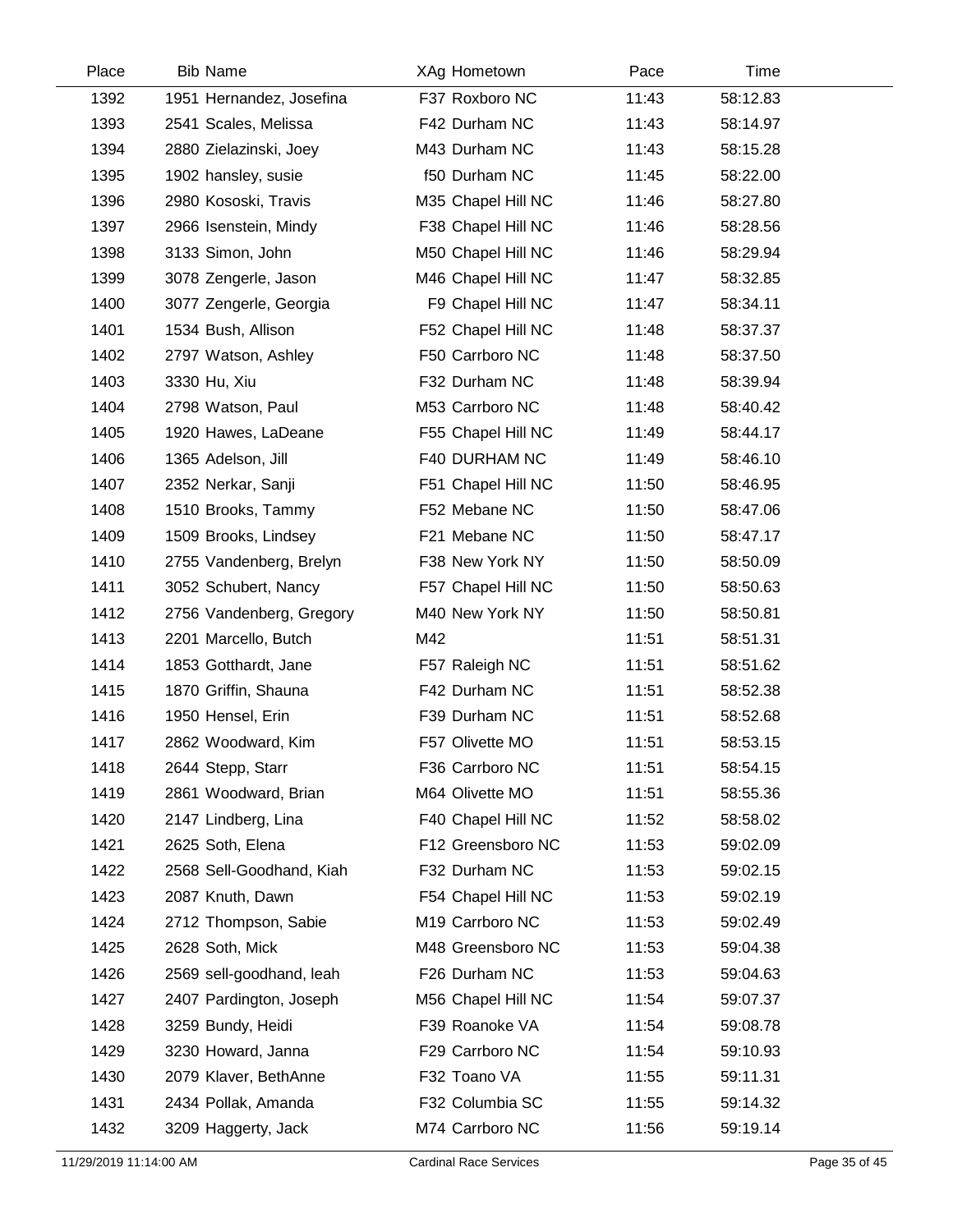| Place | <b>Bib Name</b>          | XAg Hometown       | Pace  | Time     |  |
|-------|--------------------------|--------------------|-------|----------|--|
| 1392  | 1951 Hernandez, Josefina | F37 Roxboro NC     | 11:43 | 58:12.83 |  |
| 1393  | 2541 Scales, Melissa     | F42 Durham NC      | 11:43 | 58:14.97 |  |
| 1394  | 2880 Zielazinski, Joey   | M43 Durham NC      | 11:43 | 58:15.28 |  |
| 1395  | 1902 hansley, susie      | f50 Durham NC      | 11:45 | 58:22.00 |  |
| 1396  | 2980 Kososki, Travis     | M35 Chapel Hill NC | 11:46 | 58:27.80 |  |
| 1397  | 2966 Isenstein, Mindy    | F38 Chapel Hill NC | 11:46 | 58:28.56 |  |
| 1398  | 3133 Simon, John         | M50 Chapel Hill NC | 11:46 | 58:29.94 |  |
| 1399  | 3078 Zengerle, Jason     | M46 Chapel Hill NC | 11:47 | 58:32.85 |  |
| 1400  | 3077 Zengerle, Georgia   | F9 Chapel Hill NC  | 11:47 | 58:34.11 |  |
| 1401  | 1534 Bush, Allison       | F52 Chapel Hill NC | 11:48 | 58:37.37 |  |
| 1402  | 2797 Watson, Ashley      | F50 Carrboro NC    | 11:48 | 58:37.50 |  |
| 1403  | 3330 Hu, Xiu             | F32 Durham NC      | 11:48 | 58:39.94 |  |
| 1404  | 2798 Watson, Paul        | M53 Carrboro NC    | 11:48 | 58:40.42 |  |
| 1405  | 1920 Hawes, LaDeane      | F55 Chapel Hill NC | 11:49 | 58:44.17 |  |
| 1406  | 1365 Adelson, Jill       | F40 DURHAM NC      | 11:49 | 58:46.10 |  |
| 1407  | 2352 Nerkar, Sanji       | F51 Chapel Hill NC | 11:50 | 58:46.95 |  |
| 1408  | 1510 Brooks, Tammy       | F52 Mebane NC      | 11:50 | 58:47.06 |  |
| 1409  | 1509 Brooks, Lindsey     | F21 Mebane NC      | 11:50 | 58:47.17 |  |
| 1410  | 2755 Vandenberg, Brelyn  | F38 New York NY    | 11:50 | 58:50.09 |  |
| 1411  | 3052 Schubert, Nancy     | F57 Chapel Hill NC | 11:50 | 58:50.63 |  |
| 1412  | 2756 Vandenberg, Gregory | M40 New York NY    | 11:50 | 58:50.81 |  |
| 1413  | 2201 Marcello, Butch     | M42                | 11:51 | 58:51.31 |  |
| 1414  | 1853 Gotthardt, Jane     | F57 Raleigh NC     | 11:51 | 58:51.62 |  |
| 1415  | 1870 Griffin, Shauna     | F42 Durham NC      | 11:51 | 58:52.38 |  |
| 1416  | 1950 Hensel, Erin        | F39 Durham NC      | 11:51 | 58:52.68 |  |
| 1417  | 2862 Woodward, Kim       | F57 Olivette MO    | 11:51 | 58:53.15 |  |
| 1418  | 2644 Stepp, Starr        | F36 Carrboro NC    | 11:51 | 58:54.15 |  |
| 1419  | 2861 Woodward, Brian     | M64 Olivette MO    | 11:51 | 58:55.36 |  |
| 1420  | 2147 Lindberg, Lina      | F40 Chapel Hill NC | 11:52 | 58:58.02 |  |
| 1421  | 2625 Soth, Elena         | F12 Greensboro NC  | 11:53 | 59:02.09 |  |
| 1422  | 2568 Sell-Goodhand, Kiah | F32 Durham NC      | 11:53 | 59:02.15 |  |
| 1423  | 2087 Knuth, Dawn         | F54 Chapel Hill NC | 11:53 | 59:02.19 |  |
| 1424  | 2712 Thompson, Sabie     | M19 Carrboro NC    | 11:53 | 59:02.49 |  |
| 1425  | 2628 Soth, Mick          | M48 Greensboro NC  | 11:53 | 59:04.38 |  |
| 1426  | 2569 sell-goodhand, leah | F26 Durham NC      | 11:53 | 59:04.63 |  |
| 1427  | 2407 Pardington, Joseph  | M56 Chapel Hill NC | 11:54 | 59:07.37 |  |
| 1428  | 3259 Bundy, Heidi        | F39 Roanoke VA     | 11:54 | 59:08.78 |  |
| 1429  | 3230 Howard, Janna       | F29 Carrboro NC    | 11:54 | 59:10.93 |  |
| 1430  | 2079 Klaver, BethAnne    | F32 Toano VA       | 11:55 | 59:11.31 |  |
| 1431  | 2434 Pollak, Amanda      | F32 Columbia SC    | 11:55 | 59:14.32 |  |
| 1432  | 3209 Haggerty, Jack      | M74 Carrboro NC    | 11:56 | 59:19.14 |  |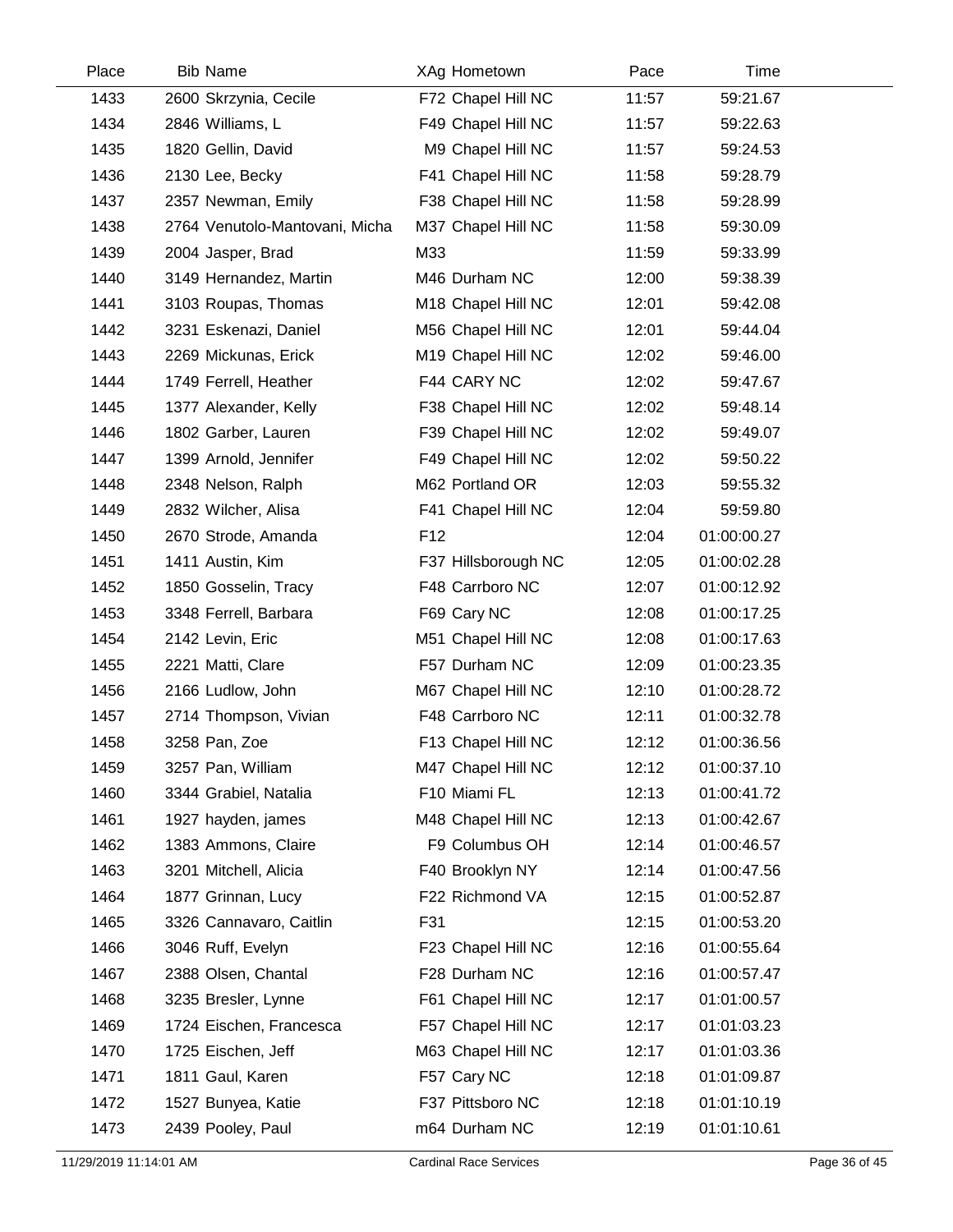| Place | <b>Bib Name</b>                | XAg Hometown                   | Pace  | Time        |  |
|-------|--------------------------------|--------------------------------|-------|-------------|--|
| 1433  | 2600 Skrzynia, Cecile          | F72 Chapel Hill NC             | 11:57 | 59:21.67    |  |
| 1434  | 2846 Williams, L               | F49 Chapel Hill NC             | 11:57 | 59:22.63    |  |
| 1435  | 1820 Gellin, David             | M9 Chapel Hill NC              | 11:57 | 59:24.53    |  |
| 1436  | 2130 Lee, Becky                | F41 Chapel Hill NC             | 11:58 | 59:28.79    |  |
| 1437  | 2357 Newman, Emily             | F38 Chapel Hill NC             | 11:58 | 59:28.99    |  |
| 1438  | 2764 Venutolo-Mantovani, Micha | M37 Chapel Hill NC             | 11:58 | 59:30.09    |  |
| 1439  | 2004 Jasper, Brad              | M33                            | 11:59 | 59:33.99    |  |
| 1440  | 3149 Hernandez, Martin         | M46 Durham NC                  | 12:00 | 59:38.39    |  |
| 1441  | 3103 Roupas, Thomas            | M18 Chapel Hill NC             | 12:01 | 59:42.08    |  |
| 1442  | 3231 Eskenazi, Daniel          | M56 Chapel Hill NC             | 12:01 | 59:44.04    |  |
| 1443  | 2269 Mickunas, Erick           | M <sub>19</sub> Chapel Hill NC | 12:02 | 59:46.00    |  |
| 1444  | 1749 Ferrell, Heather          | F44 CARY NC                    | 12:02 | 59:47.67    |  |
| 1445  | 1377 Alexander, Kelly          | F38 Chapel Hill NC             | 12:02 | 59:48.14    |  |
| 1446  | 1802 Garber, Lauren            | F39 Chapel Hill NC             | 12:02 | 59:49.07    |  |
| 1447  | 1399 Arnold, Jennifer          | F49 Chapel Hill NC             | 12:02 | 59:50.22    |  |
| 1448  | 2348 Nelson, Ralph             | M62 Portland OR                | 12:03 | 59:55.32    |  |
| 1449  | 2832 Wilcher, Alisa            | F41 Chapel Hill NC             | 12:04 | 59:59.80    |  |
| 1450  | 2670 Strode, Amanda            | F <sub>12</sub>                | 12:04 | 01:00:00.27 |  |
| 1451  | 1411 Austin, Kim               | F37 Hillsborough NC            | 12:05 | 01:00:02.28 |  |
| 1452  | 1850 Gosselin, Tracy           | F48 Carrboro NC                | 12:07 | 01:00:12.92 |  |
| 1453  | 3348 Ferrell, Barbara          | F69 Cary NC                    | 12:08 | 01:00:17.25 |  |
| 1454  | 2142 Levin, Eric               | M51 Chapel Hill NC             | 12:08 | 01:00:17.63 |  |
| 1455  | 2221 Matti, Clare              | F57 Durham NC                  | 12:09 | 01:00:23.35 |  |
| 1456  | 2166 Ludlow, John              | M67 Chapel Hill NC             | 12:10 | 01:00:28.72 |  |
| 1457  | 2714 Thompson, Vivian          | F48 Carrboro NC                | 12:11 | 01:00:32.78 |  |
| 1458  | 3258 Pan, Zoe                  | F13 Chapel Hill NC             | 12:12 | 01:00:36.56 |  |
| 1459  | 3257 Pan, William              | M47 Chapel Hill NC             | 12:12 | 01:00:37.10 |  |
| 1460  | 3344 Grabiel, Natalia          | F10 Miami FL                   | 12:13 | 01:00:41.72 |  |
| 1461  | 1927 hayden, james             | M48 Chapel Hill NC             | 12:13 | 01:00:42.67 |  |
| 1462  | 1383 Ammons, Claire            | F9 Columbus OH                 | 12:14 | 01:00:46.57 |  |
| 1463  | 3201 Mitchell, Alicia          | F40 Brooklyn NY                | 12:14 | 01:00:47.56 |  |
| 1464  | 1877 Grinnan, Lucy             | F22 Richmond VA                | 12:15 | 01:00:52.87 |  |
| 1465  | 3326 Cannavaro, Caitlin        | F31                            | 12:15 | 01:00:53.20 |  |
| 1466  | 3046 Ruff, Evelyn              | F23 Chapel Hill NC             | 12:16 | 01:00:55.64 |  |
| 1467  | 2388 Olsen, Chantal            | F28 Durham NC                  | 12:16 | 01:00:57.47 |  |
| 1468  | 3235 Bresler, Lynne            | F61 Chapel Hill NC             | 12:17 | 01:01:00.57 |  |
| 1469  | 1724 Eischen, Francesca        | F57 Chapel Hill NC             | 12:17 | 01:01:03.23 |  |
| 1470  | 1725 Eischen, Jeff             | M63 Chapel Hill NC             | 12:17 | 01:01:03.36 |  |
| 1471  | 1811 Gaul, Karen               | F57 Cary NC                    | 12:18 | 01:01:09.87 |  |
| 1472  | 1527 Bunyea, Katie             | F37 Pittsboro NC               | 12:18 | 01:01:10.19 |  |
| 1473  | 2439 Pooley, Paul              | m64 Durham NC                  | 12:19 | 01:01:10.61 |  |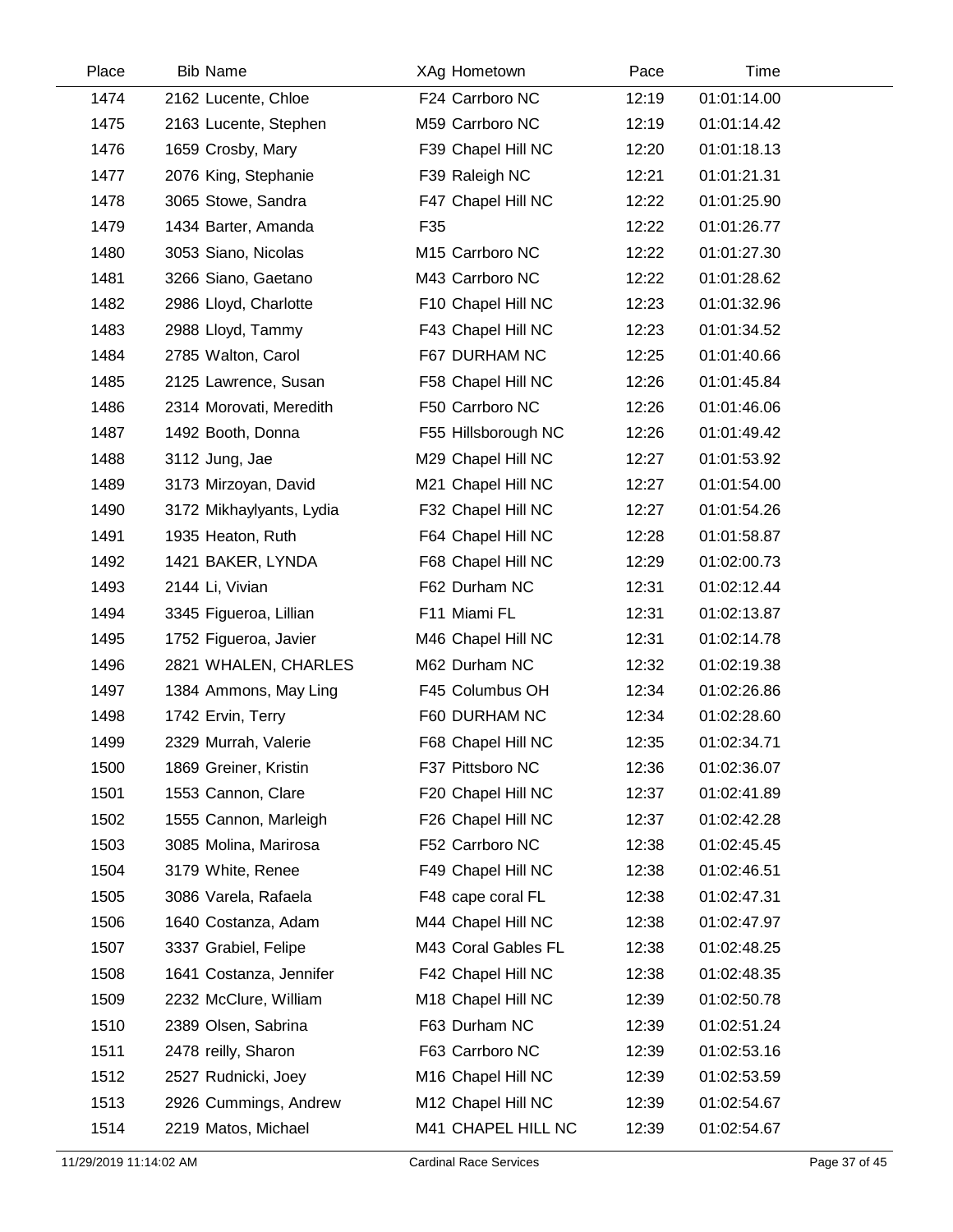| Place | <b>Bib Name</b>          | XAg Hometown        | Pace  | Time        |  |
|-------|--------------------------|---------------------|-------|-------------|--|
| 1474  | 2162 Lucente, Chloe      | F24 Carrboro NC     | 12:19 | 01:01:14.00 |  |
| 1475  | 2163 Lucente, Stephen    | M59 Carrboro NC     | 12:19 | 01:01:14.42 |  |
| 1476  | 1659 Crosby, Mary        | F39 Chapel Hill NC  | 12:20 | 01:01:18.13 |  |
| 1477  | 2076 King, Stephanie     | F39 Raleigh NC      | 12:21 | 01:01:21.31 |  |
| 1478  | 3065 Stowe, Sandra       | F47 Chapel Hill NC  | 12:22 | 01:01:25.90 |  |
| 1479  | 1434 Barter, Amanda      | F35                 | 12:22 | 01:01:26.77 |  |
| 1480  | 3053 Siano, Nicolas      | M15 Carrboro NC     | 12:22 | 01:01:27.30 |  |
| 1481  | 3266 Siano, Gaetano      | M43 Carrboro NC     | 12:22 | 01:01:28.62 |  |
| 1482  | 2986 Lloyd, Charlotte    | F10 Chapel Hill NC  | 12:23 | 01:01:32.96 |  |
| 1483  | 2988 Lloyd, Tammy        | F43 Chapel Hill NC  | 12:23 | 01:01:34.52 |  |
| 1484  | 2785 Walton, Carol       | F67 DURHAM NC       | 12:25 | 01:01:40.66 |  |
| 1485  | 2125 Lawrence, Susan     | F58 Chapel Hill NC  | 12:26 | 01:01:45.84 |  |
| 1486  | 2314 Morovati, Meredith  | F50 Carrboro NC     | 12:26 | 01:01:46.06 |  |
| 1487  | 1492 Booth, Donna        | F55 Hillsborough NC | 12:26 | 01:01:49.42 |  |
| 1488  | 3112 Jung, Jae           | M29 Chapel Hill NC  | 12:27 | 01:01:53.92 |  |
| 1489  | 3173 Mirzoyan, David     | M21 Chapel Hill NC  | 12:27 | 01:01:54.00 |  |
| 1490  | 3172 Mikhaylyants, Lydia | F32 Chapel Hill NC  | 12:27 | 01:01:54.26 |  |
| 1491  | 1935 Heaton, Ruth        | F64 Chapel Hill NC  | 12:28 | 01:01:58.87 |  |
| 1492  | 1421 BAKER, LYNDA        | F68 Chapel Hill NC  | 12:29 | 01:02:00.73 |  |
| 1493  | 2144 Li, Vivian          | F62 Durham NC       | 12:31 | 01:02:12.44 |  |
| 1494  | 3345 Figueroa, Lillian   | F11 Miami FL        | 12:31 | 01:02:13.87 |  |
| 1495  | 1752 Figueroa, Javier    | M46 Chapel Hill NC  | 12:31 | 01:02:14.78 |  |
| 1496  | 2821 WHALEN, CHARLES     | M62 Durham NC       | 12:32 | 01:02:19.38 |  |
| 1497  | 1384 Ammons, May Ling    | F45 Columbus OH     | 12:34 | 01:02:26.86 |  |
| 1498  | 1742 Ervin, Terry        | F60 DURHAM NC       | 12:34 | 01:02:28.60 |  |
| 1499  | 2329 Murrah, Valerie     | F68 Chapel Hill NC  | 12:35 | 01:02:34.71 |  |
| 1500  | 1869 Greiner, Kristin    | F37 Pittsboro NC    | 12:36 | 01:02:36.07 |  |
| 1501  | 1553 Cannon, Clare       | F20 Chapel Hill NC  | 12:37 | 01:02:41.89 |  |
| 1502  | 1555 Cannon, Marleigh    | F26 Chapel Hill NC  | 12:37 | 01:02:42.28 |  |
| 1503  | 3085 Molina, Marirosa    | F52 Carrboro NC     | 12:38 | 01:02:45.45 |  |
| 1504  | 3179 White, Renee        | F49 Chapel Hill NC  | 12:38 | 01:02:46.51 |  |
| 1505  | 3086 Varela, Rafaela     | F48 cape coral FL   | 12:38 | 01:02:47.31 |  |
| 1506  | 1640 Costanza, Adam      | M44 Chapel Hill NC  | 12:38 | 01:02:47.97 |  |
| 1507  | 3337 Grabiel, Felipe     | M43 Coral Gables FL | 12:38 | 01:02:48.25 |  |
| 1508  | 1641 Costanza, Jennifer  | F42 Chapel Hill NC  | 12:38 | 01:02:48.35 |  |
| 1509  | 2232 McClure, William    | M18 Chapel Hill NC  | 12:39 | 01:02:50.78 |  |
| 1510  | 2389 Olsen, Sabrina      | F63 Durham NC       | 12:39 | 01:02:51.24 |  |
| 1511  | 2478 reilly, Sharon      | F63 Carrboro NC     | 12:39 | 01:02:53.16 |  |
| 1512  | 2527 Rudnicki, Joey      | M16 Chapel Hill NC  | 12:39 | 01:02:53.59 |  |
| 1513  | 2926 Cummings, Andrew    | M12 Chapel Hill NC  | 12:39 | 01:02:54.67 |  |
| 1514  | 2219 Matos, Michael      | M41 CHAPEL HILL NC  | 12:39 | 01:02:54.67 |  |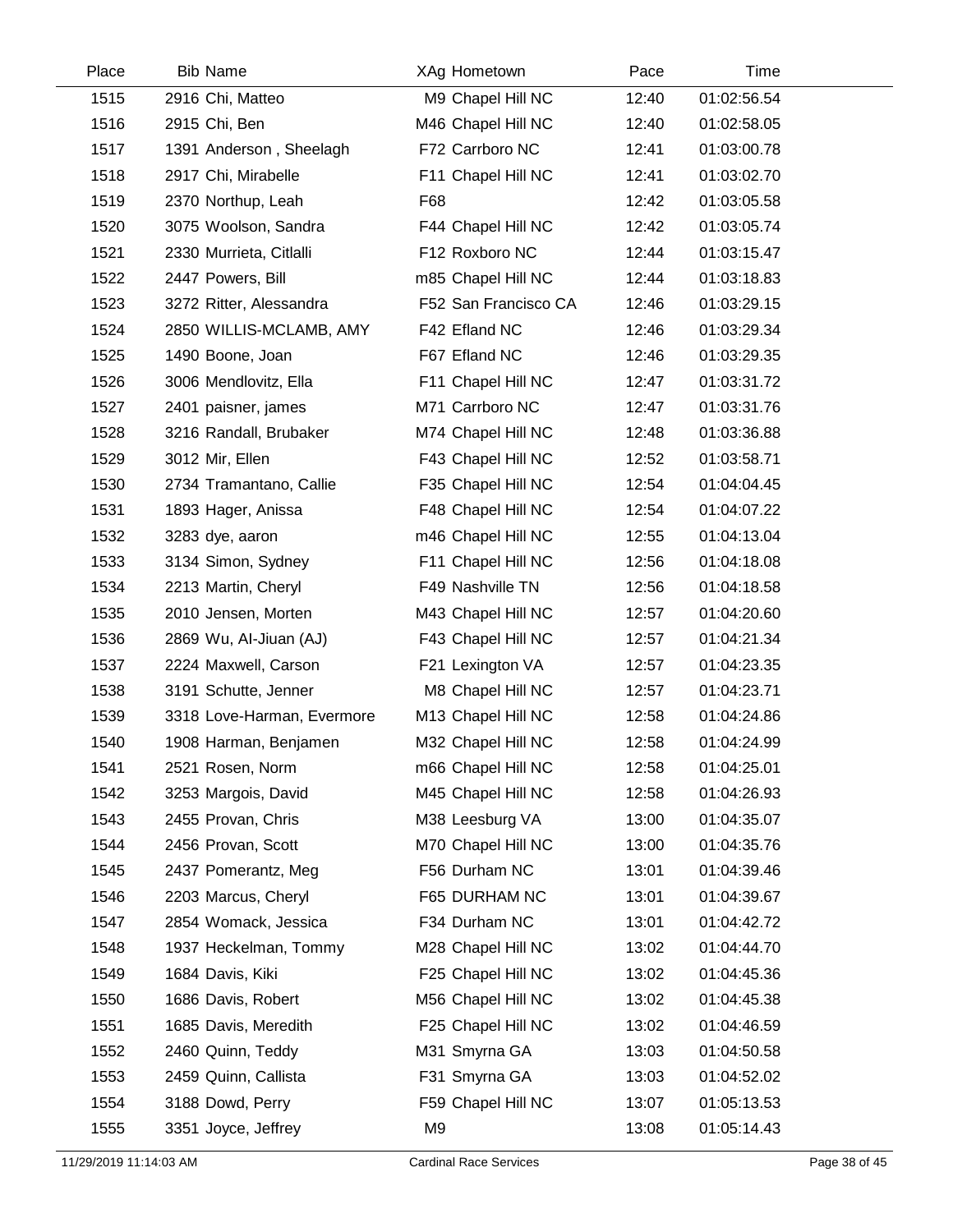| Place | <b>Bib Name</b>            | XAg Hometown         | Pace  | Time        |  |
|-------|----------------------------|----------------------|-------|-------------|--|
| 1515  | 2916 Chi, Matteo           | M9 Chapel Hill NC    | 12:40 | 01:02:56.54 |  |
| 1516  | 2915 Chi, Ben              | M46 Chapel Hill NC   | 12:40 | 01:02:58.05 |  |
| 1517  | 1391 Anderson, Sheelagh    | F72 Carrboro NC      | 12:41 | 01:03:00.78 |  |
| 1518  | 2917 Chi, Mirabelle        | F11 Chapel Hill NC   | 12:41 | 01:03:02.70 |  |
| 1519  | 2370 Northup, Leah         | F68                  | 12:42 | 01:03:05.58 |  |
| 1520  | 3075 Woolson, Sandra       | F44 Chapel Hill NC   | 12:42 | 01:03:05.74 |  |
| 1521  | 2330 Murrieta, Citlalli    | F12 Roxboro NC       | 12:44 | 01:03:15.47 |  |
| 1522  | 2447 Powers, Bill          | m85 Chapel Hill NC   | 12:44 | 01:03:18.83 |  |
| 1523  | 3272 Ritter, Alessandra    | F52 San Francisco CA | 12:46 | 01:03:29.15 |  |
| 1524  | 2850 WILLIS-MCLAMB, AMY    | F42 Efland NC        | 12:46 | 01:03:29.34 |  |
| 1525  | 1490 Boone, Joan           | F67 Efland NC        | 12:46 | 01:03:29.35 |  |
| 1526  | 3006 Mendlovitz, Ella      | F11 Chapel Hill NC   | 12:47 | 01:03:31.72 |  |
| 1527  | 2401 paisner, james        | M71 Carrboro NC      | 12:47 | 01:03:31.76 |  |
| 1528  | 3216 Randall, Brubaker     | M74 Chapel Hill NC   | 12:48 | 01:03:36.88 |  |
| 1529  | 3012 Mir, Ellen            | F43 Chapel Hill NC   | 12:52 | 01:03:58.71 |  |
| 1530  | 2734 Tramantano, Callie    | F35 Chapel Hill NC   | 12:54 | 01:04:04.45 |  |
| 1531  | 1893 Hager, Anissa         | F48 Chapel Hill NC   | 12:54 | 01:04:07.22 |  |
| 1532  | 3283 dye, aaron            | m46 Chapel Hill NC   | 12:55 | 01:04:13.04 |  |
| 1533  | 3134 Simon, Sydney         | F11 Chapel Hill NC   | 12:56 | 01:04:18.08 |  |
| 1534  | 2213 Martin, Cheryl        | F49 Nashville TN     | 12:56 | 01:04:18.58 |  |
| 1535  | 2010 Jensen, Morten        | M43 Chapel Hill NC   | 12:57 | 01:04:20.60 |  |
| 1536  | 2869 Wu, Al-Jiuan (AJ)     | F43 Chapel Hill NC   | 12:57 | 01:04:21.34 |  |
| 1537  | 2224 Maxwell, Carson       | F21 Lexington VA     | 12:57 | 01:04:23.35 |  |
| 1538  | 3191 Schutte, Jenner       | M8 Chapel Hill NC    | 12:57 | 01:04:23.71 |  |
| 1539  | 3318 Love-Harman, Evermore | M13 Chapel Hill NC   | 12:58 | 01:04:24.86 |  |
| 1540  | 1908 Harman, Benjamen      | M32 Chapel Hill NC   | 12:58 | 01:04:24.99 |  |
| 1541  | 2521 Rosen, Norm           | m66 Chapel Hill NC   | 12:58 | 01:04:25.01 |  |
| 1542  | 3253 Margois, David        | M45 Chapel Hill NC   | 12:58 | 01:04:26.93 |  |
| 1543  | 2455 Provan, Chris         | M38 Leesburg VA      | 13:00 | 01:04:35.07 |  |
| 1544  | 2456 Provan, Scott         | M70 Chapel Hill NC   | 13:00 | 01:04:35.76 |  |
| 1545  | 2437 Pomerantz, Meg        | F56 Durham NC        | 13:01 | 01:04:39.46 |  |
| 1546  | 2203 Marcus, Cheryl        | F65 DURHAM NC        | 13:01 | 01:04:39.67 |  |
| 1547  | 2854 Womack, Jessica       | F34 Durham NC        | 13:01 | 01:04:42.72 |  |
| 1548  | 1937 Heckelman, Tommy      | M28 Chapel Hill NC   | 13:02 | 01:04:44.70 |  |
| 1549  | 1684 Davis, Kiki           | F25 Chapel Hill NC   | 13:02 | 01:04:45.36 |  |
| 1550  | 1686 Davis, Robert         | M56 Chapel Hill NC   | 13:02 | 01:04:45.38 |  |
| 1551  | 1685 Davis, Meredith       | F25 Chapel Hill NC   | 13:02 | 01:04:46.59 |  |
| 1552  | 2460 Quinn, Teddy          | M31 Smyrna GA        | 13:03 | 01:04:50.58 |  |
| 1553  | 2459 Quinn, Callista       | F31 Smyrna GA        | 13:03 | 01:04:52.02 |  |
| 1554  | 3188 Dowd, Perry           | F59 Chapel Hill NC   | 13:07 | 01:05:13.53 |  |
| 1555  | 3351 Joyce, Jeffrey        | M <sub>9</sub>       | 13:08 | 01:05:14.43 |  |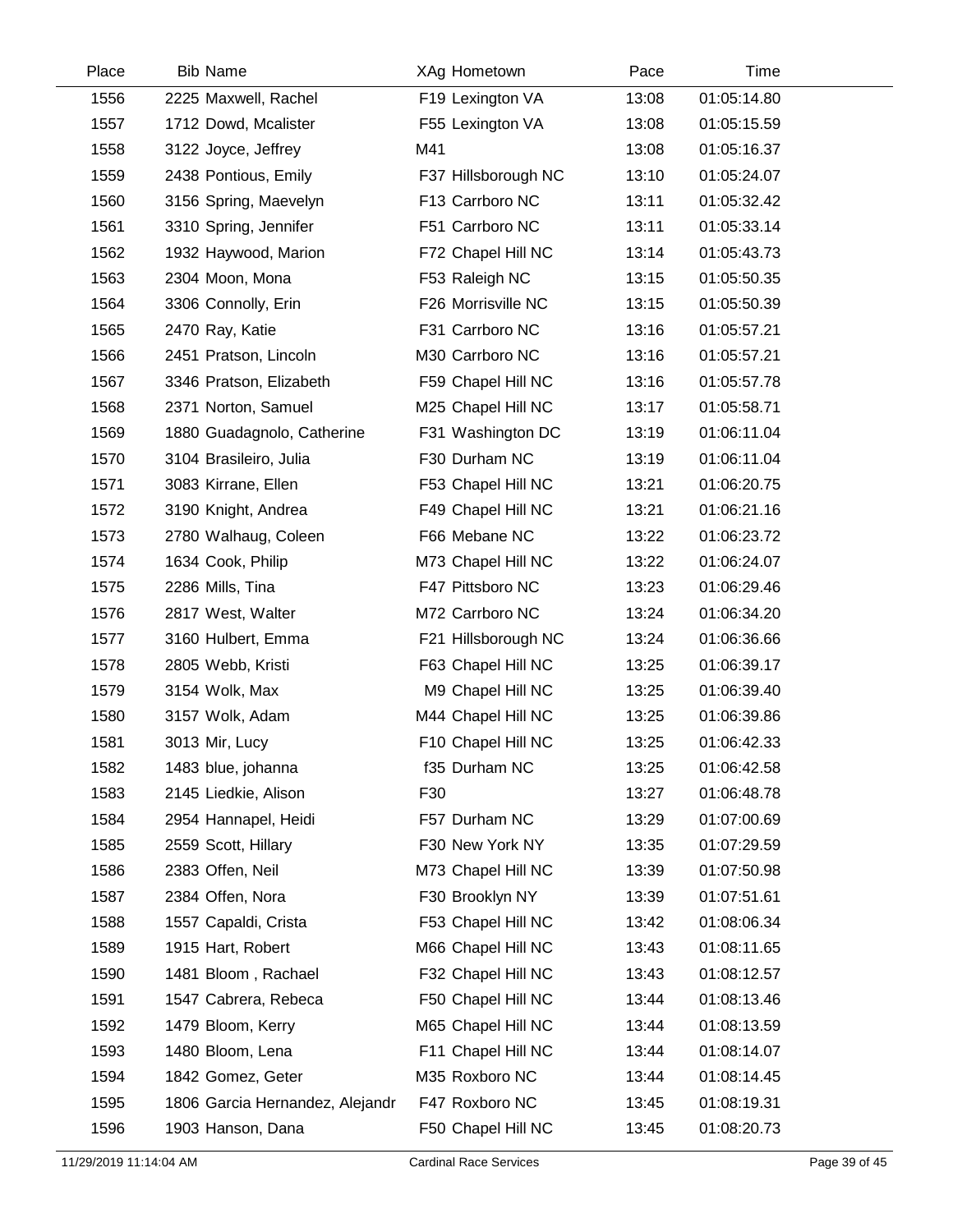| Place | <b>Bib Name</b>                 | XAg Hometown        | Pace  | Time        |  |
|-------|---------------------------------|---------------------|-------|-------------|--|
| 1556  | 2225 Maxwell, Rachel            | F19 Lexington VA    | 13:08 | 01:05:14.80 |  |
| 1557  | 1712 Dowd, Mcalister            | F55 Lexington VA    | 13:08 | 01:05:15.59 |  |
| 1558  | 3122 Joyce, Jeffrey             | M41                 | 13:08 | 01:05:16.37 |  |
| 1559  | 2438 Pontious, Emily            | F37 Hillsborough NC | 13:10 | 01:05:24.07 |  |
| 1560  | 3156 Spring, Maevelyn           | F13 Carrboro NC     | 13:11 | 01:05:32.42 |  |
| 1561  | 3310 Spring, Jennifer           | F51 Carrboro NC     | 13:11 | 01:05:33.14 |  |
| 1562  | 1932 Haywood, Marion            | F72 Chapel Hill NC  | 13:14 | 01:05:43.73 |  |
| 1563  | 2304 Moon, Mona                 | F53 Raleigh NC      | 13:15 | 01:05:50.35 |  |
| 1564  | 3306 Connolly, Erin             | F26 Morrisville NC  | 13:15 | 01:05:50.39 |  |
| 1565  | 2470 Ray, Katie                 | F31 Carrboro NC     | 13:16 | 01:05:57.21 |  |
| 1566  | 2451 Pratson, Lincoln           | M30 Carrboro NC     | 13:16 | 01:05:57.21 |  |
| 1567  | 3346 Pratson, Elizabeth         | F59 Chapel Hill NC  | 13:16 | 01:05:57.78 |  |
| 1568  | 2371 Norton, Samuel             | M25 Chapel Hill NC  | 13:17 | 01:05:58.71 |  |
| 1569  | 1880 Guadagnolo, Catherine      | F31 Washington DC   | 13:19 | 01:06:11.04 |  |
| 1570  | 3104 Brasileiro, Julia          | F30 Durham NC       | 13:19 | 01:06:11.04 |  |
| 1571  | 3083 Kirrane, Ellen             | F53 Chapel Hill NC  | 13:21 | 01:06:20.75 |  |
| 1572  | 3190 Knight, Andrea             | F49 Chapel Hill NC  | 13:21 | 01:06:21.16 |  |
| 1573  | 2780 Walhaug, Coleen            | F66 Mebane NC       | 13:22 | 01:06:23.72 |  |
| 1574  | 1634 Cook, Philip               | M73 Chapel Hill NC  | 13:22 | 01:06:24.07 |  |
| 1575  | 2286 Mills, Tina                | F47 Pittsboro NC    | 13:23 | 01:06:29.46 |  |
| 1576  | 2817 West, Walter               | M72 Carrboro NC     | 13:24 | 01:06:34.20 |  |
| 1577  | 3160 Hulbert, Emma              | F21 Hillsborough NC | 13:24 | 01:06:36.66 |  |
| 1578  | 2805 Webb, Kristi               | F63 Chapel Hill NC  | 13:25 | 01:06:39.17 |  |
| 1579  | 3154 Wolk, Max                  | M9 Chapel Hill NC   | 13:25 | 01:06:39.40 |  |
| 1580  | 3157 Wolk, Adam                 | M44 Chapel Hill NC  | 13:25 | 01:06:39.86 |  |
| 1581  | 3013 Mir, Lucy                  | F10 Chapel Hill NC  | 13:25 | 01:06:42.33 |  |
| 1582  | 1483 blue, johanna              | f35 Durham NC       | 13:25 | 01:06:42.58 |  |
| 1583  | 2145 Liedkie, Alison            | F30                 | 13:27 | 01:06:48.78 |  |
| 1584  | 2954 Hannapel, Heidi            | F57 Durham NC       | 13:29 | 01:07:00.69 |  |
| 1585  | 2559 Scott, Hillary             | F30 New York NY     | 13:35 | 01:07:29.59 |  |
| 1586  | 2383 Offen, Neil                | M73 Chapel Hill NC  | 13:39 | 01:07:50.98 |  |
| 1587  | 2384 Offen, Nora                | F30 Brooklyn NY     | 13:39 | 01:07:51.61 |  |
| 1588  | 1557 Capaldi, Crista            | F53 Chapel Hill NC  | 13:42 | 01:08:06.34 |  |
| 1589  | 1915 Hart, Robert               | M66 Chapel Hill NC  | 13:43 | 01:08:11.65 |  |
| 1590  | 1481 Bloom, Rachael             | F32 Chapel Hill NC  | 13:43 | 01:08:12.57 |  |
| 1591  | 1547 Cabrera, Rebeca            | F50 Chapel Hill NC  | 13:44 | 01:08:13.46 |  |
| 1592  | 1479 Bloom, Kerry               | M65 Chapel Hill NC  | 13:44 | 01:08:13.59 |  |
| 1593  | 1480 Bloom, Lena                | F11 Chapel Hill NC  | 13:44 | 01:08:14.07 |  |
| 1594  | 1842 Gomez, Geter               | M35 Roxboro NC      | 13:44 | 01:08:14.45 |  |
| 1595  | 1806 Garcia Hernandez, Alejandr | F47 Roxboro NC      | 13:45 | 01:08:19.31 |  |
| 1596  | 1903 Hanson, Dana               | F50 Chapel Hill NC  | 13:45 | 01:08:20.73 |  |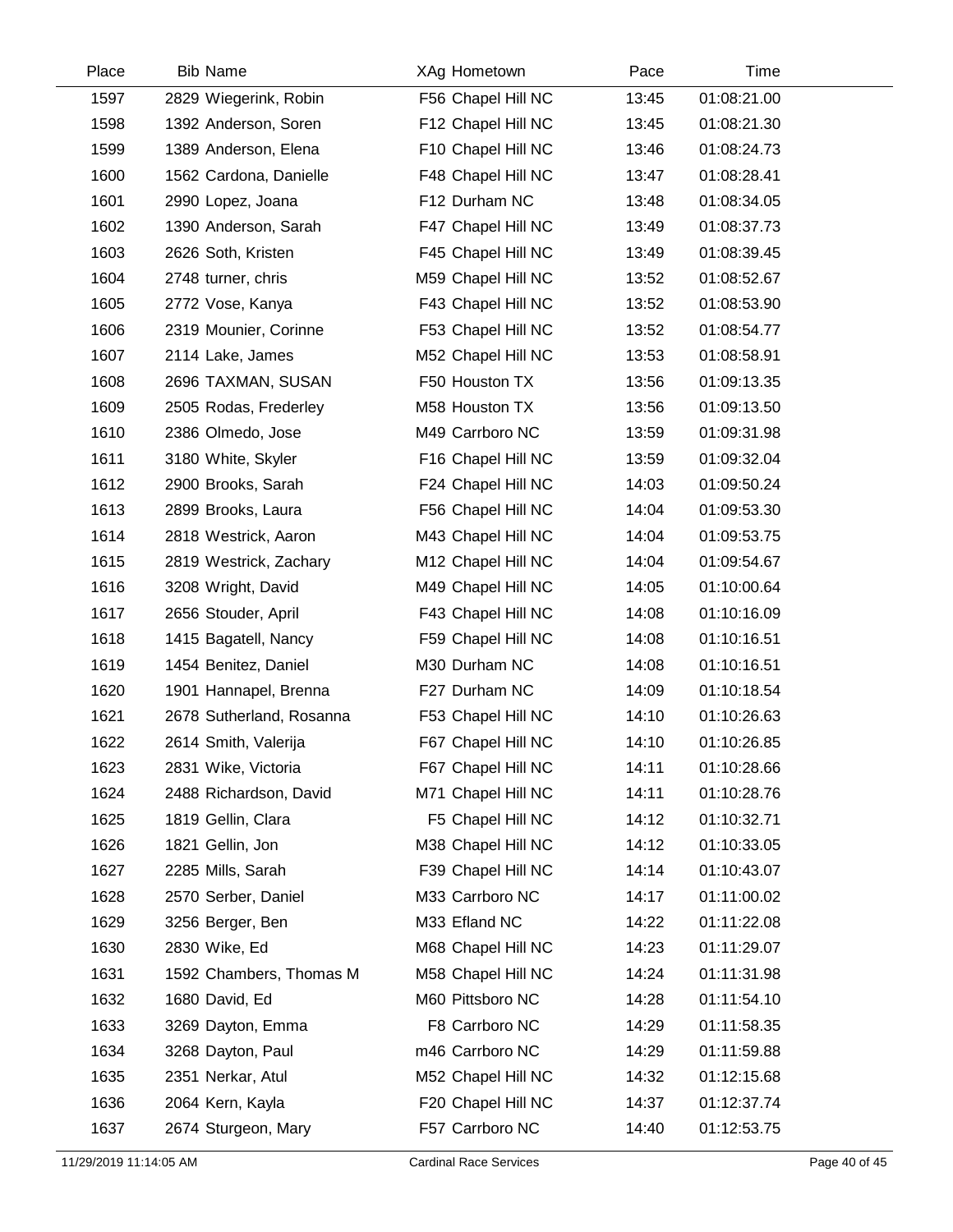| Place | <b>Bib Name</b>          | XAg Hometown       | Pace  | Time        |
|-------|--------------------------|--------------------|-------|-------------|
| 1597  | 2829 Wiegerink, Robin    | F56 Chapel Hill NC | 13:45 | 01:08:21.00 |
| 1598  | 1392 Anderson, Soren     | F12 Chapel Hill NC | 13:45 | 01:08:21.30 |
| 1599  | 1389 Anderson, Elena     | F10 Chapel Hill NC | 13:46 | 01:08:24.73 |
| 1600  | 1562 Cardona, Danielle   | F48 Chapel Hill NC | 13:47 | 01:08:28.41 |
| 1601  | 2990 Lopez, Joana        | F12 Durham NC      | 13:48 | 01:08:34.05 |
| 1602  | 1390 Anderson, Sarah     | F47 Chapel Hill NC | 13:49 | 01:08:37.73 |
| 1603  | 2626 Soth, Kristen       | F45 Chapel Hill NC | 13:49 | 01:08:39.45 |
| 1604  | 2748 turner, chris       | M59 Chapel Hill NC | 13:52 | 01:08:52.67 |
| 1605  | 2772 Vose, Kanya         | F43 Chapel Hill NC | 13:52 | 01:08:53.90 |
| 1606  | 2319 Mounier, Corinne    | F53 Chapel Hill NC | 13:52 | 01:08:54.77 |
| 1607  | 2114 Lake, James         | M52 Chapel Hill NC | 13:53 | 01:08:58.91 |
| 1608  | 2696 TAXMAN, SUSAN       | F50 Houston TX     | 13:56 | 01:09:13.35 |
| 1609  | 2505 Rodas, Frederley    | M58 Houston TX     | 13:56 | 01:09:13.50 |
| 1610  | 2386 Olmedo, Jose        | M49 Carrboro NC    | 13:59 | 01:09:31.98 |
| 1611  | 3180 White, Skyler       | F16 Chapel Hill NC | 13:59 | 01:09:32.04 |
| 1612  | 2900 Brooks, Sarah       | F24 Chapel Hill NC | 14:03 | 01:09:50.24 |
| 1613  | 2899 Brooks, Laura       | F56 Chapel Hill NC | 14:04 | 01:09:53.30 |
| 1614  | 2818 Westrick, Aaron     | M43 Chapel Hill NC | 14:04 | 01:09:53.75 |
| 1615  | 2819 Westrick, Zachary   | M12 Chapel Hill NC | 14:04 | 01:09:54.67 |
| 1616  | 3208 Wright, David       | M49 Chapel Hill NC | 14:05 | 01:10:00.64 |
| 1617  | 2656 Stouder, April      | F43 Chapel Hill NC | 14:08 | 01:10:16.09 |
| 1618  | 1415 Bagatell, Nancy     | F59 Chapel Hill NC | 14:08 | 01:10:16.51 |
| 1619  | 1454 Benitez, Daniel     | M30 Durham NC      | 14:08 | 01:10:16.51 |
| 1620  | 1901 Hannapel, Brenna    | F27 Durham NC      | 14:09 | 01:10:18.54 |
| 1621  | 2678 Sutherland, Rosanna | F53 Chapel Hill NC | 14:10 | 01:10:26.63 |
| 1622  | 2614 Smith, Valerija     | F67 Chapel Hill NC | 14:10 | 01:10:26.85 |
| 1623  | 2831 Wike, Victoria      | F67 Chapel Hill NC | 14:11 | 01:10:28.66 |
| 1624  | 2488 Richardson, David   | M71 Chapel Hill NC | 14:11 | 01:10:28.76 |
| 1625  | 1819 Gellin, Clara       | F5 Chapel Hill NC  | 14:12 | 01:10:32.71 |
| 1626  | 1821 Gellin, Jon         | M38 Chapel Hill NC | 14:12 | 01:10:33.05 |
| 1627  | 2285 Mills, Sarah        | F39 Chapel Hill NC | 14:14 | 01:10:43.07 |
| 1628  | 2570 Serber, Daniel      | M33 Carrboro NC    | 14:17 | 01:11:00.02 |
| 1629  | 3256 Berger, Ben         | M33 Efland NC      | 14:22 | 01:11:22.08 |
| 1630  | 2830 Wike, Ed            | M68 Chapel Hill NC | 14:23 | 01:11:29.07 |
| 1631  | 1592 Chambers, Thomas M  | M58 Chapel Hill NC | 14:24 | 01:11:31.98 |
| 1632  | 1680 David, Ed           | M60 Pittsboro NC   | 14:28 | 01:11:54.10 |
| 1633  | 3269 Dayton, Emma        | F8 Carrboro NC     | 14:29 | 01:11:58.35 |
| 1634  | 3268 Dayton, Paul        | m46 Carrboro NC    | 14:29 | 01:11:59.88 |
| 1635  | 2351 Nerkar, Atul        | M52 Chapel Hill NC | 14:32 | 01:12:15.68 |
| 1636  | 2064 Kern, Kayla         | F20 Chapel Hill NC | 14:37 | 01:12:37.74 |
| 1637  | 2674 Sturgeon, Mary      | F57 Carrboro NC    | 14:40 | 01:12:53.75 |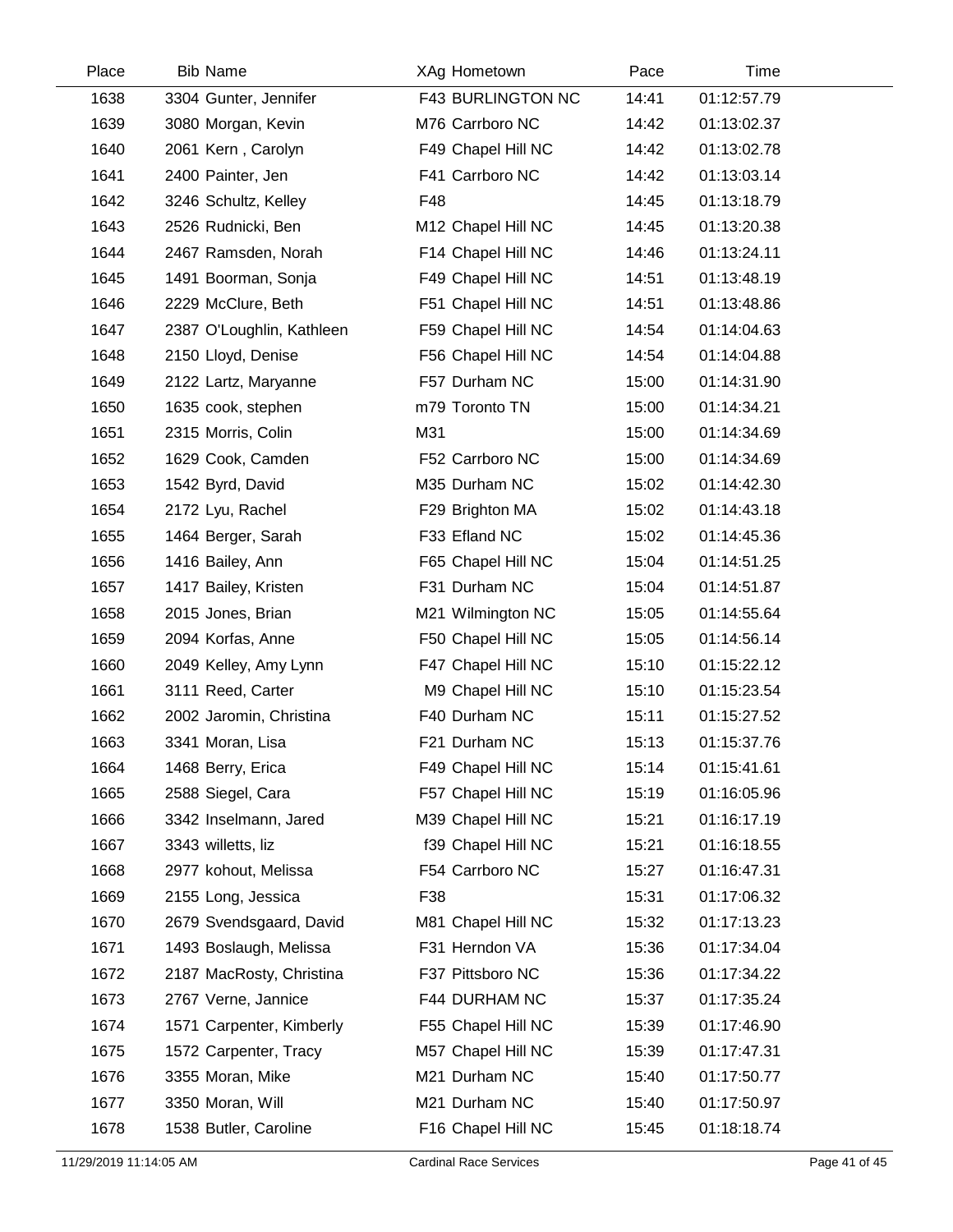| Place | <b>Bib Name</b>           | XAg Hometown             | Pace  | Time        |  |
|-------|---------------------------|--------------------------|-------|-------------|--|
| 1638  | 3304 Gunter, Jennifer     | <b>F43 BURLINGTON NC</b> | 14:41 | 01:12:57.79 |  |
| 1639  | 3080 Morgan, Kevin        | M76 Carrboro NC          | 14:42 | 01:13:02.37 |  |
| 1640  | 2061 Kern, Carolyn        | F49 Chapel Hill NC       | 14:42 | 01:13:02.78 |  |
| 1641  | 2400 Painter, Jen         | F41 Carrboro NC          | 14:42 | 01:13:03.14 |  |
| 1642  | 3246 Schultz, Kelley      | F48                      | 14:45 | 01:13:18.79 |  |
| 1643  | 2526 Rudnicki, Ben        | M12 Chapel Hill NC       | 14:45 | 01:13:20.38 |  |
| 1644  | 2467 Ramsden, Norah       | F14 Chapel Hill NC       | 14:46 | 01:13:24.11 |  |
| 1645  | 1491 Boorman, Sonja       | F49 Chapel Hill NC       | 14:51 | 01:13:48.19 |  |
| 1646  | 2229 McClure, Beth        | F51 Chapel Hill NC       | 14:51 | 01:13:48.86 |  |
| 1647  | 2387 O'Loughlin, Kathleen | F59 Chapel Hill NC       | 14:54 | 01:14:04.63 |  |
| 1648  | 2150 Lloyd, Denise        | F56 Chapel Hill NC       | 14:54 | 01:14:04.88 |  |
| 1649  | 2122 Lartz, Maryanne      | F57 Durham NC            | 15:00 | 01:14:31.90 |  |
| 1650  | 1635 cook, stephen        | m79 Toronto TN           | 15:00 | 01:14:34.21 |  |
| 1651  | 2315 Morris, Colin        | M31                      | 15:00 | 01:14:34.69 |  |
| 1652  | 1629 Cook, Camden         | F52 Carrboro NC          | 15:00 | 01:14:34.69 |  |
| 1653  | 1542 Byrd, David          | M35 Durham NC            | 15:02 | 01:14:42.30 |  |
| 1654  | 2172 Lyu, Rachel          | F29 Brighton MA          | 15:02 | 01:14:43.18 |  |
| 1655  | 1464 Berger, Sarah        | F33 Efland NC            | 15:02 | 01:14:45.36 |  |
| 1656  | 1416 Bailey, Ann          | F65 Chapel Hill NC       | 15:04 | 01:14:51.25 |  |
| 1657  | 1417 Bailey, Kristen      | F31 Durham NC            | 15:04 | 01:14:51.87 |  |
| 1658  | 2015 Jones, Brian         | M21 Wilmington NC        | 15:05 | 01:14:55.64 |  |
| 1659  | 2094 Korfas, Anne         | F50 Chapel Hill NC       | 15:05 | 01:14:56.14 |  |
| 1660  | 2049 Kelley, Amy Lynn     | F47 Chapel Hill NC       | 15:10 | 01:15:22.12 |  |
| 1661  | 3111 Reed, Carter         | M9 Chapel Hill NC        | 15:10 | 01:15:23.54 |  |
| 1662  | 2002 Jaromin, Christina   | F40 Durham NC            | 15:11 | 01:15:27.52 |  |
| 1663  | 3341 Moran, Lisa          | F21 Durham NC            | 15:13 | 01:15:37.76 |  |
| 1664  | 1468 Berry, Erica         | F49 Chapel Hill NC       | 15:14 | 01:15:41.61 |  |
| 1665  | 2588 Siegel, Cara         | F57 Chapel Hill NC       | 15:19 | 01:16:05.96 |  |
| 1666  | 3342 Inselmann, Jared     | M39 Chapel Hill NC       | 15:21 | 01:16:17.19 |  |
| 1667  | 3343 willetts, liz        | f39 Chapel Hill NC       | 15:21 | 01:16:18.55 |  |
| 1668  | 2977 kohout, Melissa      | F54 Carrboro NC          | 15:27 | 01:16:47.31 |  |
| 1669  | 2155 Long, Jessica        | F38                      | 15:31 | 01:17:06.32 |  |
| 1670  | 2679 Svendsgaard, David   | M81 Chapel Hill NC       | 15:32 | 01:17:13.23 |  |
| 1671  | 1493 Boslaugh, Melissa    | F31 Herndon VA           | 15:36 | 01:17:34.04 |  |
| 1672  | 2187 MacRosty, Christina  | F37 Pittsboro NC         | 15:36 | 01:17:34.22 |  |
| 1673  | 2767 Verne, Jannice       | F44 DURHAM NC            | 15:37 | 01:17:35.24 |  |
| 1674  | 1571 Carpenter, Kimberly  | F55 Chapel Hill NC       | 15:39 | 01:17:46.90 |  |
| 1675  | 1572 Carpenter, Tracy     | M57 Chapel Hill NC       | 15:39 | 01:17:47.31 |  |
| 1676  | 3355 Moran, Mike          | M21 Durham NC            | 15:40 | 01:17:50.77 |  |
| 1677  | 3350 Moran, Will          | M21 Durham NC            | 15:40 | 01:17:50.97 |  |
| 1678  | 1538 Butler, Caroline     | F16 Chapel Hill NC       | 15:45 | 01:18:18.74 |  |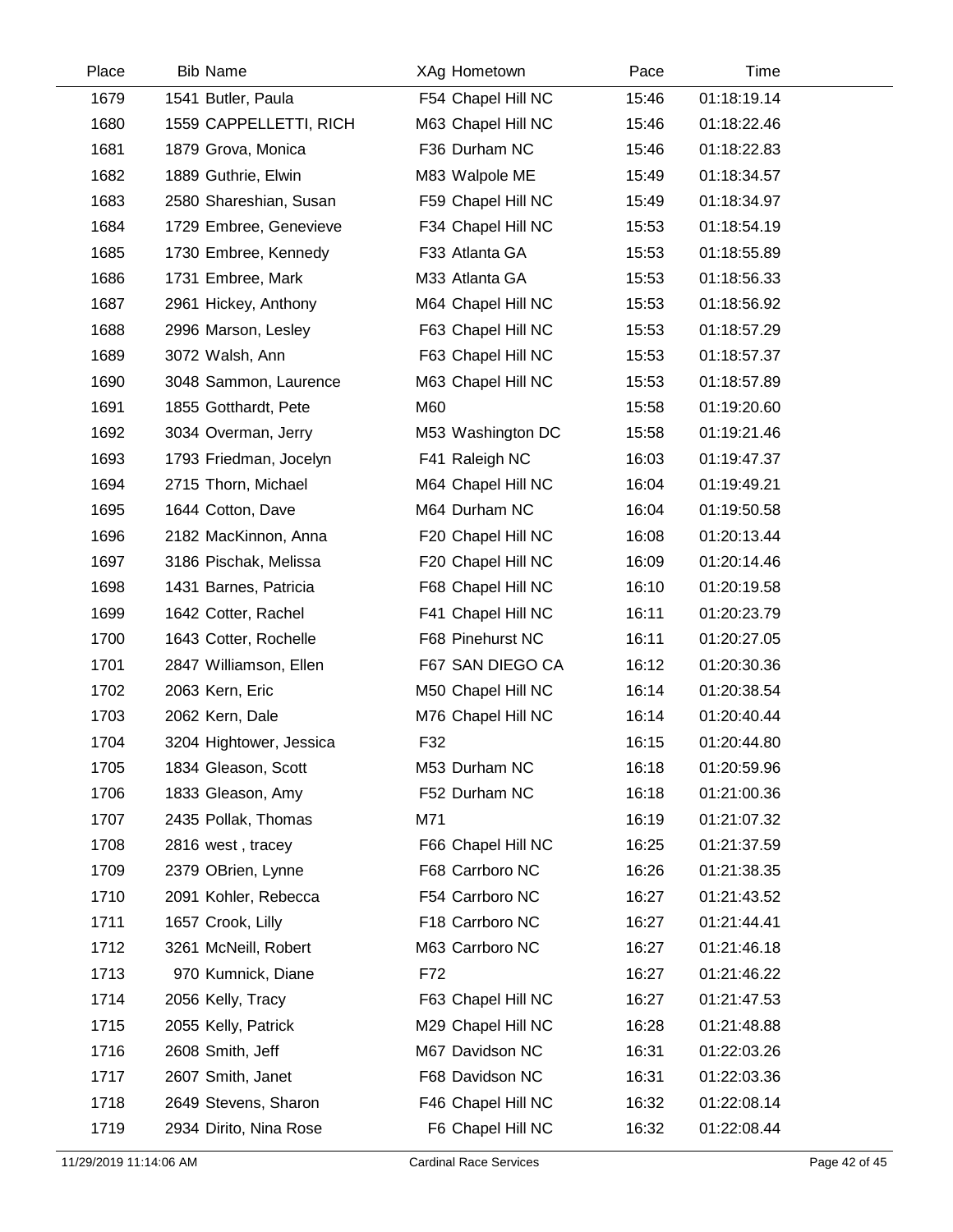| Place | <b>Bib Name</b>         | XAg Hometown       | Pace  | Time        |  |
|-------|-------------------------|--------------------|-------|-------------|--|
| 1679  | 1541 Butler, Paula      | F54 Chapel Hill NC | 15:46 | 01:18:19.14 |  |
| 1680  | 1559 CAPPELLETTI, RICH  | M63 Chapel Hill NC | 15:46 | 01:18:22.46 |  |
| 1681  | 1879 Grova, Monica      | F36 Durham NC      | 15:46 | 01:18:22.83 |  |
| 1682  | 1889 Guthrie, Elwin     | M83 Walpole ME     | 15:49 | 01:18:34.57 |  |
| 1683  | 2580 Shareshian, Susan  | F59 Chapel Hill NC | 15:49 | 01:18:34.97 |  |
| 1684  | 1729 Embree, Genevieve  | F34 Chapel Hill NC | 15:53 | 01:18:54.19 |  |
| 1685  | 1730 Embree, Kennedy    | F33 Atlanta GA     | 15:53 | 01:18:55.89 |  |
| 1686  | 1731 Embree, Mark       | M33 Atlanta GA     | 15:53 | 01:18:56.33 |  |
| 1687  | 2961 Hickey, Anthony    | M64 Chapel Hill NC | 15:53 | 01:18:56.92 |  |
| 1688  | 2996 Marson, Lesley     | F63 Chapel Hill NC | 15:53 | 01:18:57.29 |  |
| 1689  | 3072 Walsh, Ann         | F63 Chapel Hill NC | 15:53 | 01:18:57.37 |  |
| 1690  | 3048 Sammon, Laurence   | M63 Chapel Hill NC | 15:53 | 01:18:57.89 |  |
| 1691  | 1855 Gotthardt, Pete    | M60                | 15:58 | 01:19:20.60 |  |
| 1692  | 3034 Overman, Jerry     | M53 Washington DC  | 15:58 | 01:19:21.46 |  |
| 1693  | 1793 Friedman, Jocelyn  | F41 Raleigh NC     | 16:03 | 01:19:47.37 |  |
| 1694  | 2715 Thorn, Michael     | M64 Chapel Hill NC | 16:04 | 01:19:49.21 |  |
| 1695  | 1644 Cotton, Dave       | M64 Durham NC      | 16:04 | 01:19:50.58 |  |
| 1696  | 2182 MacKinnon, Anna    | F20 Chapel Hill NC | 16:08 | 01:20:13.44 |  |
| 1697  | 3186 Pischak, Melissa   | F20 Chapel Hill NC | 16:09 | 01:20:14.46 |  |
| 1698  | 1431 Barnes, Patricia   | F68 Chapel Hill NC | 16:10 | 01:20:19.58 |  |
| 1699  | 1642 Cotter, Rachel     | F41 Chapel Hill NC | 16:11 | 01:20:23.79 |  |
| 1700  | 1643 Cotter, Rochelle   | F68 Pinehurst NC   | 16:11 | 01:20:27.05 |  |
| 1701  | 2847 Williamson, Ellen  | F67 SAN DIEGO CA   | 16:12 | 01:20:30.36 |  |
| 1702  | 2063 Kern, Eric         | M50 Chapel Hill NC | 16:14 | 01:20:38.54 |  |
| 1703  | 2062 Kern, Dale         | M76 Chapel Hill NC | 16:14 | 01:20:40.44 |  |
| 1704  | 3204 Hightower, Jessica | F32                | 16:15 | 01:20:44.80 |  |
| 1705  | 1834 Gleason, Scott     | M53 Durham NC      | 16:18 | 01:20:59.96 |  |
| 1706  | 1833 Gleason, Amy       | F52 Durham NC      | 16:18 | 01:21:00.36 |  |
| 1707  | 2435 Pollak, Thomas     | M71                | 16:19 | 01:21:07.32 |  |
| 1708  | 2816 west, tracey       | F66 Chapel Hill NC | 16:25 | 01:21:37.59 |  |
| 1709  | 2379 OBrien, Lynne      | F68 Carrboro NC    | 16:26 | 01:21:38.35 |  |
| 1710  | 2091 Kohler, Rebecca    | F54 Carrboro NC    | 16:27 | 01:21:43.52 |  |
| 1711  | 1657 Crook, Lilly       | F18 Carrboro NC    | 16:27 | 01:21:44.41 |  |
| 1712  | 3261 McNeill, Robert    | M63 Carrboro NC    | 16:27 | 01:21:46.18 |  |
| 1713  | 970 Kumnick, Diane      | F72                | 16:27 | 01:21:46.22 |  |
| 1714  | 2056 Kelly, Tracy       | F63 Chapel Hill NC | 16:27 | 01:21:47.53 |  |
| 1715  | 2055 Kelly, Patrick     | M29 Chapel Hill NC | 16:28 | 01:21:48.88 |  |
| 1716  | 2608 Smith, Jeff        | M67 Davidson NC    | 16:31 | 01:22:03.26 |  |
| 1717  | 2607 Smith, Janet       | F68 Davidson NC    | 16:31 | 01:22:03.36 |  |
| 1718  | 2649 Stevens, Sharon    | F46 Chapel Hill NC | 16:32 | 01:22:08.14 |  |
| 1719  | 2934 Dirito, Nina Rose  | F6 Chapel Hill NC  | 16:32 | 01:22:08.44 |  |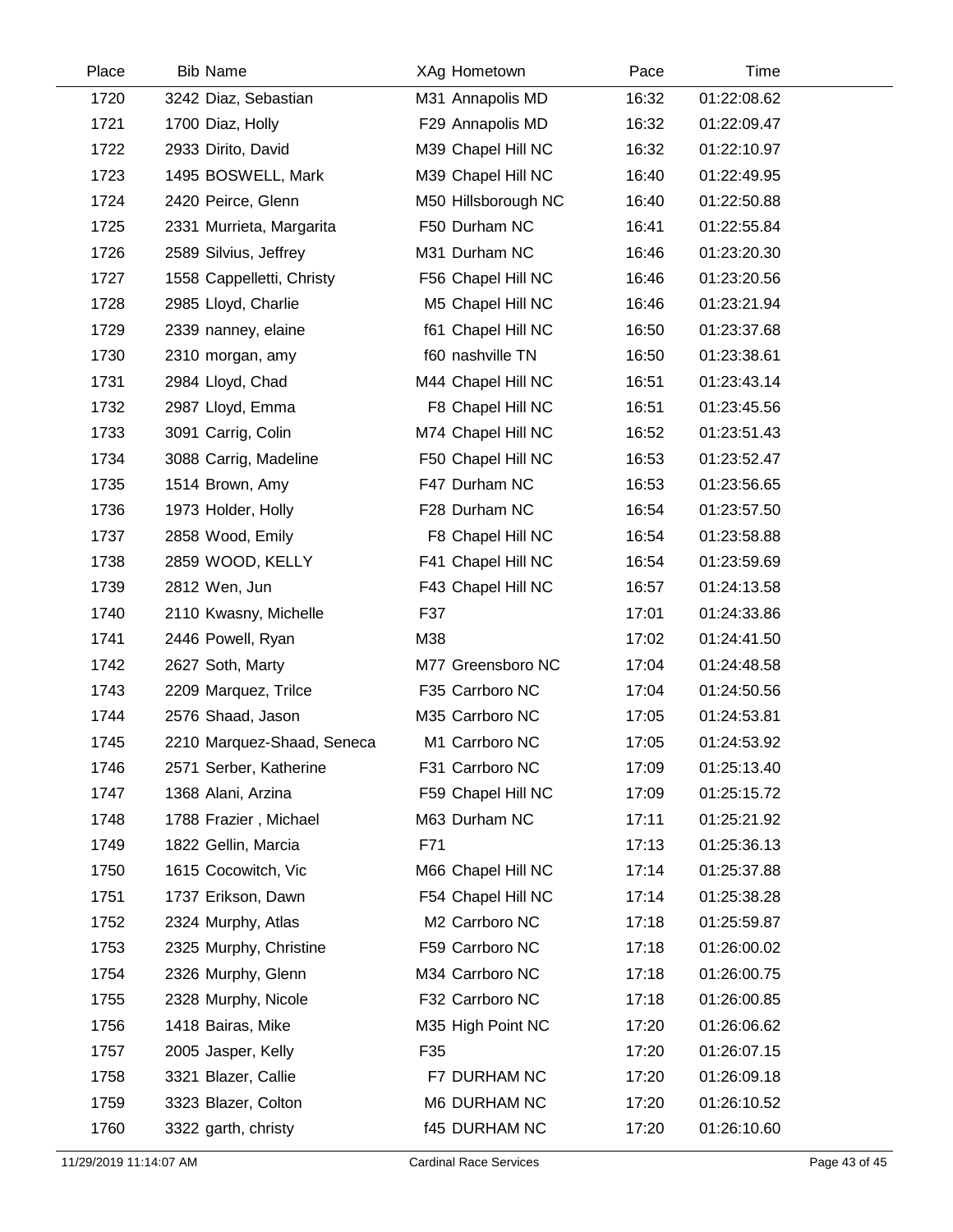| Place | <b>Bib Name</b>            | XAg Hometown         | Pace  | Time        |
|-------|----------------------------|----------------------|-------|-------------|
| 1720  | 3242 Diaz, Sebastian       | M31 Annapolis MD     | 16:32 | 01:22:08.62 |
| 1721  | 1700 Diaz, Holly           | F29 Annapolis MD     | 16:32 | 01:22:09.47 |
| 1722  | 2933 Dirito, David         | M39 Chapel Hill NC   | 16:32 | 01:22:10.97 |
| 1723  | 1495 BOSWELL, Mark         | M39 Chapel Hill NC   | 16:40 | 01:22:49.95 |
| 1724  | 2420 Peirce, Glenn         | M50 Hillsborough NC  | 16:40 | 01:22:50.88 |
| 1725  | 2331 Murrieta, Margarita   | F50 Durham NC        | 16:41 | 01:22:55.84 |
| 1726  | 2589 Silvius, Jeffrey      | M31 Durham NC        | 16:46 | 01:23:20.30 |
| 1727  | 1558 Cappelletti, Christy  | F56 Chapel Hill NC   | 16:46 | 01:23:20.56 |
| 1728  | 2985 Lloyd, Charlie        | M5 Chapel Hill NC    | 16:46 | 01:23:21.94 |
| 1729  | 2339 nanney, elaine        | f61 Chapel Hill NC   | 16:50 | 01:23:37.68 |
| 1730  | 2310 morgan, amy           | f60 nashville TN     | 16:50 | 01:23:38.61 |
| 1731  | 2984 Lloyd, Chad           | M44 Chapel Hill NC   | 16:51 | 01:23:43.14 |
| 1732  | 2987 Lloyd, Emma           | F8 Chapel Hill NC    | 16:51 | 01:23:45.56 |
| 1733  | 3091 Carrig, Colin         | M74 Chapel Hill NC   | 16:52 | 01:23:51.43 |
| 1734  | 3088 Carrig, Madeline      | F50 Chapel Hill NC   | 16:53 | 01:23:52.47 |
| 1735  | 1514 Brown, Amy            | F47 Durham NC        | 16:53 | 01:23:56.65 |
| 1736  | 1973 Holder, Holly         | F28 Durham NC        | 16:54 | 01:23:57.50 |
| 1737  | 2858 Wood, Emily           | F8 Chapel Hill NC    | 16:54 | 01:23:58.88 |
| 1738  | 2859 WOOD, KELLY           | F41 Chapel Hill NC   | 16:54 | 01:23:59.69 |
| 1739  | 2812 Wen, Jun              | F43 Chapel Hill NC   | 16:57 | 01:24:13.58 |
| 1740  | 2110 Kwasny, Michelle      | F37                  | 17:01 | 01:24:33.86 |
| 1741  | 2446 Powell, Ryan          | M38                  | 17:02 | 01:24:41.50 |
| 1742  | 2627 Soth, Marty           | M77 Greensboro NC    | 17:04 | 01:24:48.58 |
| 1743  | 2209 Marquez, Trilce       | F35 Carrboro NC      | 17:04 | 01:24:50.56 |
| 1744  | 2576 Shaad, Jason          | M35 Carrboro NC      | 17:05 | 01:24:53.81 |
| 1745  | 2210 Marquez-Shaad, Seneca | M1 Carrboro NC       | 17:05 | 01:24:53.92 |
| 1746  | 2571 Serber, Katherine     | F31 Carrboro NC      | 17:09 | 01:25:13.40 |
| 1747  | 1368 Alani, Arzina         | F59 Chapel Hill NC   | 17:09 | 01:25:15.72 |
| 1748  | 1788 Frazier, Michael      | M63 Durham NC        | 17:11 | 01:25:21.92 |
| 1749  | 1822 Gellin, Marcia        | F71                  | 17:13 | 01:25:36.13 |
| 1750  | 1615 Cocowitch, Vic        | M66 Chapel Hill NC   | 17:14 | 01:25:37.88 |
| 1751  | 1737 Erikson, Dawn         | F54 Chapel Hill NC   | 17:14 | 01:25:38.28 |
| 1752  | 2324 Murphy, Atlas         | M2 Carrboro NC       | 17:18 | 01:25:59.87 |
| 1753  | 2325 Murphy, Christine     | F59 Carrboro NC      | 17:18 | 01:26:00.02 |
| 1754  | 2326 Murphy, Glenn         | M34 Carrboro NC      | 17:18 | 01:26:00.75 |
| 1755  | 2328 Murphy, Nicole        | F32 Carrboro NC      | 17:18 | 01:26:00.85 |
| 1756  | 1418 Bairas, Mike          | M35 High Point NC    | 17:20 | 01:26:06.62 |
| 1757  | 2005 Jasper, Kelly         | F35                  | 17:20 | 01:26:07.15 |
| 1758  | 3321 Blazer, Callie        | F7 DURHAM NC         | 17:20 | 01:26:09.18 |
| 1759  | 3323 Blazer, Colton        | M6 DURHAM NC         | 17:20 | 01:26:10.52 |
| 1760  | 3322 garth, christy        | <b>f45 DURHAM NC</b> | 17:20 | 01:26:10.60 |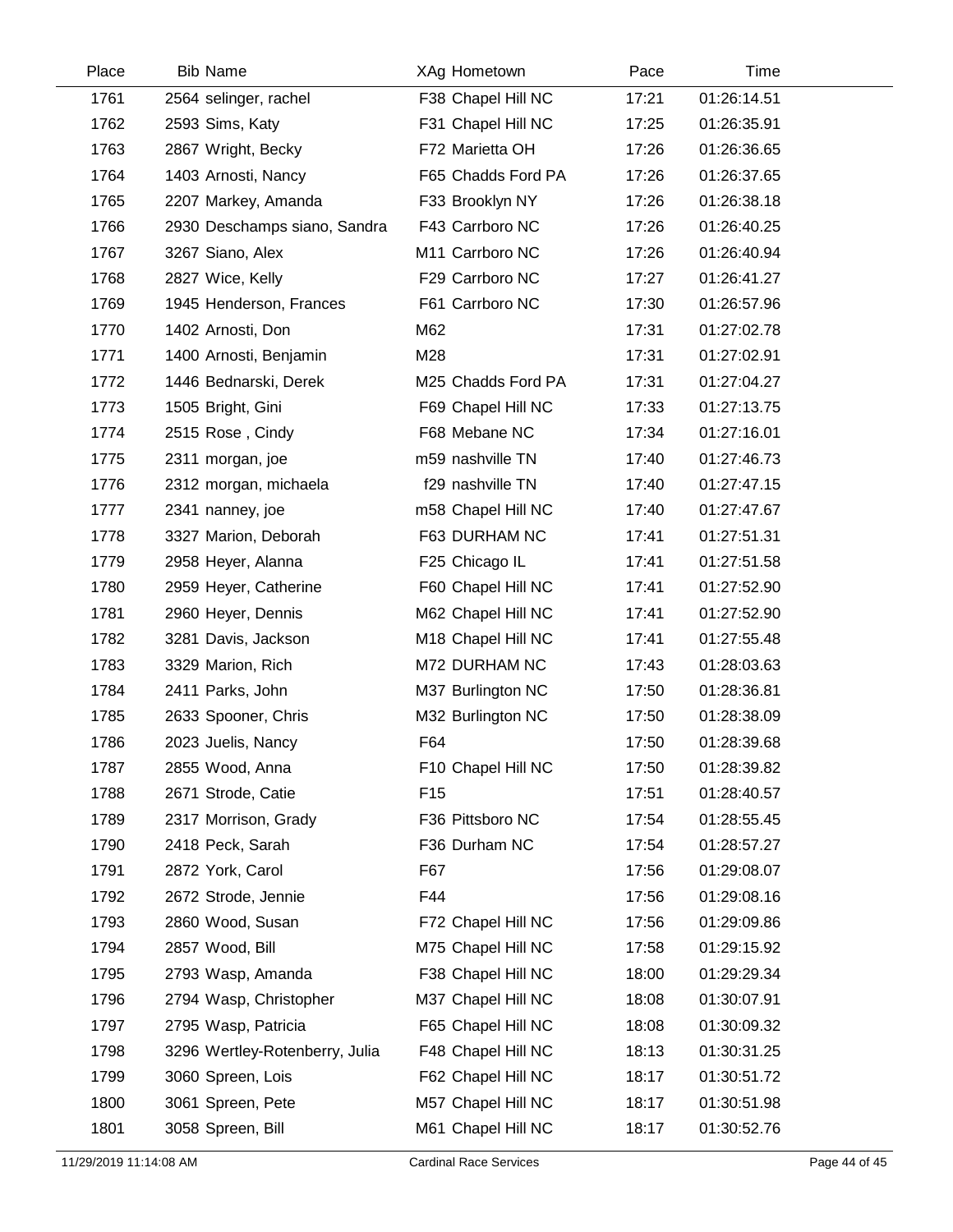| Place | <b>Bib Name</b>                | XAg Hometown       | Pace  | Time        |  |
|-------|--------------------------------|--------------------|-------|-------------|--|
| 1761  | 2564 selinger, rachel          | F38 Chapel Hill NC | 17:21 | 01:26:14.51 |  |
| 1762  | 2593 Sims, Katy                | F31 Chapel Hill NC | 17:25 | 01:26:35.91 |  |
| 1763  | 2867 Wright, Becky             | F72 Marietta OH    | 17:26 | 01:26:36.65 |  |
| 1764  | 1403 Arnosti, Nancy            | F65 Chadds Ford PA | 17:26 | 01:26:37.65 |  |
| 1765  | 2207 Markey, Amanda            | F33 Brooklyn NY    | 17:26 | 01:26:38.18 |  |
| 1766  | 2930 Deschamps siano, Sandra   | F43 Carrboro NC    | 17:26 | 01:26:40.25 |  |
| 1767  | 3267 Siano, Alex               | M11 Carrboro NC    | 17:26 | 01:26:40.94 |  |
| 1768  | 2827 Wice, Kelly               | F29 Carrboro NC    | 17:27 | 01:26:41.27 |  |
| 1769  | 1945 Henderson, Frances        | F61 Carrboro NC    | 17:30 | 01:26:57.96 |  |
| 1770  | 1402 Arnosti, Don              | M62                | 17:31 | 01:27:02.78 |  |
| 1771  | 1400 Arnosti, Benjamin         | M28                | 17:31 | 01:27:02.91 |  |
| 1772  | 1446 Bednarski, Derek          | M25 Chadds Ford PA | 17:31 | 01:27:04.27 |  |
| 1773  | 1505 Bright, Gini              | F69 Chapel Hill NC | 17:33 | 01:27:13.75 |  |
| 1774  | 2515 Rose, Cindy               | F68 Mebane NC      | 17:34 | 01:27:16.01 |  |
| 1775  | 2311 morgan, joe               | m59 nashville TN   | 17:40 | 01:27:46.73 |  |
| 1776  | 2312 morgan, michaela          | f29 nashville TN   | 17:40 | 01:27:47.15 |  |
| 1777  | 2341 nanney, joe               | m58 Chapel Hill NC | 17:40 | 01:27:47.67 |  |
| 1778  | 3327 Marion, Deborah           | F63 DURHAM NC      | 17:41 | 01:27:51.31 |  |
| 1779  | 2958 Heyer, Alanna             | F25 Chicago IL     | 17:41 | 01:27:51.58 |  |
| 1780  | 2959 Heyer, Catherine          | F60 Chapel Hill NC | 17:41 | 01:27:52.90 |  |
| 1781  | 2960 Heyer, Dennis             | M62 Chapel Hill NC | 17:41 | 01:27:52.90 |  |
| 1782  | 3281 Davis, Jackson            | M18 Chapel Hill NC | 17:41 | 01:27:55.48 |  |
| 1783  | 3329 Marion, Rich              | M72 DURHAM NC      | 17:43 | 01:28:03.63 |  |
| 1784  | 2411 Parks, John               | M37 Burlington NC  | 17:50 | 01:28:36.81 |  |
| 1785  | 2633 Spooner, Chris            | M32 Burlington NC  | 17:50 | 01:28:38.09 |  |
| 1786  | 2023 Juelis, Nancy             | F64                | 17:50 | 01:28:39.68 |  |
| 1787  | 2855 Wood, Anna                | F10 Chapel Hill NC | 17:50 | 01:28:39.82 |  |
| 1788  | 2671 Strode, Catie             | F <sub>15</sub>    | 17:51 | 01:28:40.57 |  |
| 1789  | 2317 Morrison, Grady           | F36 Pittsboro NC   | 17:54 | 01:28:55.45 |  |
| 1790  | 2418 Peck, Sarah               | F36 Durham NC      | 17:54 | 01:28:57.27 |  |
| 1791  | 2872 York, Carol               | F67                | 17:56 | 01:29:08.07 |  |
| 1792  | 2672 Strode, Jennie            | F44                | 17:56 | 01:29:08.16 |  |
| 1793  | 2860 Wood, Susan               | F72 Chapel Hill NC | 17:56 | 01:29:09.86 |  |
| 1794  | 2857 Wood, Bill                | M75 Chapel Hill NC | 17:58 | 01:29:15.92 |  |
| 1795  | 2793 Wasp, Amanda              | F38 Chapel Hill NC | 18:00 | 01:29:29.34 |  |
| 1796  | 2794 Wasp, Christopher         | M37 Chapel Hill NC | 18:08 | 01:30:07.91 |  |
| 1797  | 2795 Wasp, Patricia            | F65 Chapel Hill NC | 18:08 | 01:30:09.32 |  |
| 1798  | 3296 Wertley-Rotenberry, Julia | F48 Chapel Hill NC | 18:13 | 01:30:31.25 |  |
| 1799  | 3060 Spreen, Lois              | F62 Chapel Hill NC | 18:17 | 01:30:51.72 |  |
| 1800  | 3061 Spreen, Pete              | M57 Chapel Hill NC | 18:17 | 01:30:51.98 |  |
| 1801  | 3058 Spreen, Bill              | M61 Chapel Hill NC | 18:17 | 01:30:52.76 |  |